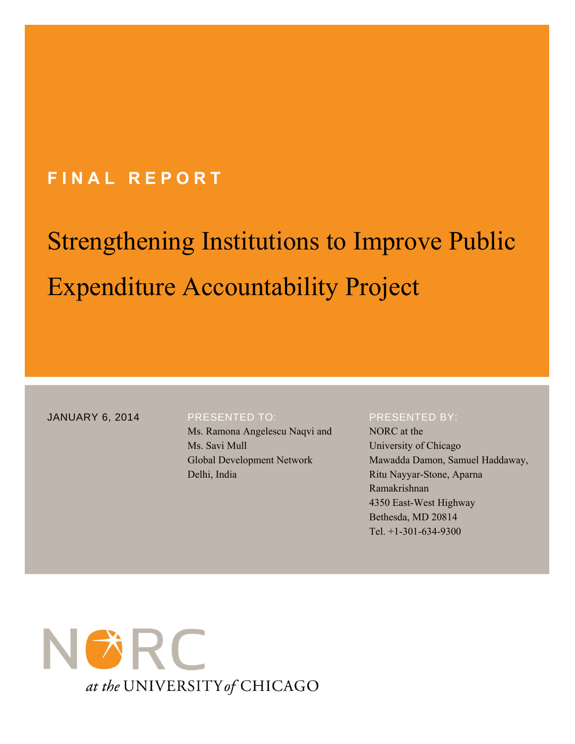### **FINAL REPORT**

# Strengthening Institutions to Improve Public Expenditure Accountability Project

JANUARY 6, 2014 PRESENTED TO:

Ms. Ramona Angelescu Naqvi and Ms. Savi Mull Global Development Network Delhi, India

#### PRESENTED BY:

NORC at the University of Chicago Mawadda Damon, Samuel Haddaway, Ritu Nayyar-Stone, Aparna Ramakrishnan 4350 East-West Highway Bethesda, MD 20814 Tel. +1-301-634-9300

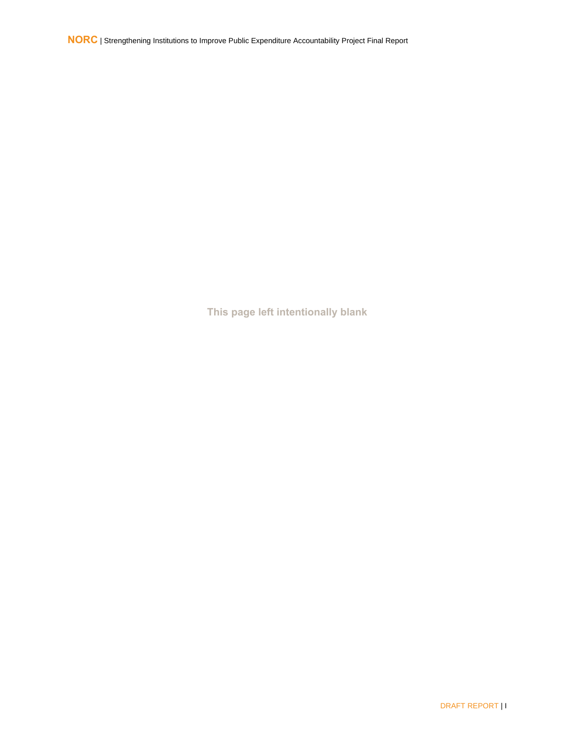**This page left intentionally blank**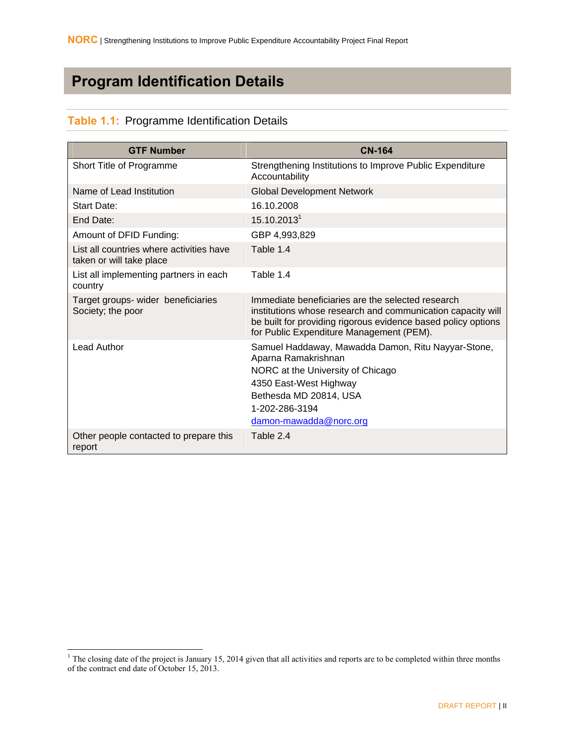### **Program Identification Details**

| <b>Table 1.1: Programme Identification Details</b> |  |
|----------------------------------------------------|--|
|----------------------------------------------------|--|

| <b>GTF Number</b>                                                    | <b>CN-164</b>                                                                                                                                                                                                                 |
|----------------------------------------------------------------------|-------------------------------------------------------------------------------------------------------------------------------------------------------------------------------------------------------------------------------|
| Short Title of Programme                                             | Strengthening Institutions to Improve Public Expenditure<br>Accountability                                                                                                                                                    |
| Name of Lead Institution                                             | <b>Global Development Network</b>                                                                                                                                                                                             |
| Start Date:                                                          | 16.10.2008                                                                                                                                                                                                                    |
| End Date:                                                            | 15.10.2013 <sup>1</sup>                                                                                                                                                                                                       |
| Amount of DFID Funding:                                              | GBP 4,993,829                                                                                                                                                                                                                 |
| List all countries where activities have<br>taken or will take place | Table 1.4                                                                                                                                                                                                                     |
| List all implementing partners in each<br>country                    | Table 1.4                                                                                                                                                                                                                     |
| Target groups- wider beneficiaries<br>Society; the poor              | Immediate beneficiaries are the selected research<br>institutions whose research and communication capacity will<br>be built for providing rigorous evidence based policy options<br>for Public Expenditure Management (PEM). |
| Lead Author                                                          | Samuel Haddaway, Mawadda Damon, Ritu Nayyar-Stone,<br>Aparna Ramakrishnan<br>NORC at the University of Chicago<br>4350 East-West Highway<br>Bethesda MD 20814, USA<br>1-202-286-3194<br>damon-mawadda@norc.org                |
| Other people contacted to prepare this<br>report                     | Table 2.4                                                                                                                                                                                                                     |

<sup>&</sup>lt;sup>1</sup> The closing date of the project is January 15, 2014 given that all activities and reports are to be completed within three months of the contract end date of October 15, 2013.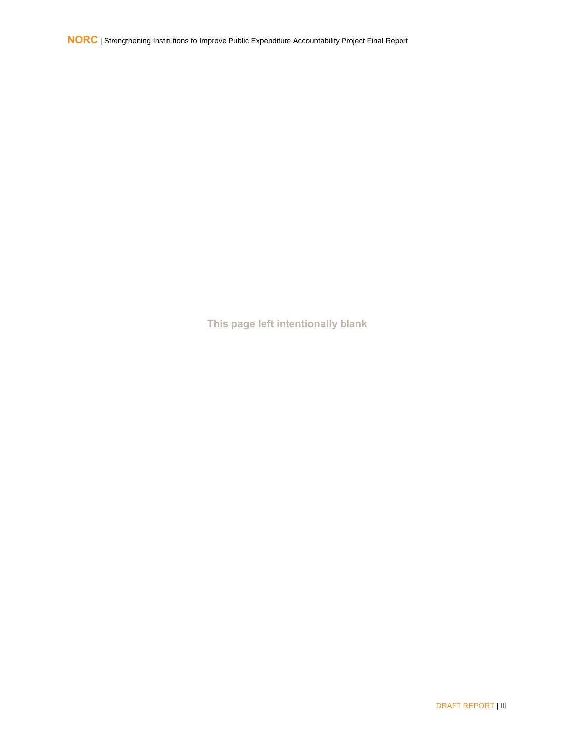**This page left intentionally blank**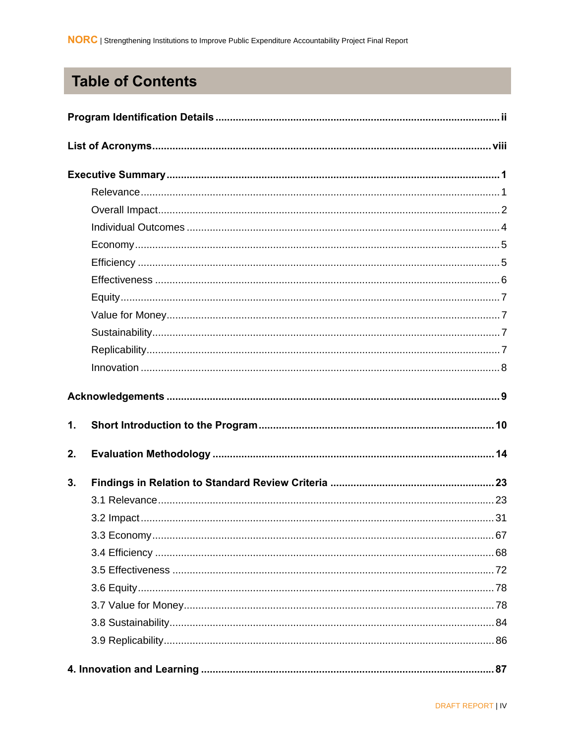## **Table of Contents**

| 1. |  |
|----|--|
| 2. |  |
| 3. |  |
|    |  |
|    |  |
|    |  |
|    |  |
|    |  |
|    |  |
|    |  |
|    |  |
|    |  |
|    |  |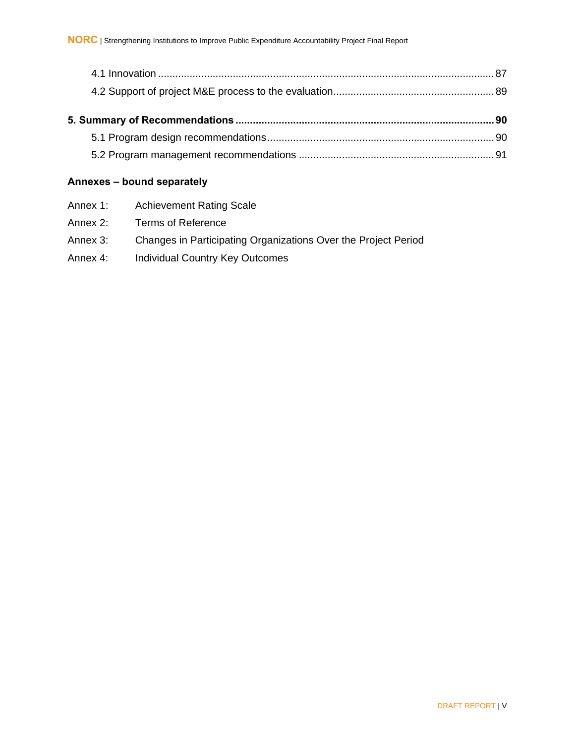#### **Annexes – bound separately**

| Annex 1: | <b>Achievement Rating Scale</b>                                |
|----------|----------------------------------------------------------------|
| Annex 2: | Terms of Reference                                             |
| Annex 3: | Changes in Participating Organizations Over the Project Period |
| Annex 4: | <b>Individual Country Key Outcomes</b>                         |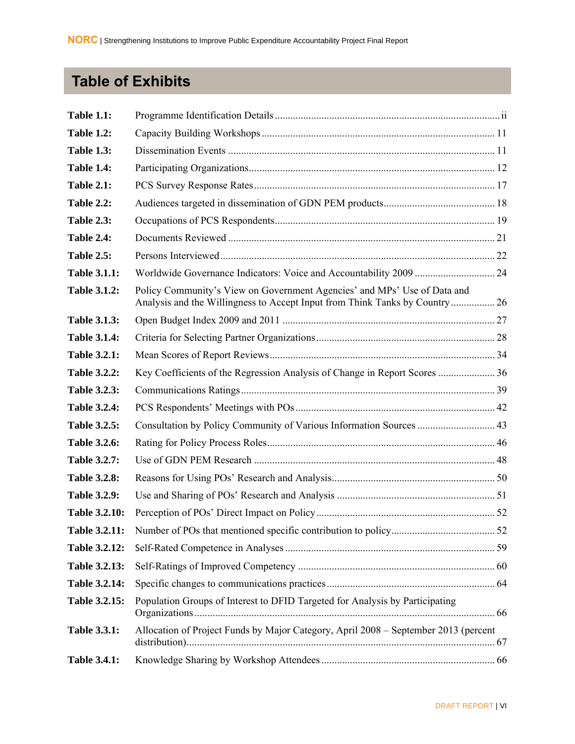### **Table of Exhibits**

| <b>Table 1.1:</b>    |                                                                                                                                                         |  |
|----------------------|---------------------------------------------------------------------------------------------------------------------------------------------------------|--|
| <b>Table 1.2:</b>    |                                                                                                                                                         |  |
| <b>Table 1.3:</b>    |                                                                                                                                                         |  |
| Table 1.4:           |                                                                                                                                                         |  |
| <b>Table 2.1:</b>    |                                                                                                                                                         |  |
| <b>Table 2.2:</b>    |                                                                                                                                                         |  |
| <b>Table 2.3:</b>    |                                                                                                                                                         |  |
| <b>Table 2.4:</b>    |                                                                                                                                                         |  |
| <b>Table 2.5:</b>    |                                                                                                                                                         |  |
| <b>Table 3.1.1:</b>  |                                                                                                                                                         |  |
| <b>Table 3.1.2:</b>  | Policy Community's View on Government Agencies' and MPs' Use of Data and<br>Analysis and the Willingness to Accept Input from Think Tanks by Country 26 |  |
| <b>Table 3.1.3:</b>  |                                                                                                                                                         |  |
| <b>Table 3.1.4:</b>  |                                                                                                                                                         |  |
| <b>Table 3.2.1:</b>  |                                                                                                                                                         |  |
| <b>Table 3.2.2:</b>  | Key Coefficients of the Regression Analysis of Change in Report Scores  36                                                                              |  |
| <b>Table 3.2.3:</b>  |                                                                                                                                                         |  |
| <b>Table 3.2.4:</b>  |                                                                                                                                                         |  |
| <b>Table 3.2.5:</b>  | Consultation by Policy Community of Various Information Sources  43                                                                                     |  |
| <b>Table 3.2.6:</b>  |                                                                                                                                                         |  |
| <b>Table 3.2.7:</b>  |                                                                                                                                                         |  |
| <b>Table 3.2.8:</b>  |                                                                                                                                                         |  |
| <b>Table 3.2.9:</b>  |                                                                                                                                                         |  |
| <b>Table 3.2.10:</b> |                                                                                                                                                         |  |
| <b>Table 3.2.11:</b> |                                                                                                                                                         |  |
| <b>Table 3.2.12:</b> |                                                                                                                                                         |  |
| Table 3.2.13:        |                                                                                                                                                         |  |
| <b>Table 3.2.14:</b> |                                                                                                                                                         |  |
| Table 3.2.15:        | Population Groups of Interest to DFID Targeted for Analysis by Participating                                                                            |  |
| <b>Table 3.3.1:</b>  | Allocation of Project Funds by Major Category, April 2008 – September 2013 (percent                                                                     |  |
| <b>Table 3.4.1:</b>  |                                                                                                                                                         |  |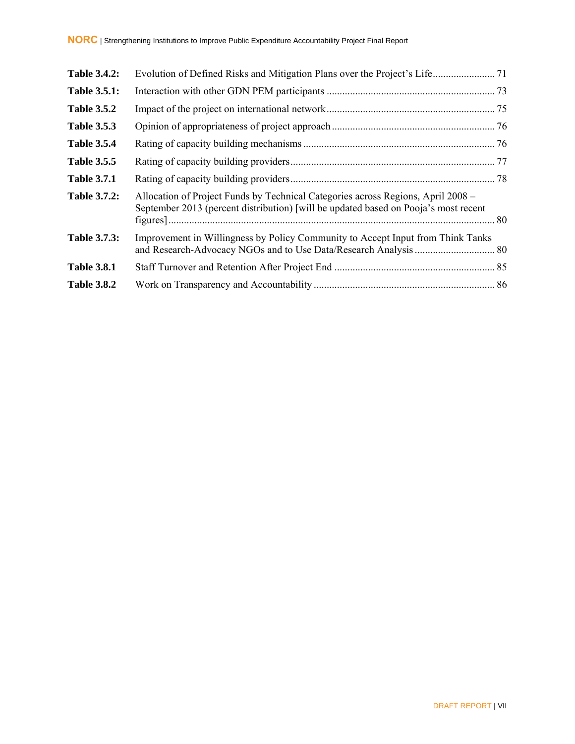| <b>Table 3.4.2:</b> |                                                                                                                                                                         |  |
|---------------------|-------------------------------------------------------------------------------------------------------------------------------------------------------------------------|--|
| <b>Table 3.5.1:</b> |                                                                                                                                                                         |  |
| <b>Table 3.5.2</b>  |                                                                                                                                                                         |  |
| <b>Table 3.5.3</b>  |                                                                                                                                                                         |  |
| <b>Table 3.5.4</b>  |                                                                                                                                                                         |  |
| <b>Table 3.5.5</b>  |                                                                                                                                                                         |  |
| <b>Table 3.7.1</b>  |                                                                                                                                                                         |  |
| <b>Table 3.7.2:</b> | Allocation of Project Funds by Technical Categories across Regions, April 2008 –<br>September 2013 (percent distribution) [will be updated based on Pooja's most recent |  |
| <b>Table 3.7.3:</b> | Improvement in Willingness by Policy Community to Accept Input from Think Tanks                                                                                         |  |
| <b>Table 3.8.1</b>  |                                                                                                                                                                         |  |
| <b>Table 3.8.2</b>  |                                                                                                                                                                         |  |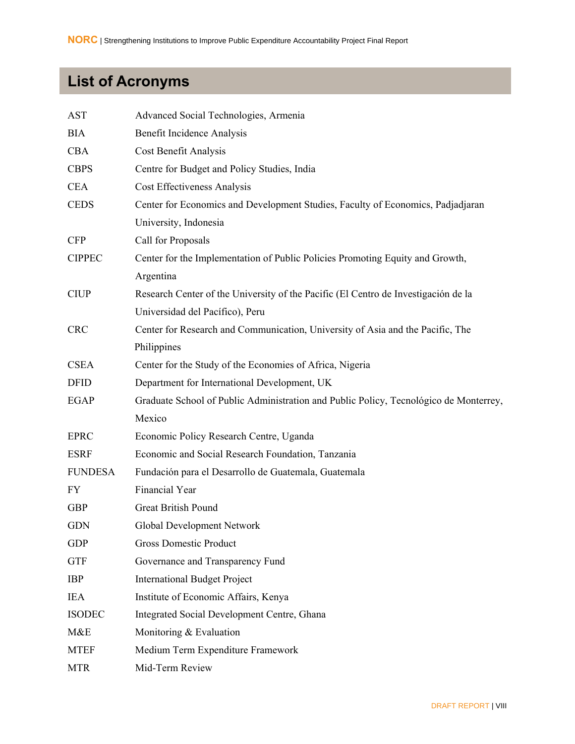## **List of Acronyms**

| <b>AST</b>     | Advanced Social Technologies, Armenia                                                 |
|----------------|---------------------------------------------------------------------------------------|
| <b>BIA</b>     | <b>Benefit Incidence Analysis</b>                                                     |
| <b>CBA</b>     | Cost Benefit Analysis                                                                 |
| <b>CBPS</b>    | Centre for Budget and Policy Studies, India                                           |
| <b>CEA</b>     | Cost Effectiveness Analysis                                                           |
| <b>CEDS</b>    | Center for Economics and Development Studies, Faculty of Economics, Padjadjaran       |
|                | University, Indonesia                                                                 |
| <b>CFP</b>     | Call for Proposals                                                                    |
| <b>CIPPEC</b>  | Center for the Implementation of Public Policies Promoting Equity and Growth,         |
|                | Argentina                                                                             |
| <b>CIUP</b>    | Research Center of the University of the Pacific (El Centro de Investigación de la    |
|                | Universidad del Pacífico), Peru                                                       |
| <b>CRC</b>     | Center for Research and Communication, University of Asia and the Pacific, The        |
|                | Philippines                                                                           |
| <b>CSEA</b>    | Center for the Study of the Economies of Africa, Nigeria                              |
| <b>DFID</b>    | Department for International Development, UK                                          |
| <b>EGAP</b>    | Graduate School of Public Administration and Public Policy, Tecnológico de Monterrey, |
|                | Mexico                                                                                |
| <b>EPRC</b>    | Economic Policy Research Centre, Uganda                                               |
| <b>ESRF</b>    | Economic and Social Research Foundation, Tanzania                                     |
| <b>FUNDESA</b> | Fundación para el Desarrollo de Guatemala, Guatemala                                  |
| <b>FY</b>      | Financial Year                                                                        |
| <b>GBP</b>     | <b>Great British Pound</b>                                                            |
| <b>GDN</b>     | Global Development Network                                                            |
| <b>GDP</b>     | <b>Gross Domestic Product</b>                                                         |
| <b>GTF</b>     | Governance and Transparency Fund                                                      |
| <b>IBP</b>     | <b>International Budget Project</b>                                                   |
| <b>IEA</b>     | Institute of Economic Affairs, Kenya                                                  |
| <b>ISODEC</b>  | Integrated Social Development Centre, Ghana                                           |
| M&E            | Monitoring & Evaluation                                                               |
| <b>MTEF</b>    | Medium Term Expenditure Framework                                                     |
| <b>MTR</b>     | Mid-Term Review                                                                       |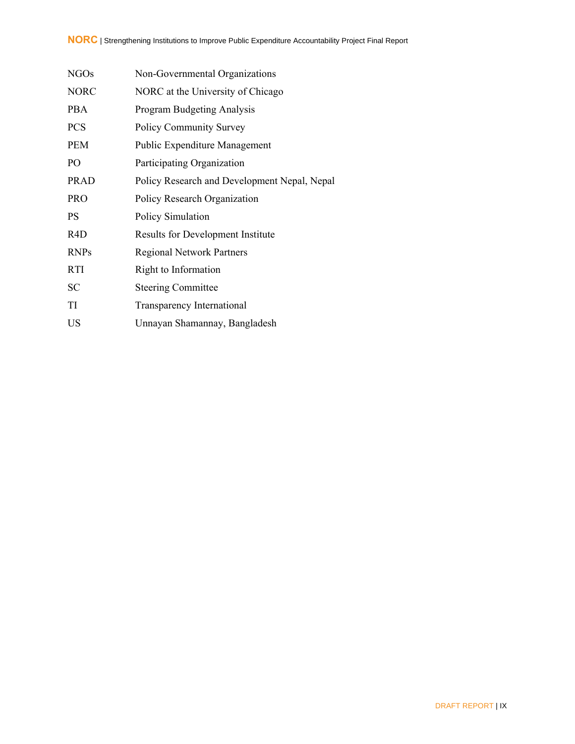| <b>NGOs</b>      | Non-Governmental Organizations               |
|------------------|----------------------------------------------|
| <b>NORC</b>      | NORC at the University of Chicago            |
| <b>PBA</b>       | <b>Program Budgeting Analysis</b>            |
| <b>PCS</b>       | <b>Policy Community Survey</b>               |
| <b>PEM</b>       | <b>Public Expenditure Management</b>         |
| P <sub>O</sub>   | Participating Organization                   |
| <b>PRAD</b>      | Policy Research and Development Nepal, Nepal |
| <b>PRO</b>       | Policy Research Organization                 |
| <b>PS</b>        | <b>Policy Simulation</b>                     |
| R <sub>4</sub> D | <b>Results for Development Institute</b>     |
| <b>RNPs</b>      | <b>Regional Network Partners</b>             |
| <b>RTI</b>       | Right to Information                         |
| <b>SC</b>        | <b>Steering Committee</b>                    |
| TI               | Transparency International                   |
| US               | Unnayan Shamannay, Bangladesh                |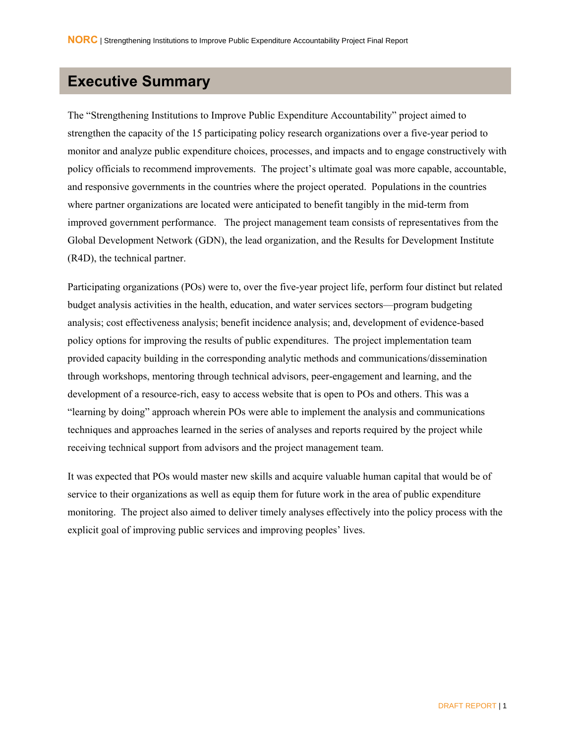### **Executive Summary**

The "Strengthening Institutions to Improve Public Expenditure Accountability" project aimed to strengthen the capacity of the 15 participating policy research organizations over a five-year period to monitor and analyze public expenditure choices, processes, and impacts and to engage constructively with policy officials to recommend improvements. The project's ultimate goal was more capable, accountable, and responsive governments in the countries where the project operated. Populations in the countries where partner organizations are located were anticipated to benefit tangibly in the mid-term from improved government performance. The project management team consists of representatives from the Global Development Network (GDN), the lead organization, and the Results for Development Institute (R4D), the technical partner.

Participating organizations (POs) were to, over the five-year project life, perform four distinct but related budget analysis activities in the health, education, and water services sectors—program budgeting analysis; cost effectiveness analysis; benefit incidence analysis; and, development of evidence-based policy options for improving the results of public expenditures. The project implementation team provided capacity building in the corresponding analytic methods and communications/dissemination through workshops, mentoring through technical advisors, peer-engagement and learning, and the development of a resource-rich, easy to access website that is open to POs and others. This was a "learning by doing" approach wherein POs were able to implement the analysis and communications techniques and approaches learned in the series of analyses and reports required by the project while receiving technical support from advisors and the project management team.

It was expected that POs would master new skills and acquire valuable human capital that would be of service to their organizations as well as equip them for future work in the area of public expenditure monitoring. The project also aimed to deliver timely analyses effectively into the policy process with the explicit goal of improving public services and improving peoples' lives.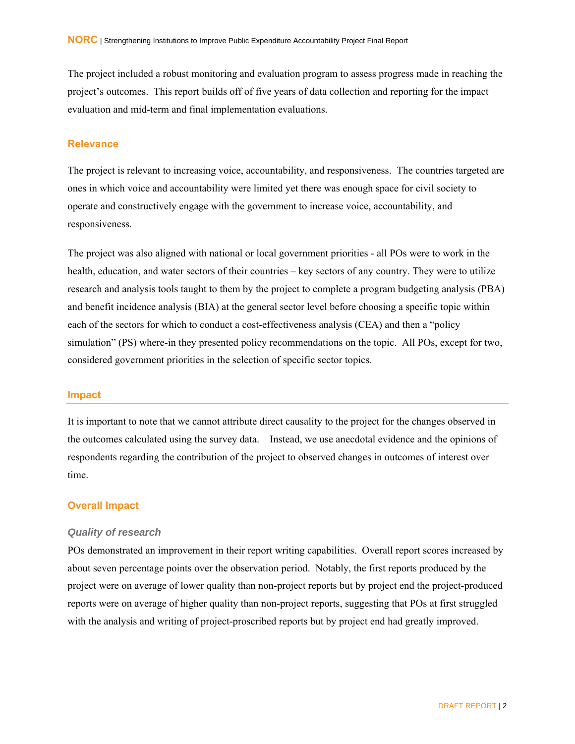The project included a robust monitoring and evaluation program to assess progress made in reaching the project's outcomes. This report builds off of five years of data collection and reporting for the impact evaluation and mid-term and final implementation evaluations.

#### **Relevance**

The project is relevant to increasing voice, accountability, and responsiveness. The countries targeted are ones in which voice and accountability were limited yet there was enough space for civil society to operate and constructively engage with the government to increase voice, accountability, and responsiveness.

The project was also aligned with national or local government priorities - all POs were to work in the health, education, and water sectors of their countries – key sectors of any country. They were to utilize research and analysis tools taught to them by the project to complete a program budgeting analysis (PBA) and benefit incidence analysis (BIA) at the general sector level before choosing a specific topic within each of the sectors for which to conduct a cost-effectiveness analysis (CEA) and then a "policy simulation" (PS) where-in they presented policy recommendations on the topic. All POs, except for two, considered government priorities in the selection of specific sector topics.

#### **Impact**

It is important to note that we cannot attribute direct causality to the project for the changes observed in the outcomes calculated using the survey data. Instead, we use anecdotal evidence and the opinions of respondents regarding the contribution of the project to observed changes in outcomes of interest over time.

#### **Overall Impact**

#### *Quality of research*

POs demonstrated an improvement in their report writing capabilities. Overall report scores increased by about seven percentage points over the observation period. Notably, the first reports produced by the project were on average of lower quality than non-project reports but by project end the project-produced reports were on average of higher quality than non-project reports, suggesting that POs at first struggled with the analysis and writing of project-proscribed reports but by project end had greatly improved.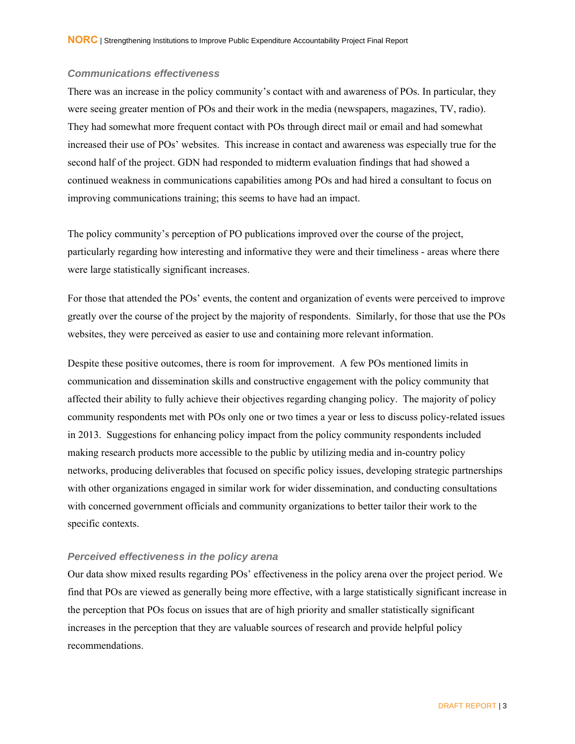#### *Communications effectiveness*

There was an increase in the policy community's contact with and awareness of POs. In particular, they were seeing greater mention of POs and their work in the media (newspapers, magazines, TV, radio). They had somewhat more frequent contact with POs through direct mail or email and had somewhat increased their use of POs' websites. This increase in contact and awareness was especially true for the second half of the project. GDN had responded to midterm evaluation findings that had showed a continued weakness in communications capabilities among POs and had hired a consultant to focus on improving communications training; this seems to have had an impact.

The policy community's perception of PO publications improved over the course of the project, particularly regarding how interesting and informative they were and their timeliness - areas where there were large statistically significant increases.

For those that attended the POs' events, the content and organization of events were perceived to improve greatly over the course of the project by the majority of respondents. Similarly, for those that use the POs websites, they were perceived as easier to use and containing more relevant information.

Despite these positive outcomes, there is room for improvement. A few POs mentioned limits in communication and dissemination skills and constructive engagement with the policy community that affected their ability to fully achieve their objectives regarding changing policy. The majority of policy community respondents met with POs only one or two times a year or less to discuss policy-related issues in 2013. Suggestions for enhancing policy impact from the policy community respondents included making research products more accessible to the public by utilizing media and in-country policy networks, producing deliverables that focused on specific policy issues, developing strategic partnerships with other organizations engaged in similar work for wider dissemination, and conducting consultations with concerned government officials and community organizations to better tailor their work to the specific contexts.

#### *Perceived effectiveness in the policy arena*

Our data show mixed results regarding POs' effectiveness in the policy arena over the project period. We find that POs are viewed as generally being more effective, with a large statistically significant increase in the perception that POs focus on issues that are of high priority and smaller statistically significant increases in the perception that they are valuable sources of research and provide helpful policy recommendations.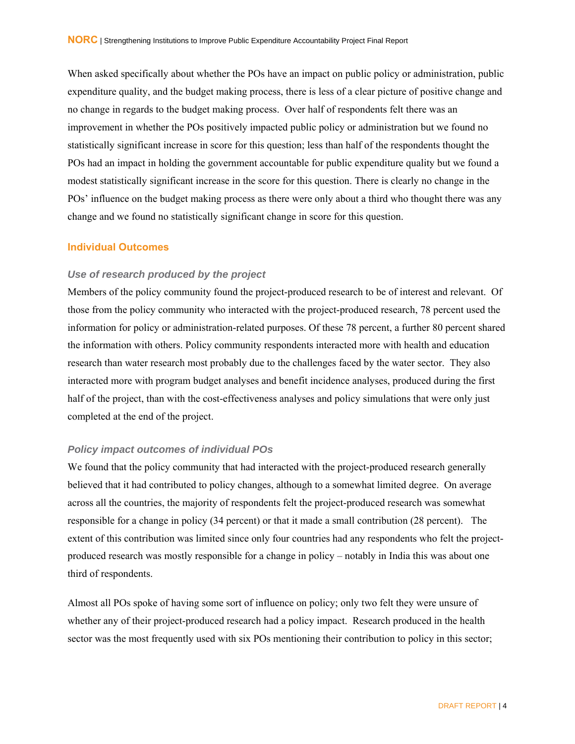When asked specifically about whether the POs have an impact on public policy or administration, public expenditure quality, and the budget making process, there is less of a clear picture of positive change and no change in regards to the budget making process. Over half of respondents felt there was an improvement in whether the POs positively impacted public policy or administration but we found no statistically significant increase in score for this question; less than half of the respondents thought the POs had an impact in holding the government accountable for public expenditure quality but we found a modest statistically significant increase in the score for this question. There is clearly no change in the POs' influence on the budget making process as there were only about a third who thought there was any change and we found no statistically significant change in score for this question.

#### **Individual Outcomes**

#### *Use of research produced by the project*

Members of the policy community found the project-produced research to be of interest and relevant. Of those from the policy community who interacted with the project-produced research, 78 percent used the information for policy or administration-related purposes. Of these 78 percent, a further 80 percent shared the information with others. Policy community respondents interacted more with health and education research than water research most probably due to the challenges faced by the water sector. They also interacted more with program budget analyses and benefit incidence analyses, produced during the first half of the project, than with the cost-effectiveness analyses and policy simulations that were only just completed at the end of the project.

#### *Policy impact outcomes of individual POs*

We found that the policy community that had interacted with the project-produced research generally believed that it had contributed to policy changes, although to a somewhat limited degree. On average across all the countries, the majority of respondents felt the project-produced research was somewhat responsible for a change in policy (34 percent) or that it made a small contribution (28 percent). The extent of this contribution was limited since only four countries had any respondents who felt the projectproduced research was mostly responsible for a change in policy – notably in India this was about one third of respondents.

Almost all POs spoke of having some sort of influence on policy; only two felt they were unsure of whether any of their project-produced research had a policy impact. Research produced in the health sector was the most frequently used with six POs mentioning their contribution to policy in this sector;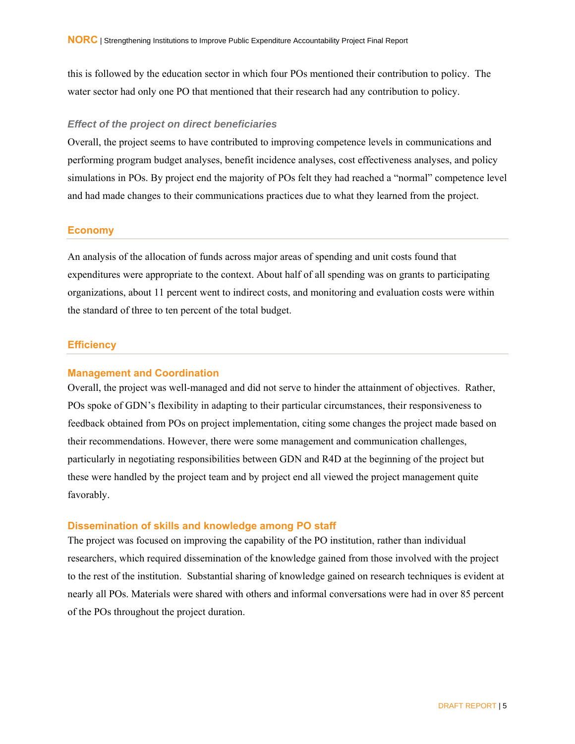this is followed by the education sector in which four POs mentioned their contribution to policy. The water sector had only one PO that mentioned that their research had any contribution to policy.

#### *Effect of the project on direct beneficiaries*

Overall, the project seems to have contributed to improving competence levels in communications and performing program budget analyses, benefit incidence analyses, cost effectiveness analyses, and policy simulations in POs. By project end the majority of POs felt they had reached a "normal" competence level and had made changes to their communications practices due to what they learned from the project.

#### **Economy**

An analysis of the allocation of funds across major areas of spending and unit costs found that expenditures were appropriate to the context. About half of all spending was on grants to participating organizations, about 11 percent went to indirect costs, and monitoring and evaluation costs were within the standard of three to ten percent of the total budget.

#### **Efficiency**

#### **Management and Coordination**

Overall, the project was well-managed and did not serve to hinder the attainment of objectives. Rather, POs spoke of GDN's flexibility in adapting to their particular circumstances, their responsiveness to feedback obtained from POs on project implementation, citing some changes the project made based on their recommendations. However, there were some management and communication challenges, particularly in negotiating responsibilities between GDN and R4D at the beginning of the project but these were handled by the project team and by project end all viewed the project management quite favorably.

#### **Dissemination of skills and knowledge among PO staff**

The project was focused on improving the capability of the PO institution, rather than individual researchers, which required dissemination of the knowledge gained from those involved with the project to the rest of the institution. Substantial sharing of knowledge gained on research techniques is evident at nearly all POs. Materials were shared with others and informal conversations were had in over 85 percent of the POs throughout the project duration.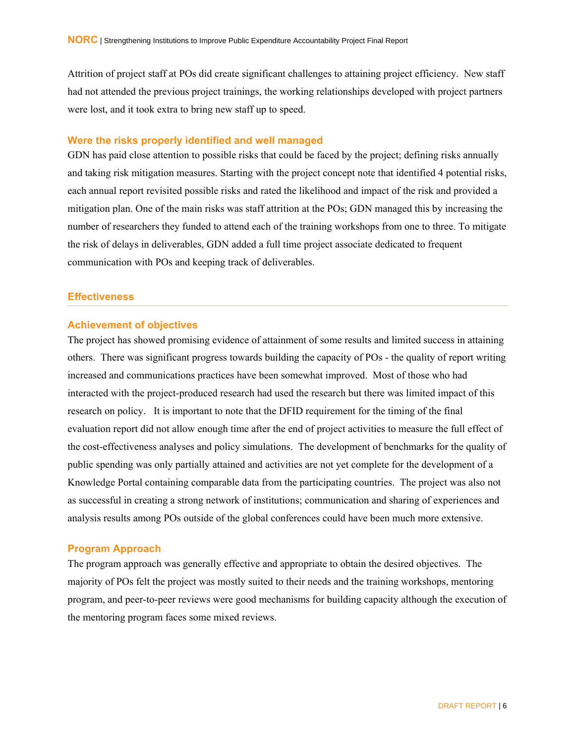Attrition of project staff at POs did create significant challenges to attaining project efficiency. New staff had not attended the previous project trainings, the working relationships developed with project partners were lost, and it took extra to bring new staff up to speed.

#### **Were the risks properly identified and well managed**

GDN has paid close attention to possible risks that could be faced by the project; defining risks annually and taking risk mitigation measures. Starting with the project concept note that identified 4 potential risks, each annual report revisited possible risks and rated the likelihood and impact of the risk and provided a mitigation plan. One of the main risks was staff attrition at the POs; GDN managed this by increasing the number of researchers they funded to attend each of the training workshops from one to three. To mitigate the risk of delays in deliverables, GDN added a full time project associate dedicated to frequent communication with POs and keeping track of deliverables.

#### **Effectiveness**

#### **Achievement of objectives**

The project has showed promising evidence of attainment of some results and limited success in attaining others. There was significant progress towards building the capacity of POs - the quality of report writing increased and communications practices have been somewhat improved. Most of those who had interacted with the project-produced research had used the research but there was limited impact of this research on policy. It is important to note that the DFID requirement for the timing of the final evaluation report did not allow enough time after the end of project activities to measure the full effect of the cost-effectiveness analyses and policy simulations. The development of benchmarks for the quality of public spending was only partially attained and activities are not yet complete for the development of a Knowledge Portal containing comparable data from the participating countries. The project was also not as successful in creating a strong network of institutions; communication and sharing of experiences and analysis results among POs outside of the global conferences could have been much more extensive.

#### **Program Approach**

The program approach was generally effective and appropriate to obtain the desired objectives. The majority of POs felt the project was mostly suited to their needs and the training workshops, mentoring program, and peer-to-peer reviews were good mechanisms for building capacity although the execution of the mentoring program faces some mixed reviews.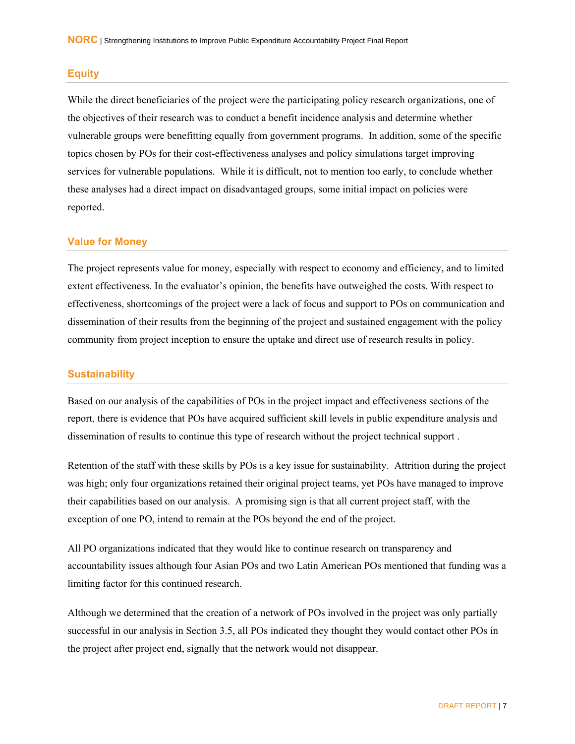#### **Equity**

While the direct beneficiaries of the project were the participating policy research organizations, one of the objectives of their research was to conduct a benefit incidence analysis and determine whether vulnerable groups were benefitting equally from government programs. In addition, some of the specific topics chosen by POs for their cost-effectiveness analyses and policy simulations target improving services for vulnerable populations. While it is difficult, not to mention too early, to conclude whether these analyses had a direct impact on disadvantaged groups, some initial impact on policies were reported.

#### **Value for Money**

The project represents value for money, especially with respect to economy and efficiency, and to limited extent effectiveness. In the evaluator's opinion, the benefits have outweighed the costs. With respect to effectiveness, shortcomings of the project were a lack of focus and support to POs on communication and dissemination of their results from the beginning of the project and sustained engagement with the policy community from project inception to ensure the uptake and direct use of research results in policy.

#### **Sustainability**

Based on our analysis of the capabilities of POs in the project impact and effectiveness sections of the report, there is evidence that POs have acquired sufficient skill levels in public expenditure analysis and dissemination of results to continue this type of research without the project technical support .

Retention of the staff with these skills by POs is a key issue for sustainability. Attrition during the project was high; only four organizations retained their original project teams, yet POs have managed to improve their capabilities based on our analysis. A promising sign is that all current project staff, with the exception of one PO, intend to remain at the POs beyond the end of the project.

All PO organizations indicated that they would like to continue research on transparency and accountability issues although four Asian POs and two Latin American POs mentioned that funding was a limiting factor for this continued research.

Although we determined that the creation of a network of POs involved in the project was only partially successful in our analysis in Section 3.5, all POs indicated they thought they would contact other POs in the project after project end, signally that the network would not disappear.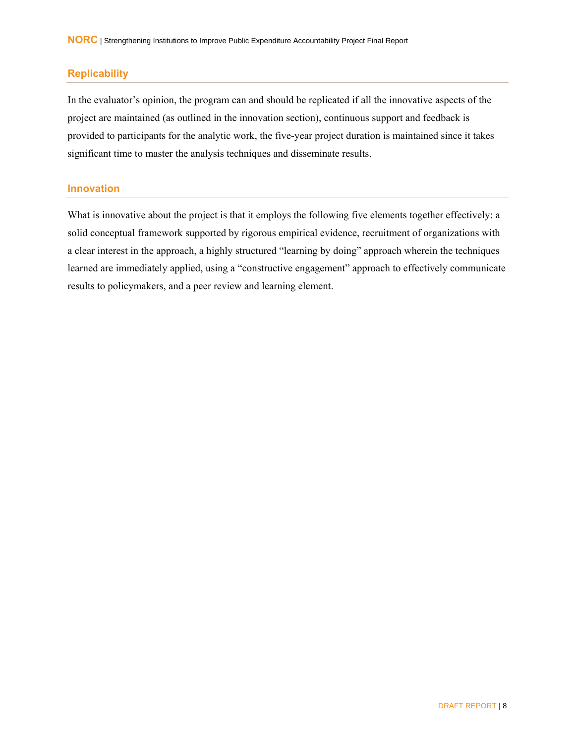#### **Replicability**

In the evaluator's opinion, the program can and should be replicated if all the innovative aspects of the project are maintained (as outlined in the innovation section), continuous support and feedback is provided to participants for the analytic work, the five-year project duration is maintained since it takes significant time to master the analysis techniques and disseminate results.

#### **Innovation**

What is innovative about the project is that it employs the following five elements together effectively: a solid conceptual framework supported by rigorous empirical evidence, recruitment of organizations with a clear interest in the approach, a highly structured "learning by doing" approach wherein the techniques learned are immediately applied, using a "constructive engagement" approach to effectively communicate results to policymakers, and a peer review and learning element.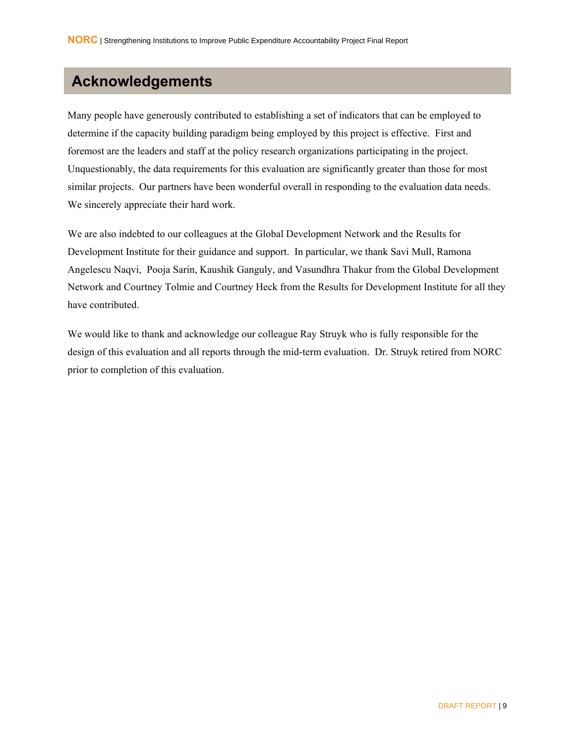### **Acknowledgements**

Many people have generously contributed to establishing a set of indicators that can be employed to determine if the capacity building paradigm being employed by this project is effective. First and foremost are the leaders and staff at the policy research organizations participating in the project. Unquestionably, the data requirements for this evaluation are significantly greater than those for most similar projects. Our partners have been wonderful overall in responding to the evaluation data needs. We sincerely appreciate their hard work.

We are also indebted to our colleagues at the Global Development Network and the Results for Development Institute for their guidance and support. In particular, we thank Savi Mull, Ramona Angelescu Naqvi, Pooja Sarin, Kaushik Ganguly, and Vasundhra Thakur from the Global Development Network and Courtney Tolmie and Courtney Heck from the Results for Development Institute for all they have contributed.

We would like to thank and acknowledge our colleague Ray Struyk who is fully responsible for the design of this evaluation and all reports through the mid-term evaluation. Dr. Struyk retired from NORC prior to completion of this evaluation.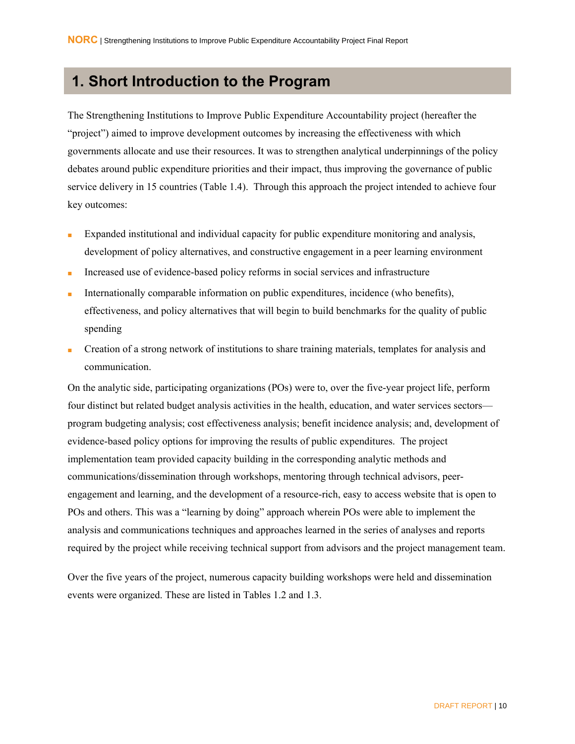### **1. Short Introduction to the Program**

The Strengthening Institutions to Improve Public Expenditure Accountability project (hereafter the "project") aimed to improve development outcomes by increasing the effectiveness with which governments allocate and use their resources. It was to strengthen analytical underpinnings of the policy debates around public expenditure priorities and their impact, thus improving the governance of public service delivery in 15 countries (Table 1.4). Through this approach the project intended to achieve four key outcomes:

- Expanded institutional and individual capacity for public expenditure monitoring and analysis, development of policy alternatives, and constructive engagement in a peer learning environment
- Increased use of evidence-based policy reforms in social services and infrastructure
- Internationally comparable information on public expenditures, incidence (who benefits), effectiveness, and policy alternatives that will begin to build benchmarks for the quality of public spending
- Creation of a strong network of institutions to share training materials, templates for analysis and communication.

On the analytic side, participating organizations (POs) were to, over the five-year project life, perform four distinct but related budget analysis activities in the health, education, and water services sectors program budgeting analysis; cost effectiveness analysis; benefit incidence analysis; and, development of evidence-based policy options for improving the results of public expenditures. The project implementation team provided capacity building in the corresponding analytic methods and communications/dissemination through workshops, mentoring through technical advisors, peerengagement and learning, and the development of a resource-rich, easy to access website that is open to POs and others. This was a "learning by doing" approach wherein POs were able to implement the analysis and communications techniques and approaches learned in the series of analyses and reports required by the project while receiving technical support from advisors and the project management team.

Over the five years of the project, numerous capacity building workshops were held and dissemination events were organized. These are listed in Tables 1.2 and 1.3.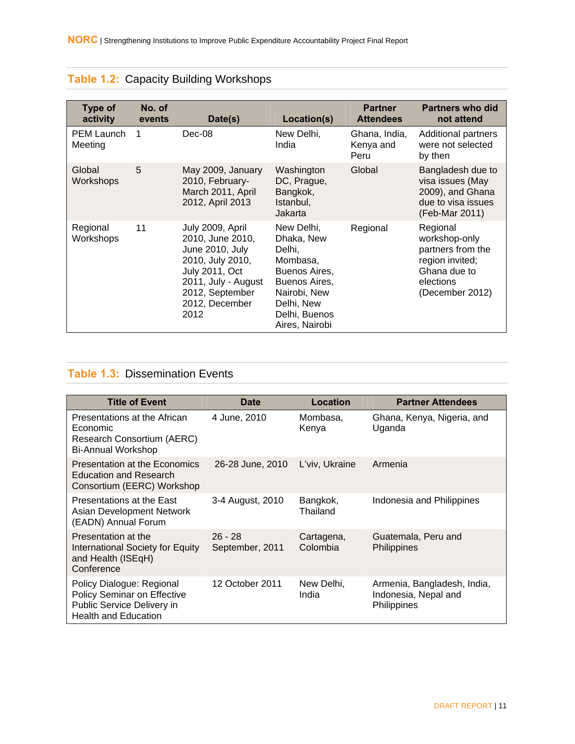| <b>Type of</b><br>activity | No. of<br>events | Date(s)                                                                                                                                                           | Location(s)                                                                                                                                       | <b>Partner</b><br><b>Attendees</b> | <b>Partners who did</b><br>not attend                                                                             |
|----------------------------|------------------|-------------------------------------------------------------------------------------------------------------------------------------------------------------------|---------------------------------------------------------------------------------------------------------------------------------------------------|------------------------------------|-------------------------------------------------------------------------------------------------------------------|
| PEM Launch<br>Meeting      |                  | $Dec-08$                                                                                                                                                          | New Delhi,<br>India                                                                                                                               | Ghana, India,<br>Kenya and<br>Peru | <b>Additional partners</b><br>were not selected<br>by then                                                        |
| Global<br>Workshops        | 5                | May 2009, January<br>2010, February-<br>March 2011, April<br>2012, April 2013                                                                                     | Washington<br>DC, Prague,<br>Bangkok,<br>Istanbul,<br>Jakarta                                                                                     | Global                             | Bangladesh due to<br>visa issues (May<br>2009), and Ghana<br>due to visa issues<br>(Feb-Mar 2011)                 |
| Regional<br>Workshops      | 11               | July 2009, April<br>2010, June 2010,<br>June 2010, July<br>2010, July 2010,<br>July 2011, Oct<br>2011, July - August<br>2012, September<br>2012, December<br>2012 | New Delhi,<br>Dhaka, New<br>Delhi,<br>Mombasa,<br>Buenos Aires,<br>Buenos Aires,<br>Nairobi, New<br>Delhi, New<br>Delhi, Buenos<br>Aires, Nairobi | Regional                           | Regional<br>workshop-only<br>partners from the<br>region invited;<br>Ghana due to<br>elections<br>(December 2012) |

### **Table 1.2:** Capacity Building Workshops

### **Table 1.3:** Dissemination Events

| <b>Title of Event</b>                                                                                                        | Date                         | Location               | <b>Partner Attendees</b>                                           |
|------------------------------------------------------------------------------------------------------------------------------|------------------------------|------------------------|--------------------------------------------------------------------|
| Presentations at the African<br>Economic<br>Research Consortium (AERC)<br><b>Bi-Annual Workshop</b>                          | 4 June, 2010                 | Mombasa,<br>Kenya      | Ghana, Kenya, Nigeria, and<br>Uganda                               |
| Presentation at the Economics<br><b>Education and Research</b><br>Consortium (EERC) Workshop                                 | 26-28 June, 2010             | L'viv, Ukraine         | Armenia                                                            |
| Presentations at the East<br>Asian Development Network<br>(EADN) Annual Forum                                                | 3-4 August, 2010             | Bangkok,<br>Thailand   | Indonesia and Philippines                                          |
| Presentation at the<br>International Society for Equity<br>and Health (ISEqH)<br>Conference                                  | $26 - 28$<br>September, 2011 | Cartagena,<br>Colombia | Guatemala, Peru and<br><b>Philippines</b>                          |
| Policy Dialogue: Regional<br><b>Policy Seminar on Effective</b><br>Public Service Delivery in<br><b>Health and Education</b> | 12 October 2011              | New Delhi,<br>India    | Armenia, Bangladesh, India,<br>Indonesia, Nepal and<br>Philippines |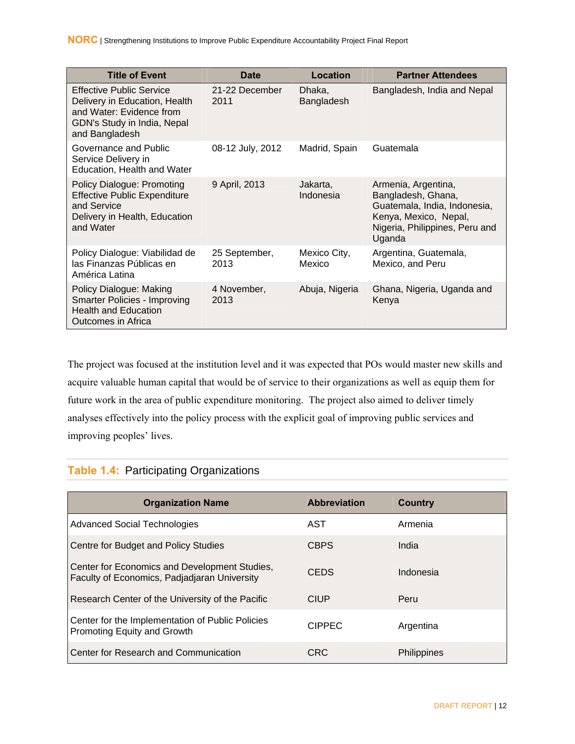| <b>Title of Event</b>                                                                                                                         | Date                   | Location               | <b>Partner Attendees</b>                                                                                                                       |
|-----------------------------------------------------------------------------------------------------------------------------------------------|------------------------|------------------------|------------------------------------------------------------------------------------------------------------------------------------------------|
| <b>Effective Public Service</b><br>Delivery in Education, Health<br>and Water: Evidence from<br>GDN's Study in India, Nepal<br>and Bangladesh | 21-22 December<br>2011 | Dhaka,<br>Bangladesh   | Bangladesh, India and Nepal                                                                                                                    |
| Governance and Public<br>Service Delivery in<br>Education, Health and Water                                                                   | 08-12 July, 2012       | Madrid, Spain          | Guatemala                                                                                                                                      |
| <b>Policy Dialogue: Promoting</b><br><b>Effective Public Expenditure</b><br>and Service<br>Delivery in Health, Education<br>and Water         | 9 April, 2013          | Jakarta,<br>Indonesia  | Armenia, Argentina,<br>Bangladesh, Ghana,<br>Guatemala, India, Indonesia,<br>Kenya, Mexico, Nepal,<br>Nigeria, Philippines, Peru and<br>Uganda |
| Policy Dialogue: Viabilidad de<br>las Finanzas Públicas en<br>América Latina                                                                  | 25 September,<br>2013  | Mexico City,<br>Mexico | Argentina, Guatemala,<br>Mexico, and Peru                                                                                                      |
| Policy Dialogue: Making<br><b>Smarter Policies - Improving</b><br><b>Health and Education</b><br>Outcomes in Africa                           | 4 November,<br>2013    | Abuja, Nigeria         | Ghana, Nigeria, Uganda and<br>Kenya                                                                                                            |

The project was focused at the institution level and it was expected that POs would master new skills and acquire valuable human capital that would be of service to their organizations as well as equip them for future work in the area of public expenditure monitoring. The project also aimed to deliver timely analyses effectively into the policy process with the explicit goal of improving public services and improving peoples' lives.

#### **Table 1.4:** Participating Organizations

| <b>Organization Name</b>                                                                      | <b>Abbreviation</b> | Country            |
|-----------------------------------------------------------------------------------------------|---------------------|--------------------|
| <b>Advanced Social Technologies</b>                                                           | AST                 | Armenia            |
| Centre for Budget and Policy Studies                                                          | <b>CBPS</b>         | India              |
| Center for Economics and Development Studies,<br>Faculty of Economics, Padjadjaran University | <b>CEDS</b>         | Indonesia          |
| Research Center of the University of the Pacific                                              | CIUP                | Peru               |
| Center for the Implementation of Public Policies<br>Promoting Equity and Growth               | <b>CIPPEC</b>       | Argentina          |
| Center for Research and Communication                                                         | <b>CRC</b>          | <b>Philippines</b> |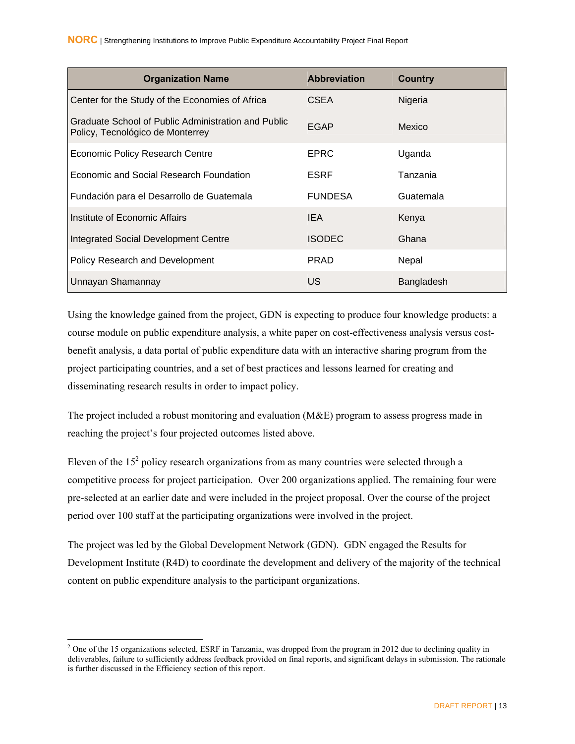| <b>Organization Name</b>                                                                | <b>Abbreviation</b> | <b>Country</b> |
|-----------------------------------------------------------------------------------------|---------------------|----------------|
| Center for the Study of the Economies of Africa                                         | <b>CSEA</b>         | Nigeria        |
| Graduate School of Public Administration and Public<br>Policy, Tecnológico de Monterrey | <b>EGAP</b>         | Mexico         |
| <b>Economic Policy Research Centre</b>                                                  | <b>EPRC</b>         | Uganda         |
| Economic and Social Research Foundation                                                 | <b>ESRF</b>         | Tanzania       |
| Fundación para el Desarrollo de Guatemala                                               | <b>FUNDESA</b>      | Guatemala      |
| Institute of Economic Affairs                                                           | IEA.                | Kenya          |
| Integrated Social Development Centre                                                    | <b>ISODEC</b>       | Ghana          |
| <b>Policy Research and Development</b>                                                  | <b>PRAD</b>         | Nepal          |
| Unnayan Shamannay                                                                       | US                  | Bangladesh     |

Using the knowledge gained from the project, GDN is expecting to produce four knowledge products: a course module on public expenditure analysis, a white paper on cost-effectiveness analysis versus costbenefit analysis, a data portal of public expenditure data with an interactive sharing program from the project participating countries, and a set of best practices and lessons learned for creating and disseminating research results in order to impact policy.

The project included a robust monitoring and evaluation  $(MAE)$  program to assess progress made in reaching the project's four projected outcomes listed above.

Eleven of the  $15<sup>2</sup>$  policy research organizations from as many countries were selected through a competitive process for project participation. Over 200 organizations applied. The remaining four were pre-selected at an earlier date and were included in the project proposal. Over the course of the project period over 100 staff at the participating organizations were involved in the project.

The project was led by the Global Development Network (GDN). GDN engaged the Results for Development Institute (R4D) to coordinate the development and delivery of the majority of the technical content on public expenditure analysis to the participant organizations.

-

<sup>&</sup>lt;sup>2</sup> One of the 15 organizations selected, ESRF in Tanzania, was dropped from the program in 2012 due to declining quality in deliverables, failure to sufficiently address feedback provided on final reports, and significant delays in submission. The rationale is further discussed in the Efficiency section of this report.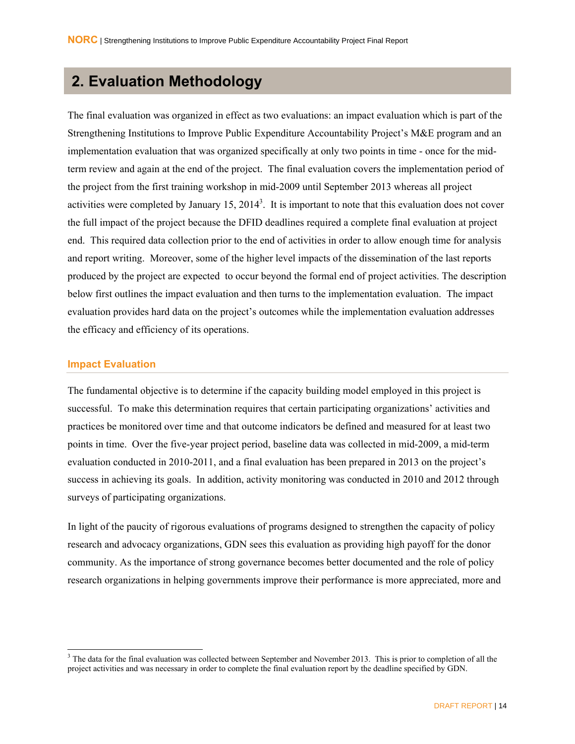### **2. Evaluation Methodology**

The final evaluation was organized in effect as two evaluations: an impact evaluation which is part of the Strengthening Institutions to Improve Public Expenditure Accountability Project's M&E program and an implementation evaluation that was organized specifically at only two points in time - once for the midterm review and again at the end of the project. The final evaluation covers the implementation period of the project from the first training workshop in mid-2009 until September 2013 whereas all project activities were completed by January 15, 2014<sup>3</sup>. It is important to note that this evaluation does not cover the full impact of the project because the DFID deadlines required a complete final evaluation at project end. This required data collection prior to the end of activities in order to allow enough time for analysis and report writing. Moreover, some of the higher level impacts of the dissemination of the last reports produced by the project are expected to occur beyond the formal end of project activities. The description below first outlines the impact evaluation and then turns to the implementation evaluation. The impact evaluation provides hard data on the project's outcomes while the implementation evaluation addresses the efficacy and efficiency of its operations.

#### **Impact Evaluation**

l

The fundamental objective is to determine if the capacity building model employed in this project is successful. To make this determination requires that certain participating organizations' activities and practices be monitored over time and that outcome indicators be defined and measured for at least two points in time. Over the five-year project period, baseline data was collected in mid-2009, a mid-term evaluation conducted in 2010-2011, and a final evaluation has been prepared in 2013 on the project's success in achieving its goals. In addition, activity monitoring was conducted in 2010 and 2012 through surveys of participating organizations.

In light of the paucity of rigorous evaluations of programs designed to strengthen the capacity of policy research and advocacy organizations, GDN sees this evaluation as providing high payoff for the donor community. As the importance of strong governance becomes better documented and the role of policy research organizations in helping governments improve their performance is more appreciated, more and

 $3$  The data for the final evaluation was collected between September and November 2013. This is prior to completion of all the project activities and was necessary in order to complete the final evaluation report by the deadline specified by GDN.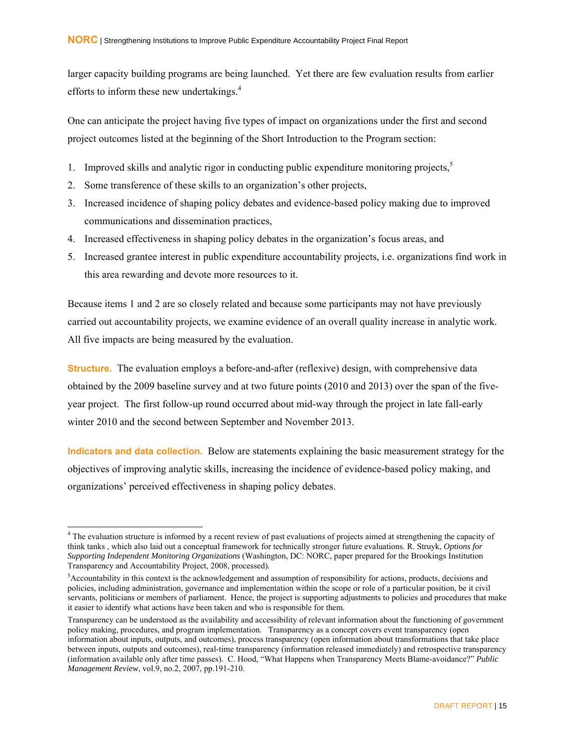larger capacity building programs are being launched. Yet there are few evaluation results from earlier efforts to inform these new undertakings.<sup>4</sup>

One can anticipate the project having five types of impact on organizations under the first and second project outcomes listed at the beginning of the Short Introduction to the Program section:

- 1. Improved skills and analytic rigor in conducting public expenditure monitoring projects,<sup>5</sup>
- 2. Some transference of these skills to an organization's other projects,

1

- 3. Increased incidence of shaping policy debates and evidence-based policy making due to improved communications and dissemination practices,
- 4. Increased effectiveness in shaping policy debates in the organization's focus areas, and
- 5. Increased grantee interest in public expenditure accountability projects, i.e. organizations find work in this area rewarding and devote more resources to it.

Because items 1 and 2 are so closely related and because some participants may not have previously carried out accountability projects, we examine evidence of an overall quality increase in analytic work. All five impacts are being measured by the evaluation.

**Structure.** The evaluation employs a before-and-after (reflexive) design, with comprehensive data obtained by the 2009 baseline survey and at two future points (2010 and 2013) over the span of the fiveyear project. The first follow-up round occurred about mid-way through the project in late fall-early winter 2010 and the second between September and November 2013.

**Indicators and data collection.** Below are statements explaining the basic measurement strategy for the objectives of improving analytic skills, increasing the incidence of evidence-based policy making, and organizations' perceived effectiveness in shaping policy debates.

<sup>&</sup>lt;sup>4</sup> The evaluation structure is informed by a recent review of past evaluations of projects aimed at strengthening the capacity of think tanks , which also laid out a conceptual framework for technically stronger future evaluations. R. Struyk, *Options for Supporting Independent Monitoring Organizations* (Washington, DC: NORC, paper prepared for the Brookings Institution Transparency and Accountability Project, 2008, processed)*.*

 ${}^5$ Accountability in this context is the acknowledgement and assumption of responsibility for actions, products, decisions and policies, including administration, governance and implementation within the scope or role of a particular position, be it civil servants, politicians or members of parliament. Hence, the project is supporting adjustments to policies and procedures that make it easier to identify what actions have been taken and who is responsible for them.

Transparency can be understood as the availability and accessibility of relevant information about the functioning of government policy making, procedures, and program implementation. Transparency as a concept covers event transparency (open information about inputs, outputs, and outcomes), process transparency (open information about transformations that take place between inputs, outputs and outcomes), real-time transparency (information released immediately) and retrospective transparency (information available only after time passes). C. Hood, "What Happens when Transparency Meets Blame-avoidance?" *Public Management Review*, vol.9, no.2, 2007, pp.191-210.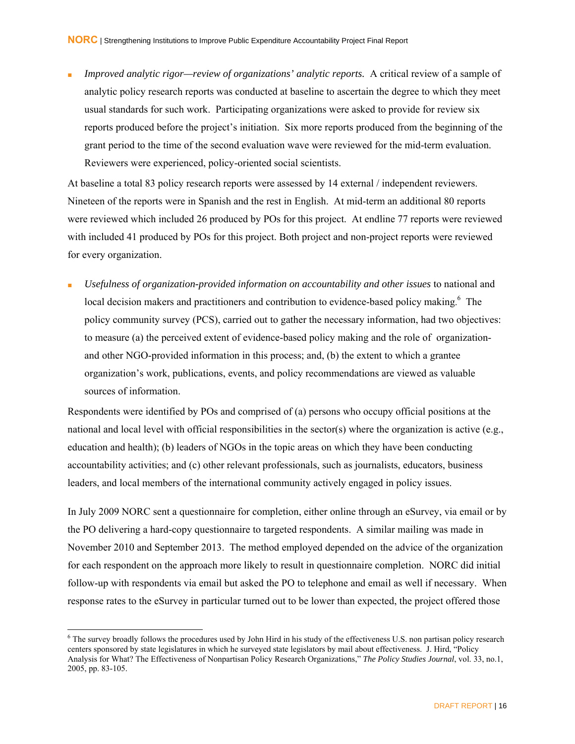Improved analytic rigor—review of organizations' analytic reports. A critical review of a sample of analytic policy research reports was conducted at baseline to ascertain the degree to which they meet usual standards for such work. Participating organizations were asked to provide for review six reports produced before the project's initiation. Six more reports produced from the beginning of the grant period to the time of the second evaluation wave were reviewed for the mid-term evaluation. Reviewers were experienced, policy-oriented social scientists.

At baseline a total 83 policy research reports were assessed by 14 external / independent reviewers. Nineteen of the reports were in Spanish and the rest in English. At mid-term an additional 80 reports were reviewed which included 26 produced by POs for this project. At endline 77 reports were reviewed with included 41 produced by POs for this project. Both project and non-project reports were reviewed for every organization.

Usefulness of organization-provided information on accountability and other issues to national and local decision makers and practitioners and contribution to evidence-based policy making.<sup>6</sup> The policy community survey (PCS), carried out to gather the necessary information, had two objectives: to measure (a) the perceived extent of evidence-based policy making and the role of organizationand other NGO-provided information in this process; and, (b) the extent to which a grantee organization's work, publications, events, and policy recommendations are viewed as valuable sources of information.

Respondents were identified by POs and comprised of (a) persons who occupy official positions at the national and local level with official responsibilities in the sector(s) where the organization is active (e.g., education and health); (b) leaders of NGOs in the topic areas on which they have been conducting accountability activities; and (c) other relevant professionals, such as journalists, educators, business leaders, and local members of the international community actively engaged in policy issues.

In July 2009 NORC sent a questionnaire for completion, either online through an eSurvey, via email or by the PO delivering a hard-copy questionnaire to targeted respondents. A similar mailing was made in November 2010 and September 2013. The method employed depended on the advice of the organization for each respondent on the approach more likely to result in questionnaire completion. NORC did initial follow-up with respondents via email but asked the PO to telephone and email as well if necessary. When response rates to the eSurvey in particular turned out to be lower than expected, the project offered those

l

<sup>&</sup>lt;sup>6</sup> The survey broadly follows the procedures used by John Hird in his study of the effectiveness U.S. non partisan policy research centers sponsored by state legislatures in which he surveyed state legislators by mail about effectiveness. J. Hird, "Policy Analysis for What? The Effectiveness of Nonpartisan Policy Research Organizations," *The Policy Studies Journal*, vol. 33, no.1, 2005, pp. 83-105.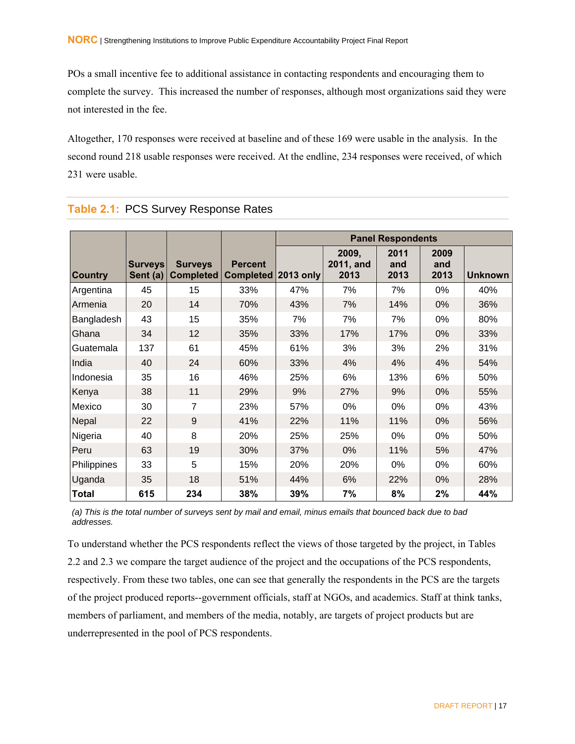POs a small incentive fee to additional assistance in contacting respondents and encouraging them to complete the survey. This increased the number of responses, although most organizations said they were not interested in the fee.

Altogether, 170 responses were received at baseline and of these 169 were usable in the analysis. In the second round 218 usable responses were received. At the endline, 234 responses were received, of which 231 were usable.

|                |                            |                             |                                       | <b>Panel Respondents</b> |                            |                     |                     |                |  |  |
|----------------|----------------------------|-----------------------------|---------------------------------------|--------------------------|----------------------------|---------------------|---------------------|----------------|--|--|
| <b>Country</b> | <b>Surveys</b><br>Sent (a) | <b>Surveys</b><br>Completed | <b>Percent</b><br>Completed 2013 only |                          | 2009,<br>2011, and<br>2013 | 2011<br>and<br>2013 | 2009<br>and<br>2013 | <b>Unknown</b> |  |  |
| Argentina      | 45                         | 15                          | 33%                                   | 47%                      | 7%                         | 7%                  | 0%                  | 40%            |  |  |
| Armenia        | 20                         | 14                          | 70%                                   | 43%                      | 7%                         | 14%                 | $0\%$               | 36%            |  |  |
| Bangladesh     | 43                         | 15                          | 35%                                   | 7%                       | 7%                         | 7%                  | 0%                  | 80%            |  |  |
| Ghana          | 34                         | 12                          | 35%                                   | 33%                      | 17%                        | 17%                 | $0\%$               | 33%            |  |  |
| Guatemala      | 137                        | 61                          | 45%                                   | 61%                      | 3%                         | 3%                  | 2%                  | 31%            |  |  |
| India          | 40                         | 24                          | 60%                                   | 33%                      | 4%                         | 4%                  | 4%                  | 54%            |  |  |
| Indonesia      | 35                         | 16                          | 46%                                   | 25%                      | 6%                         | 13%                 | 6%                  | 50%            |  |  |
| Kenya          | 38                         | 11                          | 29%                                   | 9%                       | 27%                        | 9%                  | $0\%$               | 55%            |  |  |
| Mexico         | 30                         | 7                           | 23%                                   | 57%                      | $0\%$                      | 0%                  | 0%                  | 43%            |  |  |
| Nepal          | 22                         | 9                           | 41%                                   | 22%                      | 11%                        | 11%                 | $0\%$               | 56%            |  |  |
| Nigeria        | 40                         | 8                           | 20%                                   | 25%                      | 25%                        | 0%                  | 0%                  | 50%            |  |  |
| Peru           | 63                         | 19                          | 30%                                   | 37%                      | $0\%$                      | 11%                 | 5%                  | 47%            |  |  |
| Philippines    | 33                         | 5                           | 15%                                   | 20%                      | 20%                        | 0%                  | 0%                  | 60%            |  |  |
| Uganda         | 35                         | 18                          | 51%                                   | 44%                      | 6%                         | 22%                 | $0\%$               | 28%            |  |  |
| <b>Total</b>   | 615                        | 234                         | 38%                                   | 39%                      | 7%                         | 8%                  | 2%                  | 44%            |  |  |

#### **Table 2.1:** PCS Survey Response Rates

*(a) This is the total number of surveys sent by mail and email, minus emails that bounced back due to bad addresses.* 

To understand whether the PCS respondents reflect the views of those targeted by the project, in Tables 2.2 and 2.3 we compare the target audience of the project and the occupations of the PCS respondents, respectively. From these two tables, one can see that generally the respondents in the PCS are the targets of the project produced reports--government officials, staff at NGOs, and academics. Staff at think tanks, members of parliament, and members of the media, notably, are targets of project products but are underrepresented in the pool of PCS respondents.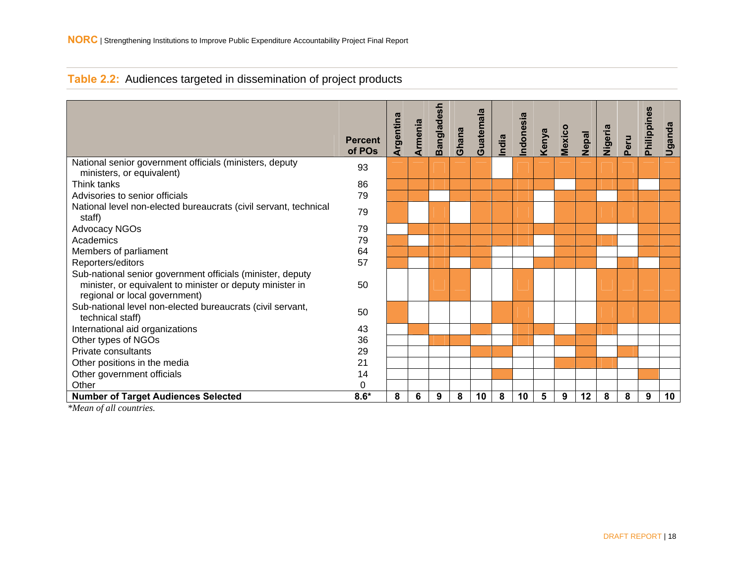|                                                                                                                                                          | <b>Percent</b><br>of POs | Argentina | Armenia | <b>Bangladesh</b> | Ghana | Guatemala | India | Indonesia | Kenya | Mexico | Nepal | Nigeria | Peru | Philippines | Uganda |
|----------------------------------------------------------------------------------------------------------------------------------------------------------|--------------------------|-----------|---------|-------------------|-------|-----------|-------|-----------|-------|--------|-------|---------|------|-------------|--------|
| National senior government officials (ministers, deputy<br>ministers, or equivalent)                                                                     | 93                       |           |         |                   |       |           |       |           |       |        |       |         |      |             |        |
| Think tanks                                                                                                                                              | 86                       |           |         |                   |       |           |       |           |       |        |       |         |      |             |        |
| Advisories to senior officials                                                                                                                           | 79                       |           |         |                   |       |           |       |           |       |        |       |         |      |             |        |
| National level non-elected bureaucrats (civil servant, technical<br>staff)                                                                               | 79                       |           |         |                   |       |           |       |           |       |        |       |         |      |             |        |
| Advocacy NGOs                                                                                                                                            | 79                       |           |         |                   |       |           |       |           |       |        |       |         |      |             |        |
| Academics                                                                                                                                                | 79                       |           |         |                   |       |           |       |           |       |        |       |         |      |             |        |
| Members of parliament                                                                                                                                    | 64                       |           |         |                   |       |           |       |           |       |        |       |         |      |             |        |
| Reporters/editors                                                                                                                                        | 57                       |           |         |                   |       |           |       |           |       |        |       |         |      |             |        |
| Sub-national senior government officials (minister, deputy<br>minister, or equivalent to minister or deputy minister in<br>regional or local government) | 50                       |           |         |                   |       |           |       |           |       |        |       |         |      |             |        |
| Sub-national level non-elected bureaucrats (civil servant,<br>technical staff)                                                                           | 50                       |           |         |                   |       |           |       |           |       |        |       |         |      |             |        |
| International aid organizations                                                                                                                          | 43                       |           |         |                   |       |           |       |           |       |        |       |         |      |             |        |
| Other types of NGOs                                                                                                                                      | 36                       |           |         |                   |       |           |       |           |       |        |       |         |      |             |        |
| Private consultants                                                                                                                                      | 29                       |           |         |                   |       |           |       |           |       |        |       |         |      |             |        |
| Other positions in the media                                                                                                                             | 21                       |           |         |                   |       |           |       |           |       |        |       |         |      |             |        |
| Other government officials                                                                                                                               | 14                       |           |         |                   |       |           |       |           |       |        |       |         |      |             |        |
| Other                                                                                                                                                    | 0                        |           |         |                   |       |           |       |           |       |        |       |         |      |             |        |
| <b>Number of Target Audiences Selected</b>                                                                                                               | $8.6*$                   | 8         | 6       | 9                 | 8     | 10        | 8     | 10        | 5     | 9      | 12    | 8       | 8    | 9           | 10     |

#### **Table 2.2:** Audiences targeted in dissemination of project products

*\*Mean of all countries.*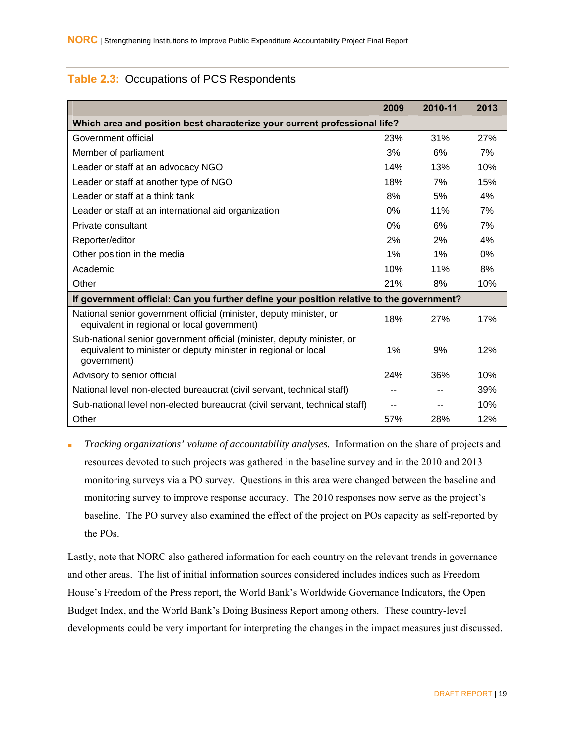#### **Table 2.3:** Occupations of PCS Respondents

|                                                                                                                                                         | 2009  | 2010-11 | 2013  |
|---------------------------------------------------------------------------------------------------------------------------------------------------------|-------|---------|-------|
| Which area and position best characterize your current professional life?                                                                               |       |         |       |
| Government official                                                                                                                                     | 23%   | 31%     | 27%   |
| Member of parliament                                                                                                                                    | 3%    | 6%      | 7%    |
| Leader or staff at an advocacy NGO                                                                                                                      | 14%   | 13%     | 10%   |
| Leader or staff at another type of NGO                                                                                                                  | 18%   | 7%      | 15%   |
| Leader or staff at a think tank                                                                                                                         | 8%    | 5%      | 4%    |
| Leader or staff at an international aid organization                                                                                                    | $0\%$ | 11%     | 7%    |
| Private consultant                                                                                                                                      | $0\%$ | 6%      | 7%    |
| Reporter/editor                                                                                                                                         | 2%    | 2%      | 4%    |
| Other position in the media                                                                                                                             | 1%    | 1%      | $0\%$ |
| Academic                                                                                                                                                | 10%   | 11%     | 8%    |
| Other                                                                                                                                                   | 21%   | 8%      | 10%   |
| If government official: Can you further define your position relative to the government?                                                                |       |         |       |
| National senior government official (minister, deputy minister, or<br>equivalent in regional or local government)                                       | 18%   | 27%     | 17%   |
| Sub-national senior government official (minister, deputy minister, or<br>equivalent to minister or deputy minister in regional or local<br>government) | 1%    | 9%      | 12%   |
| Advisory to senior official                                                                                                                             | 24%   | 36%     | 10%   |
| National level non-elected bureaucrat (civil servant, technical staff)                                                                                  | --    | --      | 39%   |
| Sub-national level non-elected bureaucrat (civil servant, technical staff)                                                                              |       |         | 10%   |
| Other                                                                                                                                                   | 57%   | 28%     | 12%   |

■ *Tracking organizations' volume of accountability analyses.* Information on the share of projects and resources devoted to such projects was gathered in the baseline survey and in the 2010 and 2013 monitoring surveys via a PO survey. Questions in this area were changed between the baseline and monitoring survey to improve response accuracy. The 2010 responses now serve as the project's baseline. The PO survey also examined the effect of the project on POs capacity as self-reported by the POs.

Lastly, note that NORC also gathered information for each country on the relevant trends in governance and other areas. The list of initial information sources considered includes indices such as Freedom House's Freedom of the Press report, the World Bank's Worldwide Governance Indicators, the Open Budget Index, and the World Bank's Doing Business Report among others. These country-level developments could be very important for interpreting the changes in the impact measures just discussed.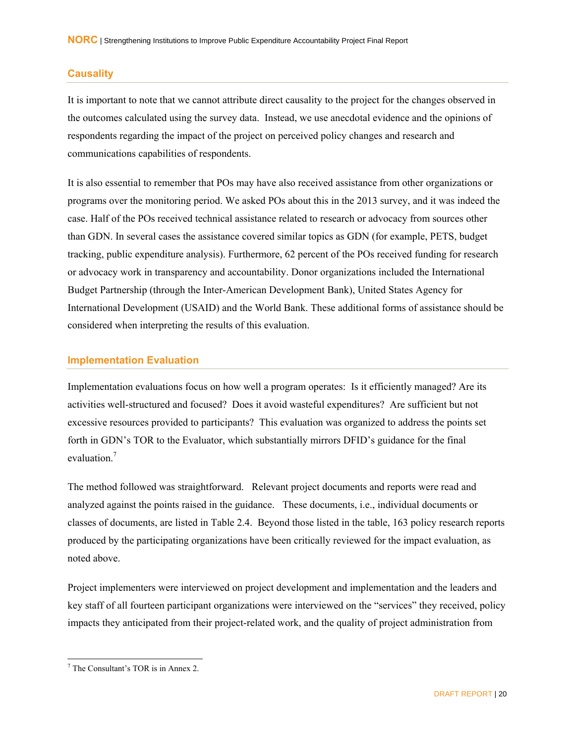#### **Causality**

It is important to note that we cannot attribute direct causality to the project for the changes observed in the outcomes calculated using the survey data. Instead, we use anecdotal evidence and the opinions of respondents regarding the impact of the project on perceived policy changes and research and communications capabilities of respondents.

It is also essential to remember that POs may have also received assistance from other organizations or programs over the monitoring period. We asked POs about this in the 2013 survey, and it was indeed the case. Half of the POs received technical assistance related to research or advocacy from sources other than GDN. In several cases the assistance covered similar topics as GDN (for example, PETS, budget tracking, public expenditure analysis). Furthermore, 62 percent of the POs received funding for research or advocacy work in transparency and accountability. Donor organizations included the International Budget Partnership (through the Inter-American Development Bank), United States Agency for International Development (USAID) and the World Bank. These additional forms of assistance should be considered when interpreting the results of this evaluation.

#### **Implementation Evaluation**

Implementation evaluations focus on how well a program operates: Is it efficiently managed? Are its activities well-structured and focused? Does it avoid wasteful expenditures? Are sufficient but not excessive resources provided to participants? This evaluation was organized to address the points set forth in GDN's TOR to the Evaluator, which substantially mirrors DFID's guidance for the final evaluation.<sup>7</sup>

The method followed was straightforward. Relevant project documents and reports were read and analyzed against the points raised in the guidance. These documents, i.e., individual documents or classes of documents, are listed in Table 2.4. Beyond those listed in the table, 163 policy research reports produced by the participating organizations have been critically reviewed for the impact evaluation, as noted above.

Project implementers were interviewed on project development and implementation and the leaders and key staff of all fourteen participant organizations were interviewed on the "services" they received, policy impacts they anticipated from their project-related work, and the quality of project administration from

 7 The Consultant's TOR is in Annex 2.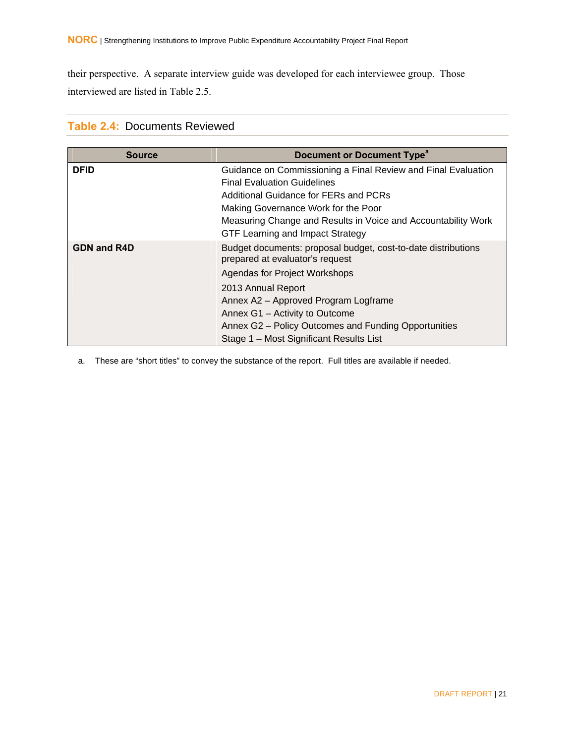their perspective. A separate interview guide was developed for each interviewee group. Those interviewed are listed in Table 2.5.

| <b>Source</b>      | Document or Document Type <sup>a</sup>                                                           |
|--------------------|--------------------------------------------------------------------------------------------------|
| <b>DFID</b>        | Guidance on Commissioning a Final Review and Final Evaluation                                    |
|                    | <b>Final Evaluation Guidelines</b>                                                               |
|                    | Additional Guidance for FERs and PCRs                                                            |
|                    | Making Governance Work for the Poor                                                              |
|                    | Measuring Change and Results in Voice and Accountability Work                                    |
|                    | GTF Learning and Impact Strategy                                                                 |
| <b>GDN and R4D</b> | Budget documents: proposal budget, cost-to-date distributions<br>prepared at evaluator's request |
|                    | Agendas for Project Workshops                                                                    |
|                    | 2013 Annual Report                                                                               |
|                    | Annex A2 - Approved Program Logframe                                                             |
|                    | Annex G1 - Activity to Outcome                                                                   |
|                    | Annex G2 - Policy Outcomes and Funding Opportunities                                             |
|                    | Stage 1 - Most Significant Results List                                                          |

#### **Table 2.4:** Documents Reviewed

a. These are "short titles" to convey the substance of the report. Full titles are available if needed.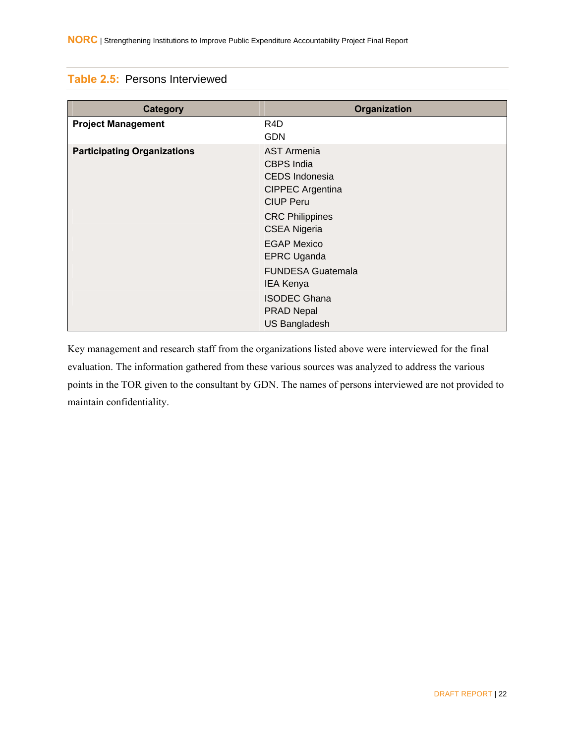#### **Table 2.5:** Persons Interviewed

| <b>Category</b>                    | Organization                                                                                                                                                                                                                                                                                                              |
|------------------------------------|---------------------------------------------------------------------------------------------------------------------------------------------------------------------------------------------------------------------------------------------------------------------------------------------------------------------------|
| <b>Project Management</b>          | R <sub>4</sub> D<br><b>GDN</b>                                                                                                                                                                                                                                                                                            |
| <b>Participating Organizations</b> | <b>AST Armenia</b><br><b>CBPS India</b><br><b>CEDS</b> Indonesia<br><b>CIPPEC Argentina</b><br><b>CIUP Peru</b><br><b>CRC Philippines</b><br><b>CSEA Nigeria</b><br><b>EGAP Mexico</b><br><b>EPRC Uganda</b><br><b>FUNDESA Guatemala</b><br><b>IEA Kenya</b><br><b>ISODEC Ghana</b><br><b>PRAD Nepal</b><br>US Bangladesh |

Key management and research staff from the organizations listed above were interviewed for the final evaluation. The information gathered from these various sources was analyzed to address the various points in the TOR given to the consultant by GDN. The names of persons interviewed are not provided to maintain confidentiality.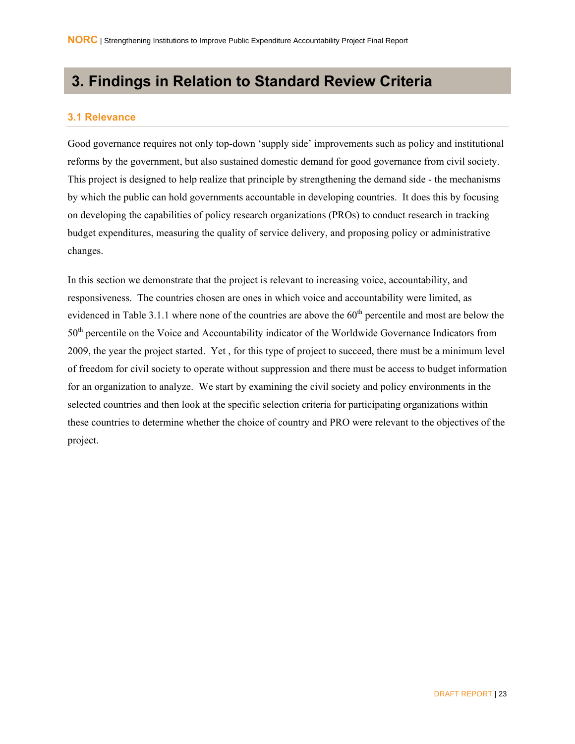### **3. Findings in Relation to Standard Review Criteria**

#### **3.1 Relevance**

Good governance requires not only top-down 'supply side' improvements such as policy and institutional reforms by the government, but also sustained domestic demand for good governance from civil society. This project is designed to help realize that principle by strengthening the demand side - the mechanisms by which the public can hold governments accountable in developing countries. It does this by focusing on developing the capabilities of policy research organizations (PROs) to conduct research in tracking budget expenditures, measuring the quality of service delivery, and proposing policy or administrative changes.

In this section we demonstrate that the project is relevant to increasing voice, accountability, and responsiveness. The countries chosen are ones in which voice and accountability were limited, as evidenced in Table 3.1.1 where none of the countries are above the  $60<sup>th</sup>$  percentile and most are below the 50<sup>th</sup> percentile on the Voice and Accountability indicator of the Worldwide Governance Indicators from 2009, the year the project started. Yet , for this type of project to succeed, there must be a minimum level of freedom for civil society to operate without suppression and there must be access to budget information for an organization to analyze. We start by examining the civil society and policy environments in the selected countries and then look at the specific selection criteria for participating organizations within these countries to determine whether the choice of country and PRO were relevant to the objectives of the project.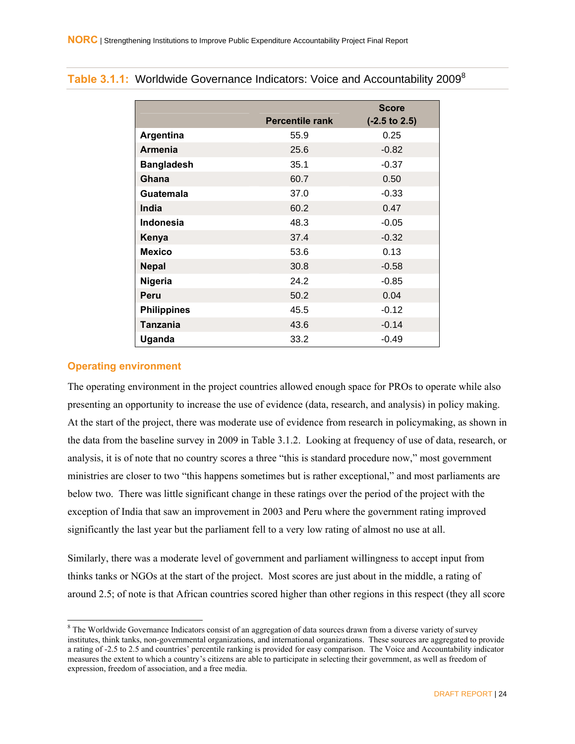|                    |                        | <b>Score</b>             |
|--------------------|------------------------|--------------------------|
|                    | <b>Percentile rank</b> | $(-2.5 \text{ to } 2.5)$ |
| Argentina          | 55.9                   | 0.25                     |
| <b>Armenia</b>     | 25.6                   | $-0.82$                  |
| <b>Bangladesh</b>  | 35.1                   | $-0.37$                  |
| Ghana              | 60.7                   | 0.50                     |
| <b>Guatemala</b>   | 37.0                   | $-0.33$                  |
| India              | 60.2                   | 0.47                     |
| <b>Indonesia</b>   | 48.3                   | $-0.05$                  |
| Kenya              | 37.4                   | $-0.32$                  |
| <b>Mexico</b>      | 53.6                   | 0.13                     |
| <b>Nepal</b>       | 30.8                   | $-0.58$                  |
| Nigeria            | 24.2                   | $-0.85$                  |
| Peru               | 50.2                   | 0.04                     |
| <b>Philippines</b> | 45.5                   | $-0.12$                  |
| <b>Tanzania</b>    | 43.6                   | $-0.14$                  |
| Uganda             | 33.2                   | $-0.49$                  |

#### Table 3.1.1: Worldwide Governance Indicators: Voice and Accountability 2009<sup>8</sup>

#### **Operating environment**

l

The operating environment in the project countries allowed enough space for PROs to operate while also presenting an opportunity to increase the use of evidence (data, research, and analysis) in policy making. At the start of the project, there was moderate use of evidence from research in policymaking, as shown in the data from the baseline survey in 2009 in Table 3.1.2. Looking at frequency of use of data, research, or analysis, it is of note that no country scores a three "this is standard procedure now," most government ministries are closer to two "this happens sometimes but is rather exceptional," and most parliaments are below two. There was little significant change in these ratings over the period of the project with the exception of India that saw an improvement in 2003 and Peru where the government rating improved significantly the last year but the parliament fell to a very low rating of almost no use at all.

Similarly, there was a moderate level of government and parliament willingness to accept input from thinks tanks or NGOs at the start of the project. Most scores are just about in the middle, a rating of around 2.5; of note is that African countries scored higher than other regions in this respect (they all score

<sup>&</sup>lt;sup>8</sup> The Worldwide Governance Indicators consist of an aggregation of data sources drawn from a diverse variety of survey institutes, think tanks, non-governmental organizations, and international organizations. These sources are aggregated to provide a rating of -2.5 to 2.5 and countries' percentile ranking is provided for easy comparison. The Voice and Accountability indicator measures the extent to which a country's citizens are able to participate in selecting their government, as well as freedom of expression, freedom of association, and a free media.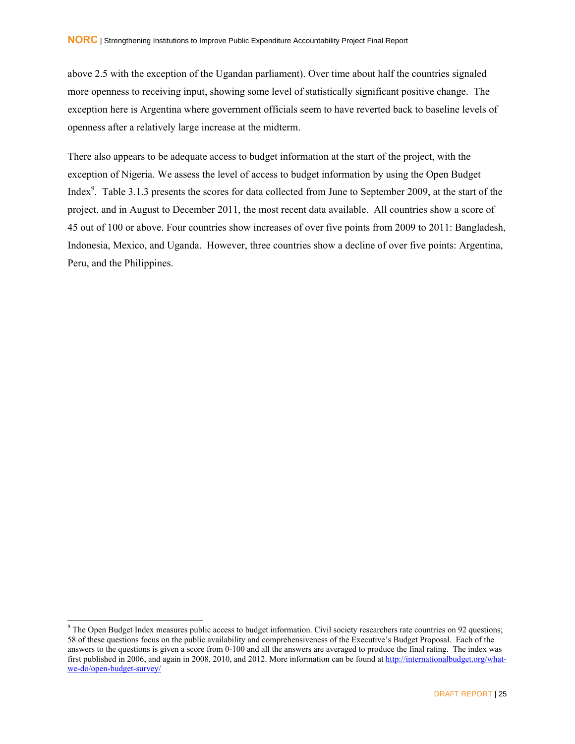above 2.5 with the exception of the Ugandan parliament). Over time about half the countries signaled more openness to receiving input, showing some level of statistically significant positive change. The exception here is Argentina where government officials seem to have reverted back to baseline levels of openness after a relatively large increase at the midterm.

There also appears to be adequate access to budget information at the start of the project, with the exception of Nigeria. We assess the level of access to budget information by using the Open Budget Index<sup>9</sup>. Table 3.1.3 presents the scores for data collected from June to September 2009, at the start of the project, and in August to December 2011, the most recent data available. All countries show a score of 45 out of 100 or above. Four countries show increases of over five points from 2009 to 2011: Bangladesh, Indonesia, Mexico, and Uganda. However, three countries show a decline of over five points: Argentina, Peru, and the Philippines.

-

<sup>&</sup>lt;sup>9</sup> The Open Budget Index measures public access to budget information. Civil society researchers rate countries on 92 questions; 58 of these questions focus on the public availability and comprehensiveness of the Executive's Budget Proposal. Each of the answers to the questions is given a score from 0-100 and all the answers are averaged to produce the final rating. The index was first published in 2006, and again in 2008, 2010, and 2012. More information can be found at http://internationalbudget.org/whatwe-do/open-budget-survey/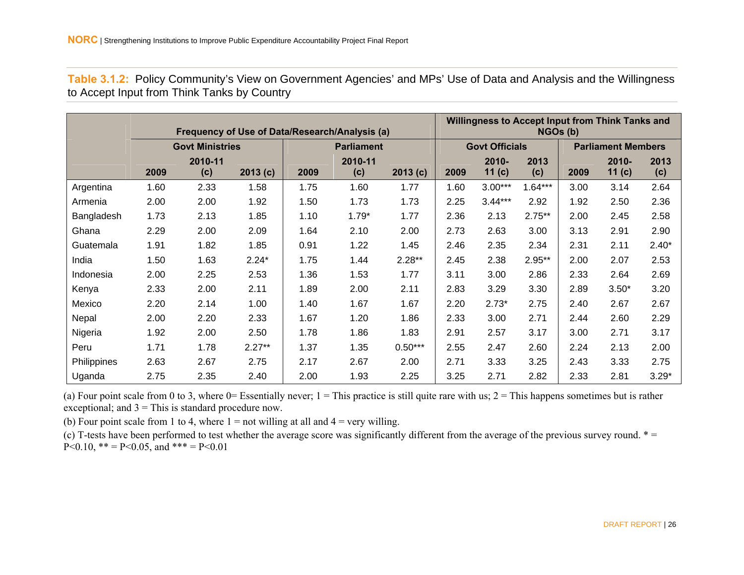|             |                                                |                        |          |      |                   |           | <b>Willingness to Accept Input from Think Tanks and</b> |                       |           |                           |                   |         |  |  |  |  |
|-------------|------------------------------------------------|------------------------|----------|------|-------------------|-----------|---------------------------------------------------------|-----------------------|-----------|---------------------------|-------------------|---------|--|--|--|--|
|             | Frequency of Use of Data/Research/Analysis (a) |                        |          |      |                   |           | NGOs (b)                                                |                       |           |                           |                   |         |  |  |  |  |
|             |                                                | <b>Govt Ministries</b> |          |      | <b>Parliament</b> |           |                                                         | <b>Govt Officials</b> |           | <b>Parliament Members</b> |                   |         |  |  |  |  |
|             |                                                | 2010-11                |          |      |                   |           |                                                         | 2010-                 | 2013      |                           | 2010-             | 2013    |  |  |  |  |
|             | 2009                                           | (c)                    | 2013(c)  | 2009 | (c)               | 2013(c)   | 2009                                                    | 11 $(c)$              | (c)       | 2009                      | 11 <sub>(c)</sub> | (c)     |  |  |  |  |
| Argentina   | 1.60                                           | 2.33                   | 1.58     | 1.75 | 1.60              | 1.77      | 1.60                                                    | $3.00***$             | $1.64***$ | 3.00                      | 3.14              | 2.64    |  |  |  |  |
| Armenia     | 2.00                                           | 2.00                   | 1.92     | 1.50 | 1.73              | 1.73      | 2.25                                                    | $3.44***$             | 2.92      | 1.92                      | 2.50              | 2.36    |  |  |  |  |
| Bangladesh  | 1.73                                           | 2.13                   | 1.85     | 1.10 | $1.79*$           | 1.77      | 2.36                                                    | 2.13                  | $2.75***$ | 2.00                      | 2.45              | 2.58    |  |  |  |  |
| Ghana       | 2.29                                           | 2.00                   | 2.09     | 1.64 | 2.10              | 2.00      | 2.73                                                    | 2.63                  | 3.00      | 3.13                      | 2.91              | 2.90    |  |  |  |  |
| Guatemala   | 1.91                                           | 1.82                   | 1.85     | 0.91 | 1.22              | 1.45      | 2.46                                                    | 2.35                  | 2.34      | 2.31                      | 2.11              | $2.40*$ |  |  |  |  |
| India       | 1.50                                           | 1.63                   | $2.24*$  | 1.75 | 1.44              | $2.28**$  | 2.45                                                    | 2.38                  | $2.95**$  | 2.00                      | 2.07              | 2.53    |  |  |  |  |
| Indonesia   | 2.00                                           | 2.25                   | 2.53     | 1.36 | 1.53              | 1.77      | 3.11                                                    | 3.00                  | 2.86      | 2.33                      | 2.64              | 2.69    |  |  |  |  |
| Kenya       | 2.33                                           | 2.00                   | 2.11     | 1.89 | 2.00              | 2.11      | 2.83                                                    | 3.29                  | 3.30      | 2.89                      | $3.50*$           | 3.20    |  |  |  |  |
| Mexico      | 2.20                                           | 2.14                   | 1.00     | 1.40 | 1.67              | 1.67      | 2.20                                                    | $2.73*$               | 2.75      | 2.40                      | 2.67              | 2.67    |  |  |  |  |
| Nepal       | 2.00                                           | 2.20                   | 2.33     | 1.67 | 1.20              | 1.86      | 2.33                                                    | 3.00                  | 2.71      | 2.44                      | 2.60              | 2.29    |  |  |  |  |
| Nigeria     | 1.92                                           | 2.00                   | 2.50     | 1.78 | 1.86              | 1.83      | 2.91                                                    | 2.57                  | 3.17      | 3.00                      | 2.71              | 3.17    |  |  |  |  |
| Peru        | 1.71                                           | 1.78                   | $2.27**$ | 1.37 | 1.35              | $0.50***$ | 2.55                                                    | 2.47                  | 2.60      | 2.24                      | 2.13              | 2.00    |  |  |  |  |
| Philippines | 2.63                                           | 2.67                   | 2.75     | 2.17 | 2.67              | 2.00      | 2.71                                                    | 3.33                  | 3.25      | 2.43                      | 3.33              | 2.75    |  |  |  |  |
| Uganda      | 2.75                                           | 2.35                   | 2.40     | 2.00 | 1.93              | 2.25      | 3.25                                                    | 2.71                  | 2.82      | 2.33                      | 2.81              | $3.29*$ |  |  |  |  |

**Table 3.1.2:** Policy Community's View on Government Agencies' and MPs' Use of Data and Analysis and the Willingness to Accept Input from Think Tanks by Country

(a) Four point scale from 0 to 3, where  $0=$  Essentially never;  $1 =$  This practice is still quite rare with us;  $2 =$  This happens sometimes but is rather exceptional; and  $3$  = This is standard procedure now.

(b) Four point scale from 1 to 4, where  $1 =$  not willing at all and  $4 =$  very willing.

(c) T-tests have been performed to test whether the average score was significantly different from the average of the previous survey round.  $* =$  $P \le 0.10$ , \*\* = P $\le 0.05$ , and \*\*\* = P $\le 0.01$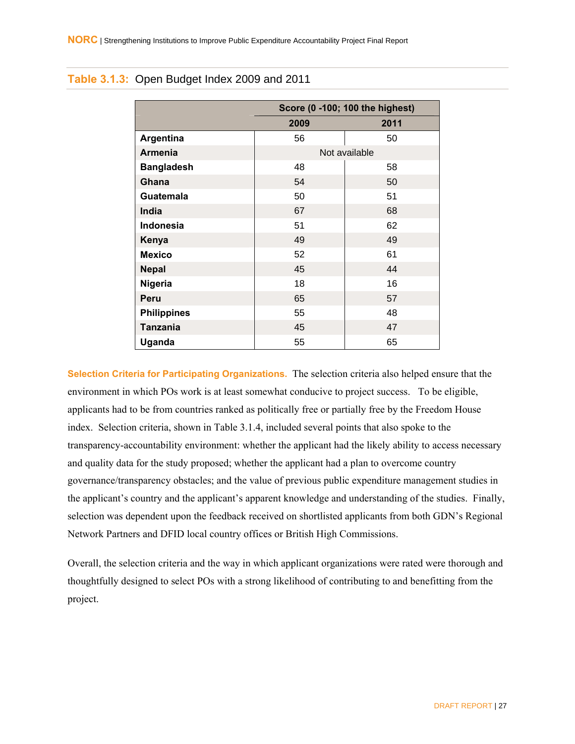|                    |               | Score (0 -100; 100 the highest) |  |  |  |  |  |
|--------------------|---------------|---------------------------------|--|--|--|--|--|
|                    | 2009          | 2011                            |  |  |  |  |  |
| Argentina          | 56            | 50                              |  |  |  |  |  |
| <b>Armenia</b>     | Not available |                                 |  |  |  |  |  |
| <b>Bangladesh</b>  | 48            | 58                              |  |  |  |  |  |
| Ghana              | 54            | 50                              |  |  |  |  |  |
| <b>Guatemala</b>   | 50            | 51                              |  |  |  |  |  |
| India              | 67            | 68                              |  |  |  |  |  |
| <b>Indonesia</b>   | 51            | 62                              |  |  |  |  |  |
| Kenya              | 49            | 49                              |  |  |  |  |  |
| <b>Mexico</b>      | 52            | 61                              |  |  |  |  |  |
| <b>Nepal</b>       | 45            | 44                              |  |  |  |  |  |
| Nigeria            | 18            | 16                              |  |  |  |  |  |
| <b>Peru</b>        | 65            | 57                              |  |  |  |  |  |
| <b>Philippines</b> | 55            | 48                              |  |  |  |  |  |
| <b>Tanzania</b>    | 45            | 47                              |  |  |  |  |  |
| Uganda             | 55            | 65                              |  |  |  |  |  |

## **Table 3.1.3:** Open Budget Index 2009 and 2011

**Selection Criteria for Participating Organizations.** The selection criteria also helped ensure that the environment in which POs work is at least somewhat conducive to project success. To be eligible, applicants had to be from countries ranked as politically free or partially free by the Freedom House index. Selection criteria, shown in Table 3.1.4, included several points that also spoke to the transparency-accountability environment: whether the applicant had the likely ability to access necessary and quality data for the study proposed; whether the applicant had a plan to overcome country governance/transparency obstacles; and the value of previous public expenditure management studies in the applicant's country and the applicant's apparent knowledge and understanding of the studies. Finally, selection was dependent upon the feedback received on shortlisted applicants from both GDN's Regional Network Partners and DFID local country offices or British High Commissions.

Overall, the selection criteria and the way in which applicant organizations were rated were thorough and thoughtfully designed to select POs with a strong likelihood of contributing to and benefitting from the project.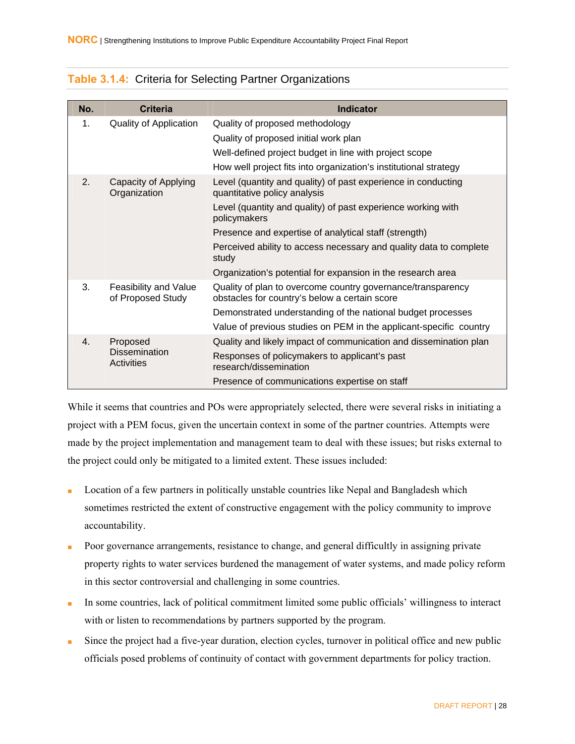|  |  |  |  | Table 3.1.4: Criteria for Selecting Partner Organizations |
|--|--|--|--|-----------------------------------------------------------|
|--|--|--|--|-----------------------------------------------------------|

| No.            | <b>Criteria</b>                            | <b>Indicator</b>                                                                                             |
|----------------|--------------------------------------------|--------------------------------------------------------------------------------------------------------------|
| $\mathbf 1$ .  | <b>Quality of Application</b>              | Quality of proposed methodology                                                                              |
|                |                                            | Quality of proposed initial work plan                                                                        |
|                |                                            | Well-defined project budget in line with project scope                                                       |
|                |                                            | How well project fits into organization's institutional strategy                                             |
| 2.             | Capacity of Applying<br>Organization       | Level (quantity and quality) of past experience in conducting<br>quantitative policy analysis                |
|                |                                            | Level (quantity and quality) of past experience working with<br>policymakers                                 |
|                |                                            | Presence and expertise of analytical staff (strength)                                                        |
|                |                                            | Perceived ability to access necessary and quality data to complete<br>study                                  |
|                |                                            | Organization's potential for expansion in the research area                                                  |
| 3.             | Feasibility and Value<br>of Proposed Study | Quality of plan to overcome country governance/transparency<br>obstacles for country's below a certain score |
|                |                                            | Demonstrated understanding of the national budget processes                                                  |
|                |                                            | Value of previous studies on PEM in the applicant-specific country                                           |
| $\mathbf{4}$ . | Proposed                                   | Quality and likely impact of communication and dissemination plan                                            |
|                | <b>Dissemination</b><br>Activities         | Responses of policymakers to applicant's past<br>research/dissemination                                      |
|                |                                            | Presence of communications expertise on staff                                                                |

While it seems that countries and POs were appropriately selected, there were several risks in initiating a project with a PEM focus, given the uncertain context in some of the partner countries. Attempts were made by the project implementation and management team to deal with these issues; but risks external to the project could only be mitigated to a limited extent. These issues included:

- Location of a few partners in politically unstable countries like Nepal and Bangladesh which sometimes restricted the extent of constructive engagement with the policy community to improve accountability.
- Poor governance arrangements, resistance to change, and general difficultly in assigning private property rights to water services burdened the management of water systems, and made policy reform in this sector controversial and challenging in some countries.
- In some countries, lack of political commitment limited some public officials' willingness to interact with or listen to recommendations by partners supported by the program.
- Since the project had a five-year duration, election cycles, turnover in political office and new public officials posed problems of continuity of contact with government departments for policy traction.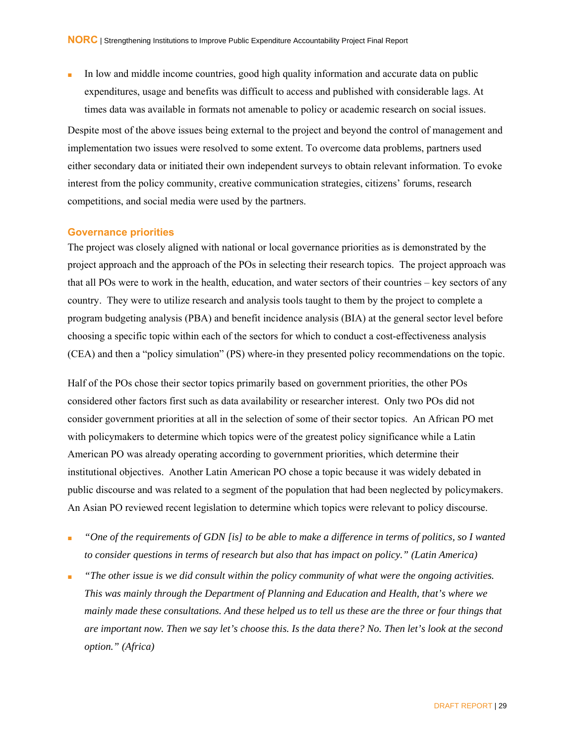In low and middle income countries, good high quality information and accurate data on public expenditures, usage and benefits was difficult to access and published with considerable lags. At times data was available in formats not amenable to policy or academic research on social issues.

Despite most of the above issues being external to the project and beyond the control of management and implementation two issues were resolved to some extent. To overcome data problems, partners used either secondary data or initiated their own independent surveys to obtain relevant information. To evoke interest from the policy community, creative communication strategies, citizens' forums, research competitions, and social media were used by the partners.

#### **Governance priorities**

The project was closely aligned with national or local governance priorities as is demonstrated by the project approach and the approach of the POs in selecting their research topics. The project approach was that all POs were to work in the health, education, and water sectors of their countries – key sectors of any country. They were to utilize research and analysis tools taught to them by the project to complete a program budgeting analysis (PBA) and benefit incidence analysis (BIA) at the general sector level before choosing a specific topic within each of the sectors for which to conduct a cost-effectiveness analysis (CEA) and then a "policy simulation" (PS) where-in they presented policy recommendations on the topic.

Half of the POs chose their sector topics primarily based on government priorities, the other POs considered other factors first such as data availability or researcher interest. Only two POs did not consider government priorities at all in the selection of some of their sector topics. An African PO met with policymakers to determine which topics were of the greatest policy significance while a Latin American PO was already operating according to government priorities, which determine their institutional objectives. Another Latin American PO chose a topic because it was widely debated in public discourse and was related to a segment of the population that had been neglected by policymakers. An Asian PO reviewed recent legislation to determine which topics were relevant to policy discourse.

- "One of the requirements of GDN [is] to be able to make a difference in terms of politics, so I wanted *to consider questions in terms of research but also that has impact on policy." (Latin America)*
- *"The other issue is we did consult within the policy community of what were the ongoing activities. This was mainly through the Department of Planning and Education and Health, that's where we mainly made these consultations. And these helped us to tell us these are the three or four things that are important now. Then we say let's choose this. Is the data there? No. Then let's look at the second option." (Africa)*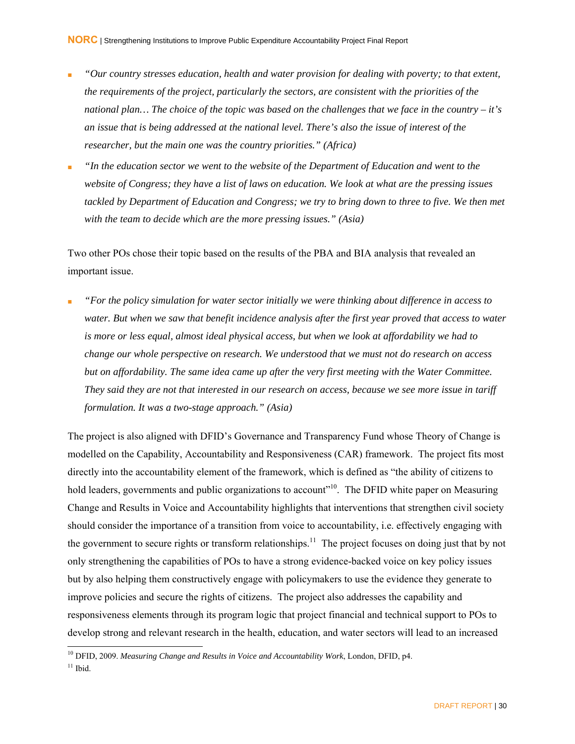- *"Our country stresses education, health and water provision for dealing with poverty; to that extent, the requirements of the project, particularly the sectors, are consistent with the priorities of the national plan… The choice of the topic was based on the challenges that we face in the country – it's an issue that is being addressed at the national level. There's also the issue of interest of the researcher, but the main one was the country priorities." (Africa)*
- *"In the education sector we went to the website of the Department of Education and went to the website of Congress; they have a list of laws on education. We look at what are the pressing issues tackled by Department of Education and Congress; we try to bring down to three to five. We then met with the team to decide which are the more pressing issues." (Asia)*

Two other POs chose their topic based on the results of the PBA and BIA analysis that revealed an important issue.

■ *"For the policy simulation for water sector initially we were thinking about difference in access to water. But when we saw that benefit incidence analysis after the first year proved that access to water is more or less equal, almost ideal physical access, but when we look at affordability we had to change our whole perspective on research. We understood that we must not do research on access but on affordability. The same idea came up after the very first meeting with the Water Committee. They said they are not that interested in our research on access, because we see more issue in tariff formulation. It was a two-stage approach." (Asia)* 

The project is also aligned with DFID's Governance and Transparency Fund whose Theory of Change is modelled on the Capability, Accountability and Responsiveness (CAR) framework. The project fits most directly into the accountability element of the framework, which is defined as "the ability of citizens to hold leaders, governments and public organizations to account<sup>"10</sup>. The DFID white paper on Measuring Change and Results in Voice and Accountability highlights that interventions that strengthen civil society should consider the importance of a transition from voice to accountability, i.e. effectively engaging with the government to secure rights or transform relationships.<sup>11</sup> The project focuses on doing just that by not only strengthening the capabilities of POs to have a strong evidence-backed voice on key policy issues but by also helping them constructively engage with policymakers to use the evidence they generate to improve policies and secure the rights of citizens. The project also addresses the capability and responsiveness elements through its program logic that project financial and technical support to POs to develop strong and relevant research in the health, education, and water sectors will lead to an increased

l

<sup>10</sup> DFID, 2009. *Measuring Change and Results in Voice and Accountability Work*, London, DFID, p4.  $11$  Ibid.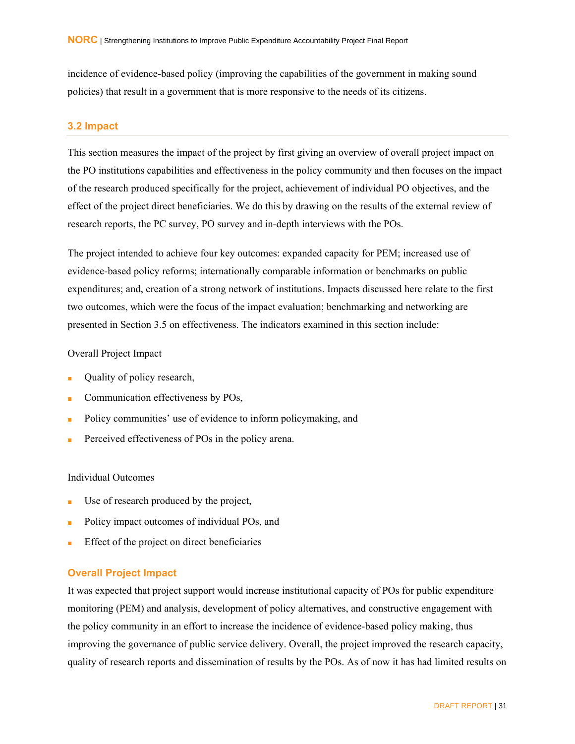incidence of evidence-based policy (improving the capabilities of the government in making sound policies) that result in a government that is more responsive to the needs of its citizens.

#### **3.2 Impact**

This section measures the impact of the project by first giving an overview of overall project impact on the PO institutions capabilities and effectiveness in the policy community and then focuses on the impact of the research produced specifically for the project, achievement of individual PO objectives, and the effect of the project direct beneficiaries. We do this by drawing on the results of the external review of research reports, the PC survey, PO survey and in-depth interviews with the POs.

The project intended to achieve four key outcomes: expanded capacity for PEM; increased use of evidence-based policy reforms; internationally comparable information or benchmarks on public expenditures; and, creation of a strong network of institutions. Impacts discussed here relate to the first two outcomes, which were the focus of the impact evaluation; benchmarking and networking are presented in Section 3.5 on effectiveness. The indicators examined in this section include:

#### Overall Project Impact

- Quality of policy research,
- Communication effectiveness by POs,
- Policy communities' use of evidence to inform policymaking, and
- Perceived effectiveness of POs in the policy arena.

#### Individual Outcomes

- Use of research produced by the project,
- Policy impact outcomes of individual POs, and
- Effect of the project on direct beneficiaries

#### **Overall Project Impact**

It was expected that project support would increase institutional capacity of POs for public expenditure monitoring (PEM) and analysis, development of policy alternatives, and constructive engagement with the policy community in an effort to increase the incidence of evidence-based policy making, thus improving the governance of public service delivery. Overall, the project improved the research capacity, quality of research reports and dissemination of results by the POs. As of now it has had limited results on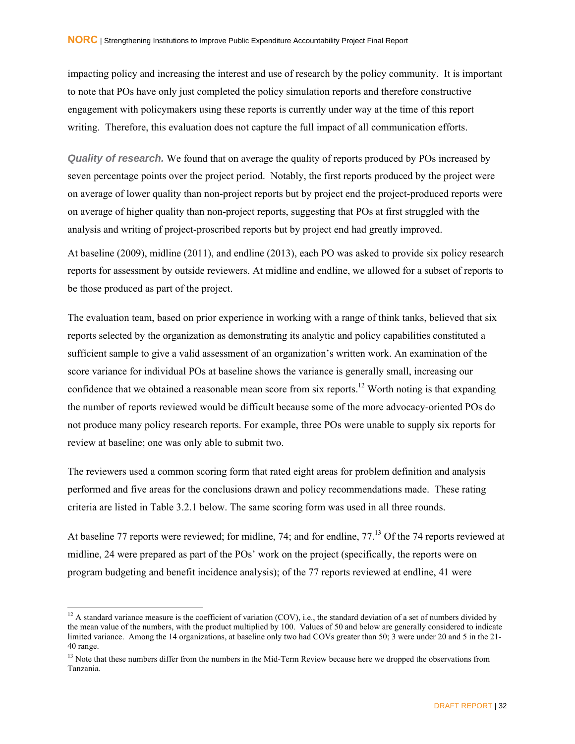impacting policy and increasing the interest and use of research by the policy community. It is important to note that POs have only just completed the policy simulation reports and therefore constructive engagement with policymakers using these reports is currently under way at the time of this report writing. Therefore, this evaluation does not capture the full impact of all communication efforts.

*Quality of research.* We found that on average the quality of reports produced by POs increased by seven percentage points over the project period. Notably, the first reports produced by the project were on average of lower quality than non-project reports but by project end the project-produced reports were on average of higher quality than non-project reports, suggesting that POs at first struggled with the analysis and writing of project-proscribed reports but by project end had greatly improved.

At baseline (2009), midline (2011), and endline (2013), each PO was asked to provide six policy research reports for assessment by outside reviewers. At midline and endline, we allowed for a subset of reports to be those produced as part of the project.

The evaluation team, based on prior experience in working with a range of think tanks, believed that six reports selected by the organization as demonstrating its analytic and policy capabilities constituted a sufficient sample to give a valid assessment of an organization's written work. An examination of the score variance for individual POs at baseline shows the variance is generally small, increasing our confidence that we obtained a reasonable mean score from six reports.<sup>12</sup> Worth noting is that expanding the number of reports reviewed would be difficult because some of the more advocacy-oriented POs do not produce many policy research reports. For example, three POs were unable to supply six reports for review at baseline; one was only able to submit two.

The reviewers used a common scoring form that rated eight areas for problem definition and analysis performed and five areas for the conclusions drawn and policy recommendations made. These rating criteria are listed in Table 3.2.1 below. The same scoring form was used in all three rounds.

At baseline 77 reports were reviewed; for midline, 74; and for endline, 77.<sup>13</sup> Of the 74 reports reviewed at midline, 24 were prepared as part of the POs' work on the project (specifically, the reports were on program budgeting and benefit incidence analysis); of the 77 reports reviewed at endline, 41 were

1

<sup>&</sup>lt;sup>12</sup> A standard variance measure is the coefficient of variation (COV), i.e., the standard deviation of a set of numbers divided by the mean value of the numbers, with the product multiplied by 100. Values of 50 and below are generally considered to indicate limited variance. Among the 14 organizations, at baseline only two had COVs greater than 50; 3 were under 20 and 5 in the 21- 40 range.

<sup>&</sup>lt;sup>13</sup> Note that these numbers differ from the numbers in the Mid-Term Review because here we dropped the observations from Tanzania.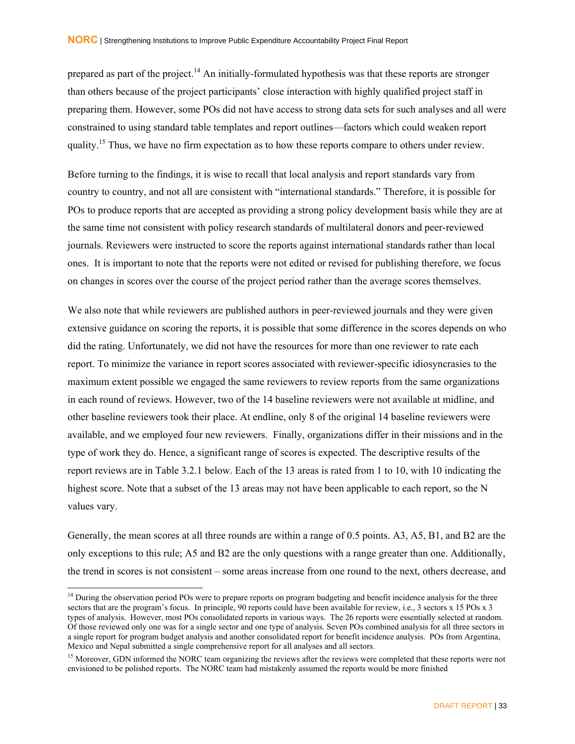prepared as part of the project.<sup>14</sup> An initially-formulated hypothesis was that these reports are stronger than others because of the project participants' close interaction with highly qualified project staff in preparing them. However, some POs did not have access to strong data sets for such analyses and all were constrained to using standard table templates and report outlines—factors which could weaken report quality.<sup>15</sup> Thus, we have no firm expectation as to how these reports compare to others under review.

Before turning to the findings, it is wise to recall that local analysis and report standards vary from country to country, and not all are consistent with "international standards." Therefore, it is possible for POs to produce reports that are accepted as providing a strong policy development basis while they are at the same time not consistent with policy research standards of multilateral donors and peer-reviewed journals. Reviewers were instructed to score the reports against international standards rather than local ones. It is important to note that the reports were not edited or revised for publishing therefore, we focus on changes in scores over the course of the project period rather than the average scores themselves.

We also note that while reviewers are published authors in peer-reviewed journals and they were given extensive guidance on scoring the reports, it is possible that some difference in the scores depends on who did the rating. Unfortunately, we did not have the resources for more than one reviewer to rate each report. To minimize the variance in report scores associated with reviewer-specific idiosyncrasies to the maximum extent possible we engaged the same reviewers to review reports from the same organizations in each round of reviews. However, two of the 14 baseline reviewers were not available at midline, and other baseline reviewers took their place. At endline, only 8 of the original 14 baseline reviewers were available, and we employed four new reviewers. Finally, organizations differ in their missions and in the type of work they do. Hence, a significant range of scores is expected. The descriptive results of the report reviews are in Table 3.2.1 below. Each of the 13 areas is rated from 1 to 10, with 10 indicating the highest score. Note that a subset of the 13 areas may not have been applicable to each report, so the N values vary.

Generally, the mean scores at all three rounds are within a range of 0.5 points. A3, A5, B1, and B2 are the only exceptions to this rule; A5 and B2 are the only questions with a range greater than one. Additionally, the trend in scores is not consistent – some areas increase from one round to the next, others decrease, and

 $\overline{\phantom{a}}$ 

<sup>&</sup>lt;sup>14</sup> During the observation period POs were to prepare reports on program budgeting and benefit incidence analysis for the three sectors that are the program's focus. In principle, 90 reports could have been available for review, i.e., 3 sectors x 15 POs x 3 types of analysis. However, most POs consolidated reports in various ways. The 26 reports were essentially selected at random. Of those reviewed only one was for a single sector and one type of analysis. Seven POs combined analysis for all three sectors in a single report for program budget analysis and another consolidated report for benefit incidence analysis. POs from Argentina, Mexico and Nepal submitted a single comprehensive report for all analyses and all sectors.

<sup>&</sup>lt;sup>15</sup> Moreover, GDN informed the NORC team organizing the reviews after the reviews were completed that these reports were not envisioned to be polished reports. The NORC team had mistakenly assumed the reports would be more finished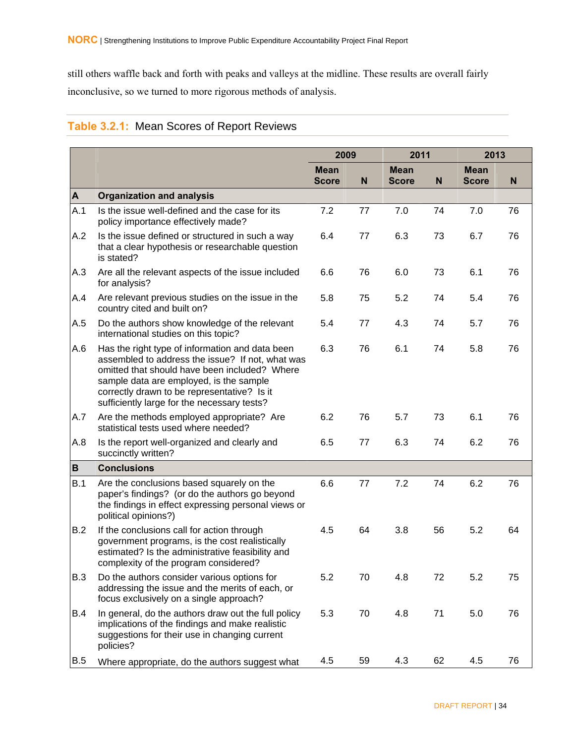still others waffle back and forth with peaks and valleys at the midline. These results are overall fairly inconclusive, so we turned to more rigorous methods of analysis.

## **Table 3.2.1:** Mean Scores of Report Reviews

|                  |                                                                                                                                                                                                                                                                                               | 2009                        |    | 2011                        |    | 2013                        |    |
|------------------|-----------------------------------------------------------------------------------------------------------------------------------------------------------------------------------------------------------------------------------------------------------------------------------------------|-----------------------------|----|-----------------------------|----|-----------------------------|----|
|                  |                                                                                                                                                                                                                                                                                               | <b>Mean</b><br><b>Score</b> | N  | <b>Mean</b><br><b>Score</b> | N  | <b>Mean</b><br><b>Score</b> | N  |
| $\blacktriangle$ | <b>Organization and analysis</b>                                                                                                                                                                                                                                                              |                             |    |                             |    |                             |    |
| A.1              | Is the issue well-defined and the case for its<br>policy importance effectively made?                                                                                                                                                                                                         | 7.2                         | 77 | 7.0                         | 74 | 7.0                         | 76 |
| A.2              | Is the issue defined or structured in such a way<br>that a clear hypothesis or researchable question<br>is stated?                                                                                                                                                                            | 6.4                         | 77 | 6.3                         | 73 | 6.7                         | 76 |
| A.3              | Are all the relevant aspects of the issue included<br>for analysis?                                                                                                                                                                                                                           | 6.6                         | 76 | 6.0                         | 73 | 6.1                         | 76 |
| A.4              | Are relevant previous studies on the issue in the<br>country cited and built on?                                                                                                                                                                                                              | 5.8                         | 75 | 5.2                         | 74 | 5.4                         | 76 |
| A.5              | Do the authors show knowledge of the relevant<br>international studies on this topic?                                                                                                                                                                                                         | 5.4                         | 77 | 4.3                         | 74 | 5.7                         | 76 |
| A.6              | Has the right type of information and data been<br>assembled to address the issue? If not, what was<br>omitted that should have been included? Where<br>sample data are employed, is the sample<br>correctly drawn to be representative? Is it<br>sufficiently large for the necessary tests? | 6.3                         | 76 | 6.1                         | 74 | 5.8                         | 76 |
| A.7              | Are the methods employed appropriate? Are<br>statistical tests used where needed?                                                                                                                                                                                                             | 6.2                         | 76 | 5.7                         | 73 | 6.1                         | 76 |
| A.8              | Is the report well-organized and clearly and<br>succinctly written?                                                                                                                                                                                                                           | 6.5                         | 77 | 6.3                         | 74 | 6.2                         | 76 |
| B                | <b>Conclusions</b>                                                                                                                                                                                                                                                                            |                             |    |                             |    |                             |    |
| B.1              | Are the conclusions based squarely on the<br>paper's findings? (or do the authors go beyond<br>the findings in effect expressing personal views or<br>political opinions?)                                                                                                                    | 6.6                         | 77 | 7.2                         | 74 | 6.2                         | 76 |
| B.2              | If the conclusions call for action through<br>government programs, is the cost realistically<br>estimated? Is the administrative feasibility and<br>complexity of the program considered?                                                                                                     | 4.5                         | 64 | 3.8                         | 56 | 5.2                         | 64 |
| <b>B.3</b>       | Do the authors consider various options for<br>addressing the issue and the merits of each, or<br>focus exclusively on a single approach?                                                                                                                                                     | 5.2                         | 70 | 4.8                         | 72 | 5.2                         | 75 |
| <b>B.4</b>       | In general, do the authors draw out the full policy<br>implications of the findings and make realistic<br>suggestions for their use in changing current<br>policies?                                                                                                                          | 5.3                         | 70 | 4.8                         | 71 | 5.0                         | 76 |
| B.5              | Where appropriate, do the authors suggest what                                                                                                                                                                                                                                                | 4.5                         | 59 | 4.3                         | 62 | 4.5                         | 76 |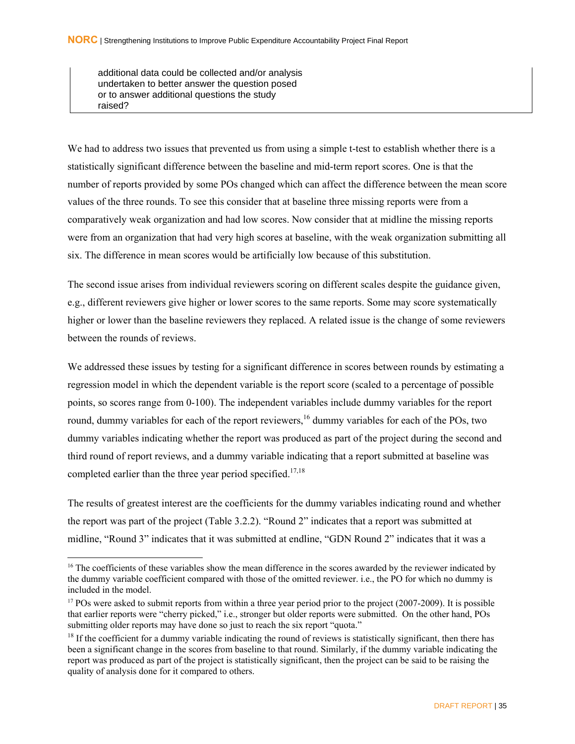additional data could be collected and/or analysis undertaken to better answer the question posed or to answer additional questions the study raised?

We had to address two issues that prevented us from using a simple t-test to establish whether there is a statistically significant difference between the baseline and mid-term report scores. One is that the number of reports provided by some POs changed which can affect the difference between the mean score values of the three rounds. To see this consider that at baseline three missing reports were from a comparatively weak organization and had low scores. Now consider that at midline the missing reports were from an organization that had very high scores at baseline, with the weak organization submitting all six. The difference in mean scores would be artificially low because of this substitution.

The second issue arises from individual reviewers scoring on different scales despite the guidance given, e.g., different reviewers give higher or lower scores to the same reports. Some may score systematically higher or lower than the baseline reviewers they replaced. A related issue is the change of some reviewers between the rounds of reviews.

We addressed these issues by testing for a significant difference in scores between rounds by estimating a regression model in which the dependent variable is the report score (scaled to a percentage of possible points, so scores range from 0-100). The independent variables include dummy variables for the report round, dummy variables for each of the report reviewers,<sup>16</sup> dummy variables for each of the POs, two dummy variables indicating whether the report was produced as part of the project during the second and third round of report reviews, and a dummy variable indicating that a report submitted at baseline was completed earlier than the three year period specified.<sup>17,18</sup>

The results of greatest interest are the coefficients for the dummy variables indicating round and whether the report was part of the project (Table 3.2.2). "Round 2" indicates that a report was submitted at midline, "Round 3" indicates that it was submitted at endline, "GDN Round 2" indicates that it was a

l

 $16$  The coefficients of these variables show the mean difference in the scores awarded by the reviewer indicated by the dummy variable coefficient compared with those of the omitted reviewer. i.e., the PO for which no dummy is included in the model.

<sup>&</sup>lt;sup>17</sup> POs were asked to submit reports from within a three year period prior to the project (2007-2009). It is possible that earlier reports were "cherry picked," i.e., stronger but older reports were submitted. On the other hand, POs submitting older reports may have done so just to reach the six report "quota."

 $18$  If the coefficient for a dummy variable indicating the round of reviews is statistically significant, then there has been a significant change in the scores from baseline to that round. Similarly, if the dummy variable indicating the report was produced as part of the project is statistically significant, then the project can be said to be raising the quality of analysis done for it compared to others.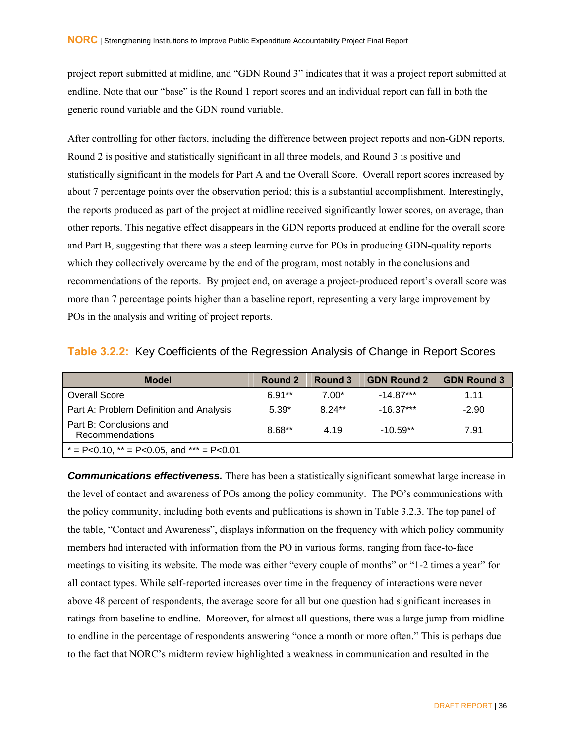project report submitted at midline, and "GDN Round 3" indicates that it was a project report submitted at endline. Note that our "base" is the Round 1 report scores and an individual report can fall in both the generic round variable and the GDN round variable.

After controlling for other factors, including the difference between project reports and non-GDN reports, Round 2 is positive and statistically significant in all three models, and Round 3 is positive and statistically significant in the models for Part A and the Overall Score. Overall report scores increased by about 7 percentage points over the observation period; this is a substantial accomplishment. Interestingly, the reports produced as part of the project at midline received significantly lower scores, on average, than other reports. This negative effect disappears in the GDN reports produced at endline for the overall score and Part B, suggesting that there was a steep learning curve for POs in producing GDN-quality reports which they collectively overcame by the end of the program, most notably in the conclusions and recommendations of the reports. By project end, on average a project-produced report's overall score was more than 7 percentage points higher than a baseline report, representing a very large improvement by POs in the analysis and writing of project reports.

| <b>TRULE DIALE.</b> They Openforched of the hegression Antarysis of Ontarige in helport Occites |          |          |                    |                    |
|-------------------------------------------------------------------------------------------------|----------|----------|--------------------|--------------------|
| <b>Model</b>                                                                                    | Round 2  | Round 3  | <b>GDN Round 2</b> | <b>GDN Round 3</b> |
| <b>Overall Score</b>                                                                            | $6.91**$ | $7.00*$  | $-14.87***$        | 1.11               |
| Part A: Problem Definition and Analysis                                                         | $5.39*$  | $8.24**$ | $-16.37***$        | $-2.90$            |
| Part B: Conclusions and<br>Recommendations                                                      | 8.68**   | 4.19     | $-10.59**$         | 7.91               |
| * = P<0.10, ** = P<0.05, and *** = P<0.01                                                       |          |          |                    |                    |

**Table 3.2.2:** Key Coefficients of the Regression Analysis of Change in Report Scores

**Communications effectiveness.** There has been a statistically significant somewhat large increase in the level of contact and awareness of POs among the policy community. The PO's communications with the policy community, including both events and publications is shown in Table 3.2.3. The top panel of the table, "Contact and Awareness", displays information on the frequency with which policy community members had interacted with information from the PO in various forms, ranging from face-to-face meetings to visiting its website. The mode was either "every couple of months" or "1-2 times a year" for all contact types. While self-reported increases over time in the frequency of interactions were never above 48 percent of respondents, the average score for all but one question had significant increases in ratings from baseline to endline. Moreover, for almost all questions, there was a large jump from midline to endline in the percentage of respondents answering "once a month or more often." This is perhaps due to the fact that NORC's midterm review highlighted a weakness in communication and resulted in the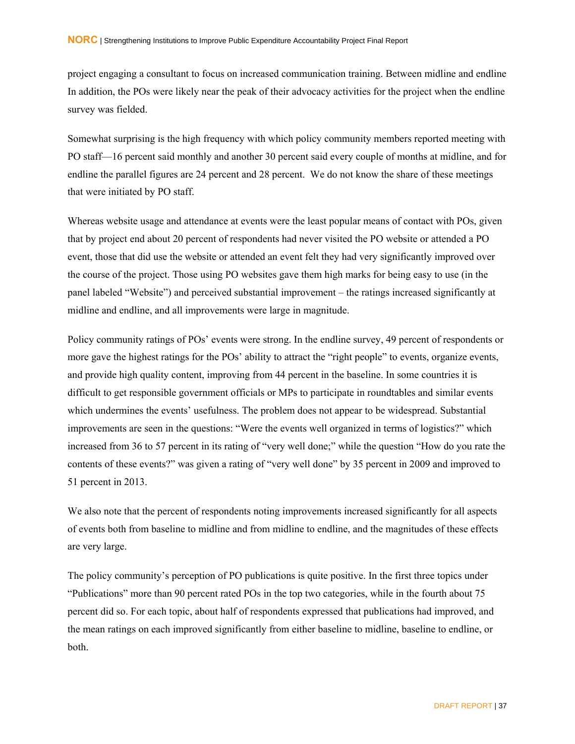project engaging a consultant to focus on increased communication training. Between midline and endline In addition, the POs were likely near the peak of their advocacy activities for the project when the endline survey was fielded.

Somewhat surprising is the high frequency with which policy community members reported meeting with PO staff—16 percent said monthly and another 30 percent said every couple of months at midline, and for endline the parallel figures are 24 percent and 28 percent. We do not know the share of these meetings that were initiated by PO staff.

Whereas website usage and attendance at events were the least popular means of contact with POs, given that by project end about 20 percent of respondents had never visited the PO website or attended a PO event, those that did use the website or attended an event felt they had very significantly improved over the course of the project. Those using PO websites gave them high marks for being easy to use (in the panel labeled "Website") and perceived substantial improvement – the ratings increased significantly at midline and endline, and all improvements were large in magnitude.

Policy community ratings of POs' events were strong. In the endline survey, 49 percent of respondents or more gave the highest ratings for the POs' ability to attract the "right people" to events, organize events, and provide high quality content, improving from 44 percent in the baseline. In some countries it is difficult to get responsible government officials or MPs to participate in roundtables and similar events which undermines the events' usefulness. The problem does not appear to be widespread. Substantial improvements are seen in the questions: "Were the events well organized in terms of logistics?" which increased from 36 to 57 percent in its rating of "very well done;" while the question "How do you rate the contents of these events?" was given a rating of "very well done" by 35 percent in 2009 and improved to 51 percent in 2013.

We also note that the percent of respondents noting improvements increased significantly for all aspects of events both from baseline to midline and from midline to endline, and the magnitudes of these effects are very large.

The policy community's perception of PO publications is quite positive. In the first three topics under "Publications" more than 90 percent rated POs in the top two categories, while in the fourth about 75 percent did so. For each topic, about half of respondents expressed that publications had improved, and the mean ratings on each improved significantly from either baseline to midline, baseline to endline, or both.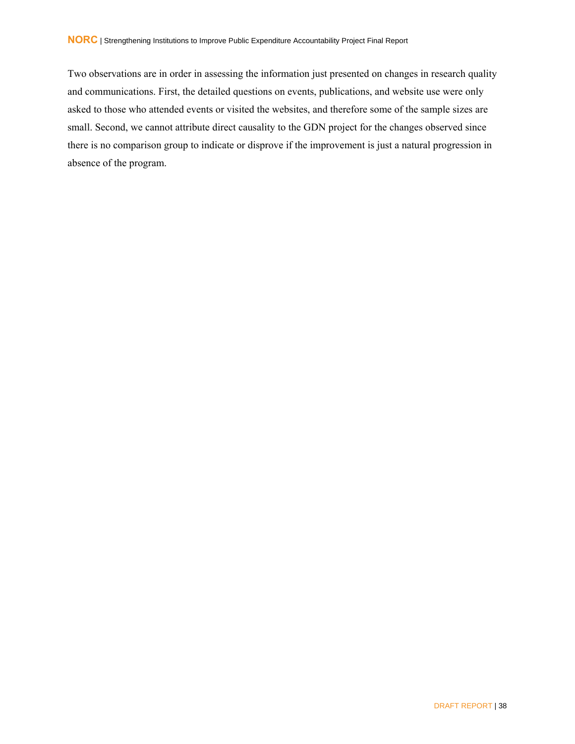Two observations are in order in assessing the information just presented on changes in research quality and communications. First, the detailed questions on events, publications, and website use were only asked to those who attended events or visited the websites, and therefore some of the sample sizes are small. Second, we cannot attribute direct causality to the GDN project for the changes observed since there is no comparison group to indicate or disprove if the improvement is just a natural progression in absence of the program.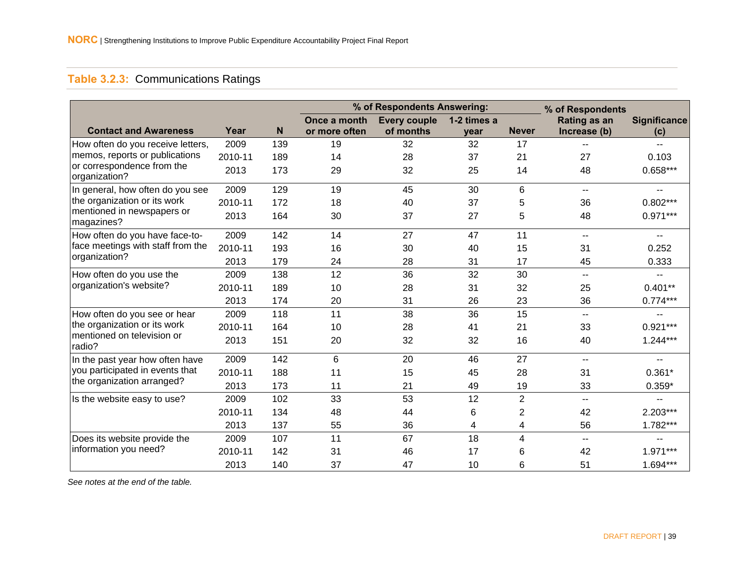## **Table 3.2.3:** Communications Ratings

|                                             |         |     |                               | % of Respondents Answering:      | % of Respondents    |                |                              |                            |
|---------------------------------------------|---------|-----|-------------------------------|----------------------------------|---------------------|----------------|------------------------------|----------------------------|
| <b>Contact and Awareness</b>                | Year    | N   | Once a month<br>or more often | <b>Every couple</b><br>of months | 1-2 times a<br>vear | <b>Never</b>   | Rating as an<br>Increase (b) | <b>Significance</b><br>(c) |
| How often do you receive letters,           | 2009    | 139 | 19                            | 32                               | 32                  | 17             |                              |                            |
| memos, reports or publications              | 2010-11 | 189 | 14                            | 28                               | 37                  | 21             | 27                           | 0.103                      |
| or correspondence from the<br>organization? | 2013    | 173 | 29                            | 32                               | 25                  | 14             | 48                           | $0.658***$                 |
| In general, how often do you see            | 2009    | 129 | 19                            | 45                               | 30                  | 6              | $\overline{\phantom{a}}$     |                            |
| the organization or its work                | 2010-11 | 172 | 18                            | 40                               | 37                  | 5              | 36                           | $0.802***$                 |
| mentioned in newspapers or<br>magazines?    | 2013    | 164 | 30                            | 37                               | 27                  | 5              | 48                           | $0.971***$                 |
| How often do you have face-to-              | 2009    | 142 | 14                            | 27                               | 47                  | 11             | $\overline{\phantom{a}}$     | $\sim$                     |
| face meetings with staff from the           | 2010-11 | 193 | 16                            | 30                               | 40                  | 15             | 31                           | 0.252                      |
| organization?                               | 2013    | 179 | 24                            | 28                               | 31                  | 17             | 45                           | 0.333                      |
| How often do you use the                    | 2009    | 138 | 12                            | 36                               | 32                  | 30             | $\qquad \qquad -$            |                            |
| organization's website?                     | 2010-11 | 189 | 10                            | 28                               | 31                  | 32             | 25                           | $0.401**$                  |
|                                             | 2013    | 174 | 20                            | 31                               | 26                  | 23             | 36                           | $0.774***$                 |
| How often do you see or hear                | 2009    | 118 | 11                            | 38                               | 36                  | 15             | $\qquad \qquad -$            |                            |
| the organization or its work                | 2010-11 | 164 | 10                            | 28                               | 41                  | 21             | 33                           | $0.921***$                 |
| Imentioned on television or<br>radio?       | 2013    | 151 | 20                            | 32                               | 32                  | 16             | 40                           | $1.244***$                 |
| In the past year how often have             | 2009    | 142 | 6                             | 20                               | 46                  | 27             | $\mathbf{u}$                 | $\overline{a}$             |
| you participated in events that             | 2010-11 | 188 | 11                            | 15                               | 45                  | 28             | 31                           | $0.361*$                   |
| the organization arranged?                  | 2013    | 173 | 11                            | 21                               | 49                  | 19             | 33                           | $0.359*$                   |
| Is the website easy to use?                 | 2009    | 102 | 33                            | 53                               | 12                  | $\overline{2}$ | $\overline{\phantom{a}}$     | --                         |
|                                             | 2010-11 | 134 | 48                            | 44                               | 6                   | $\overline{2}$ | 42                           | $2.203***$                 |
|                                             | 2013    | 137 | 55                            | 36                               | 4                   | 4              | 56                           | $1.782***$                 |
| Does its website provide the                | 2009    | 107 | 11                            | 67                               | 18                  | $\overline{4}$ | $\overline{\phantom{a}}$     |                            |
| information you need?                       | 2010-11 | 142 | 31                            | 46                               | 17                  | 6              | 42                           | $1.971***$                 |
|                                             | 2013    | 140 | 37                            | 47                               | 10                  | 6              | 51                           | $1.694***$                 |

*See notes at the end of the table.*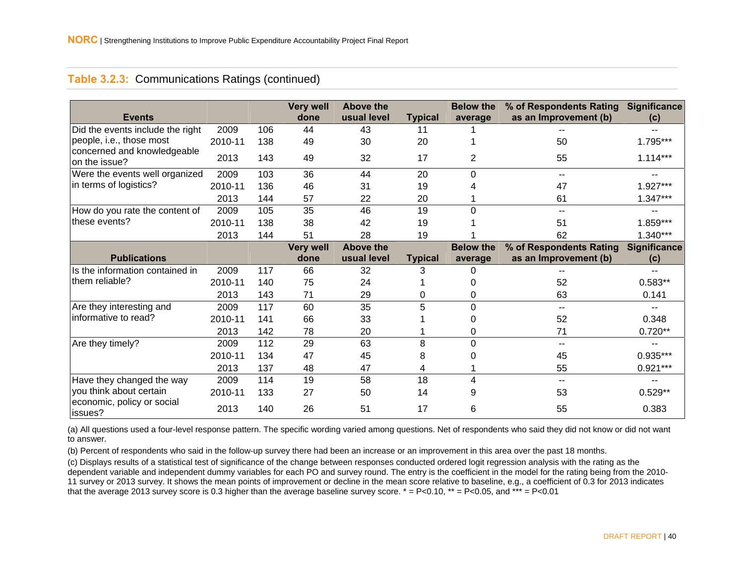| <b>Events</b>                                |         |     | <b>Very well</b><br>done | Above the<br>usual level | <b>Typical</b> | <b>Below the</b> | % of Respondents Rating<br>as an Improvement (b) | <b>Significance</b>      |
|----------------------------------------------|---------|-----|--------------------------|--------------------------|----------------|------------------|--------------------------------------------------|--------------------------|
|                                              |         |     |                          |                          |                | average          |                                                  | (c)                      |
| Did the events include the right             | 2009    | 106 | 44                       | 43                       | 11             |                  |                                                  | $-$                      |
| people, i.e., those most                     | 2010-11 | 138 | 49                       | 30                       | 20             |                  | 50                                               | 1.795***                 |
| concerned and knowledgeable<br>on the issue? | 2013    | 143 | 49                       | 32                       | 17             | 2                | 55                                               | $1.114***$               |
| Were the events well organized               | 2009    | 103 | 36                       | 44                       | 20             | 0                | $- -$                                            | $\overline{\phantom{a}}$ |
| in terms of logistics?                       | 2010-11 | 136 | 46                       | 31                       | 19             | 4                | 47                                               | 1.927***                 |
|                                              | 2013    | 144 | 57                       | 22                       | 20             |                  | 61                                               | $1.347***$               |
| How do you rate the content of               | 2009    | 105 | 35                       | 46                       | 19             | 0                |                                                  |                          |
| these events?                                | 2010-11 | 138 | 38                       | 42                       | 19             |                  | 51                                               | 1.859***                 |
|                                              | 2013    | 144 | 51                       | 28                       | 19             |                  | 62                                               | $1.340***$               |
|                                              |         |     | Very well                | Above the                |                | <b>Below the</b> | % of Respondents Rating                          | <b>Significance</b>      |
| <b>Publications</b>                          |         |     | done                     | usual level              | <b>Typical</b> | average          | as an Improvement (b)                            | (c)                      |
| Is the information contained in              | 2009    | 117 | 66                       | 32                       | 3              | 0                |                                                  |                          |
| them reliable?                               | 2010-11 | 140 | 75                       | 24                       |                | 0                | 52                                               | $0.583**$                |
|                                              | 2013    | 143 | 71                       | 29                       | 0              | 0                | 63                                               | 0.141                    |
| Are they interesting and                     | 2009    | 117 | 60                       | 35                       | 5              | 0                | $\sim$                                           |                          |
| informative to read?                         | 2010-11 | 141 | 66                       | 33                       |                | 0                | 52                                               | 0.348                    |
|                                              | 2013    | 142 | 78                       | 20                       |                | 0                | 71                                               | $0.720**$                |
| Are they timely?                             | 2009    | 112 | 29                       | 63                       | 8              | $\Omega$         | $- -$                                            | $-$                      |
|                                              | 2010-11 | 134 | 47                       | 45                       | 8              | 0                | 45                                               | $0.935***$               |
|                                              | 2013    | 137 | 48                       | 47                       | 4              |                  | 55                                               | $0.921***$               |
| Have they changed the way                    | 2009    | 114 | 19                       | 58                       | 18             | 4                | $- -$                                            |                          |
| you think about certain                      | 2010-11 | 133 | 27                       | 50                       | 14             | 9                | 53                                               | $0.529**$                |
| economic, policy or social<br>issues?        | 2013    | 140 | 26                       | 51                       | 17             | 6                | 55                                               | 0.383                    |

#### **Table 3.2.3:** Communications Ratings (continued)

(a) All questions used a four-level response pattern. The specific wording varied among questions. Net of respondents who said they did not know or did not want to answer.

(b) Percent of respondents who said in the follow-up survey there had been an increase or an improvement in this area over the past 18 months.

(c) Displays results of a statistical test of significance of the change between responses conducted ordered logit regression analysis with the rating as the dependent variable and independent dummy variables for each PO and survey round. The entry is the coefficient in the model for the rating being from the 2010- 11 survey or 2013 survey. It shows the mean points of improvement or decline in the mean score relative to baseline, e.g., a coefficient of 0.3 for 2013 indicates that the average 2013 survey score is 0.3 higher than the average baseline survey score. \* = P<0.10, \*\* = P<0.05, and \*\*\* = P<0.01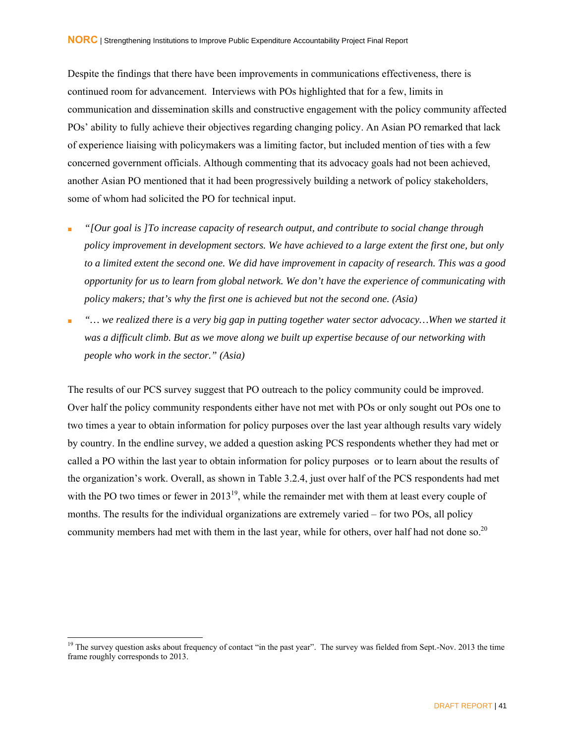Despite the findings that there have been improvements in communications effectiveness, there is continued room for advancement. Interviews with POs highlighted that for a few, limits in communication and dissemination skills and constructive engagement with the policy community affected POs' ability to fully achieve their objectives regarding changing policy. An Asian PO remarked that lack of experience liaising with policymakers was a limiting factor, but included mention of ties with a few concerned government officials. Although commenting that its advocacy goals had not been achieved, another Asian PO mentioned that it had been progressively building a network of policy stakeholders, some of whom had solicited the PO for technical input.

- *"[Our goal is ]To increase capacity of research output, and contribute to social change through policy improvement in development sectors. We have achieved to a large extent the first one, but only to a limited extent the second one. We did have improvement in capacity of research. This was a good opportunity for us to learn from global network. We don't have the experience of communicating with policy makers; that's why the first one is achieved but not the second one. (Asia)*
- *"… we realized there is a very big gap in putting together water sector advocacy…When we started it was a difficult climb. But as we move along we built up expertise because of our networking with people who work in the sector." (Asia)*

The results of our PCS survey suggest that PO outreach to the policy community could be improved. Over half the policy community respondents either have not met with POs or only sought out POs one to two times a year to obtain information for policy purposes over the last year although results vary widely by country. In the endline survey, we added a question asking PCS respondents whether they had met or called a PO within the last year to obtain information for policy purposes or to learn about the results of the organization's work. Overall, as shown in Table 3.2.4, just over half of the PCS respondents had met with the PO two times or fewer in 2013<sup>19</sup>, while the remainder met with them at least every couple of months. The results for the individual organizations are extremely varied – for two POs, all policy community members had met with them in the last year, while for others, over half had not done so.<sup>20</sup>

 $\overline{\phantom{a}}$ 

<sup>&</sup>lt;sup>19</sup> The survey question asks about frequency of contact "in the past year". The survey was fielded from Sept.-Nov. 2013 the time frame roughly corresponds to 2013.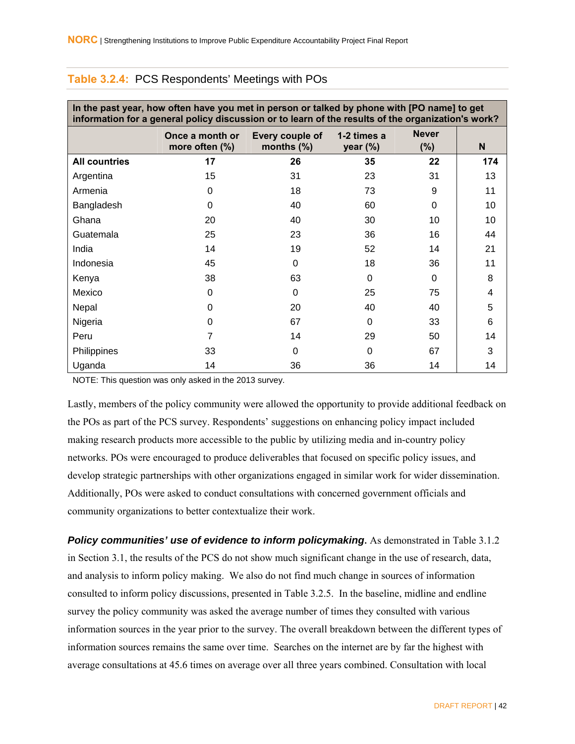| In the past year, how often have you met in person or talked by phone with [PO name] to get<br>information for a general policy discussion or to learn of the results of the organization's work? |                                      |                                  |                            |                        |                |  |  |  |  |  |  |
|---------------------------------------------------------------------------------------------------------------------------------------------------------------------------------------------------|--------------------------------------|----------------------------------|----------------------------|------------------------|----------------|--|--|--|--|--|--|
|                                                                                                                                                                                                   | Once a month or<br>more often $(\%)$ | Every couple of<br>months $(\%)$ | 1-2 times a<br>year $(\%)$ | <b>Never</b><br>$(\%)$ | N <sub>1</sub> |  |  |  |  |  |  |
| <b>All countries</b>                                                                                                                                                                              | 17                                   | 26                               | 35                         | 22                     | 174            |  |  |  |  |  |  |
| Argentina                                                                                                                                                                                         | 15                                   | 31                               | 23                         | 31                     | 13             |  |  |  |  |  |  |
| Armenia                                                                                                                                                                                           | 0                                    | 18                               | 73                         | 9                      | 11             |  |  |  |  |  |  |
| Bangladesh                                                                                                                                                                                        | $\Omega$                             | 40                               | 60                         | $\Omega$               | 10             |  |  |  |  |  |  |
| Ghana                                                                                                                                                                                             | 20                                   | 40                               | 30                         | 10                     | 10             |  |  |  |  |  |  |
| Guatemala                                                                                                                                                                                         | 25                                   | 23                               | 36                         | 16                     | 44             |  |  |  |  |  |  |
| India                                                                                                                                                                                             | 14                                   | 19                               | 52                         | 14                     | 21             |  |  |  |  |  |  |
| Indonesia                                                                                                                                                                                         | 45                                   | $\Omega$                         | 18                         | 36                     | 11             |  |  |  |  |  |  |
| Kenya                                                                                                                                                                                             | 38                                   | 63                               | $\Omega$                   | $\Omega$               | 8              |  |  |  |  |  |  |
| Mexico                                                                                                                                                                                            | 0                                    | $\Omega$                         | 25                         | 75                     | 4              |  |  |  |  |  |  |
| Nepal                                                                                                                                                                                             | 0                                    | 20                               | 40                         | 40                     | 5              |  |  |  |  |  |  |
| Nigeria                                                                                                                                                                                           | 0                                    | 67                               | $\Omega$                   | 33                     | 6              |  |  |  |  |  |  |
| Peru                                                                                                                                                                                              | 7                                    | 14                               | 29                         | 50                     | 14             |  |  |  |  |  |  |
| Philippines                                                                                                                                                                                       | 33                                   | $\Omega$                         | $\Omega$                   | 67                     | 3              |  |  |  |  |  |  |
| Uganda                                                                                                                                                                                            | 14                                   | 36                               | 36                         | 14                     | 14             |  |  |  |  |  |  |

## **Table 3.2.4:** PCS Respondents' Meetings with POs

NOTE: This question was only asked in the 2013 survey.

Lastly, members of the policy community were allowed the opportunity to provide additional feedback on the POs as part of the PCS survey. Respondents' suggestions on enhancing policy impact included making research products more accessible to the public by utilizing media and in-country policy networks. POs were encouraged to produce deliverables that focused on specific policy issues, and develop strategic partnerships with other organizations engaged in similar work for wider dissemination. Additionally, POs were asked to conduct consultations with concerned government officials and community organizations to better contextualize their work.

*Policy communities' use of evidence to inform policymaking***.** As demonstrated in Table 3.1.2 in Section 3.1, the results of the PCS do not show much significant change in the use of research, data, and analysis to inform policy making. We also do not find much change in sources of information consulted to inform policy discussions, presented in Table 3.2.5. In the baseline, midline and endline survey the policy community was asked the average number of times they consulted with various information sources in the year prior to the survey. The overall breakdown between the different types of information sources remains the same over time. Searches on the internet are by far the highest with average consultations at 45.6 times on average over all three years combined. Consultation with local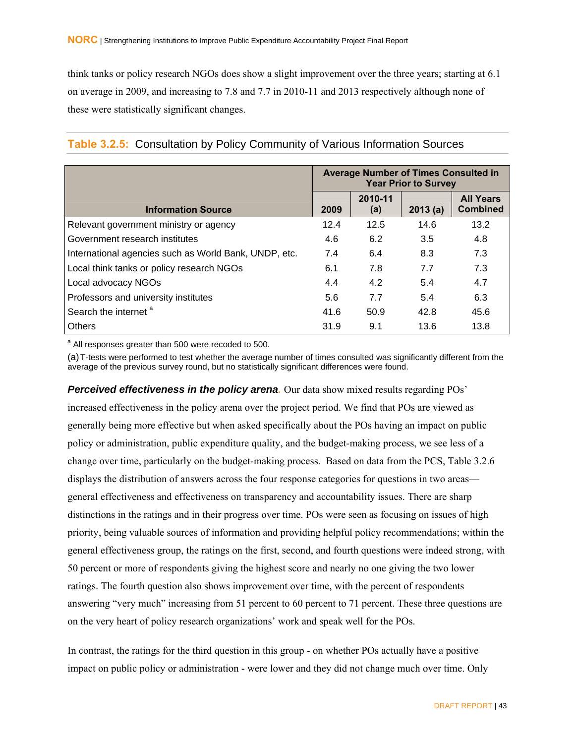think tanks or policy research NGOs does show a slight improvement over the three years; starting at 6.1 on average in 2009, and increasing to 7.8 and 7.7 in 2010-11 and 2013 respectively although none of these were statistically significant changes.

|                                                       | <b>Average Number of Times Consulted in</b><br><b>Year Prior to Survey</b> |                |         |                                     |  |  |  |  |
|-------------------------------------------------------|----------------------------------------------------------------------------|----------------|---------|-------------------------------------|--|--|--|--|
| <b>Information Source</b>                             | 2009                                                                       | 2010-11<br>(a) | 2013(a) | <b>All Years</b><br><b>Combined</b> |  |  |  |  |
| Relevant government ministry or agency                | 12.4                                                                       | 12.5           | 14.6    | 13.2                                |  |  |  |  |
| Government research institutes                        | 4.6                                                                        | 6.2            | 3.5     | 4.8                                 |  |  |  |  |
| International agencies such as World Bank, UNDP, etc. | 7.4                                                                        | 6.4            | 8.3     | 7.3                                 |  |  |  |  |
| Local think tanks or policy research NGOs             | 6.1                                                                        | 7.8            | 7.7     | 7.3                                 |  |  |  |  |
| Local advocacy NGOs                                   | 4.4                                                                        | 4.2            | 5.4     | 4.7                                 |  |  |  |  |
| Professors and university institutes                  | 5.6                                                                        | 7.7            | 5.4     | 6.3                                 |  |  |  |  |
| Search the internet <sup>a</sup>                      | 41.6                                                                       | 50.9           | 42.8    | 45.6                                |  |  |  |  |
| <b>Others</b>                                         | 31.9                                                                       | 9.1            | 13.6    | 13.8                                |  |  |  |  |

|  | Table 3.2.5: Consultation by Policy Community of Various Information Sources |  |  |  |  |  |  |
|--|------------------------------------------------------------------------------|--|--|--|--|--|--|
|--|------------------------------------------------------------------------------|--|--|--|--|--|--|

<sup>a</sup> All responses greater than 500 were recoded to 500.

(a) T-tests were performed to test whether the average number of times consulted was significantly different from the average of the previous survey round, but no statistically significant differences were found.

**Perceived effectiveness in the policy arena.** Our data show mixed results regarding POs' increased effectiveness in the policy arena over the project period. We find that POs are viewed as generally being more effective but when asked specifically about the POs having an impact on public policy or administration, public expenditure quality, and the budget-making process, we see less of a change over time, particularly on the budget-making process. Based on data from the PCS, Table 3.2.6 displays the distribution of answers across the four response categories for questions in two areas general effectiveness and effectiveness on transparency and accountability issues. There are sharp distinctions in the ratings and in their progress over time. POs were seen as focusing on issues of high priority, being valuable sources of information and providing helpful policy recommendations; within the general effectiveness group, the ratings on the first, second, and fourth questions were indeed strong, with 50 percent or more of respondents giving the highest score and nearly no one giving the two lower ratings. The fourth question also shows improvement over time, with the percent of respondents answering "very much" increasing from 51 percent to 60 percent to 71 percent. These three questions are on the very heart of policy research organizations' work and speak well for the POs.

In contrast, the ratings for the third question in this group - on whether POs actually have a positive impact on public policy or administration - were lower and they did not change much over time. Only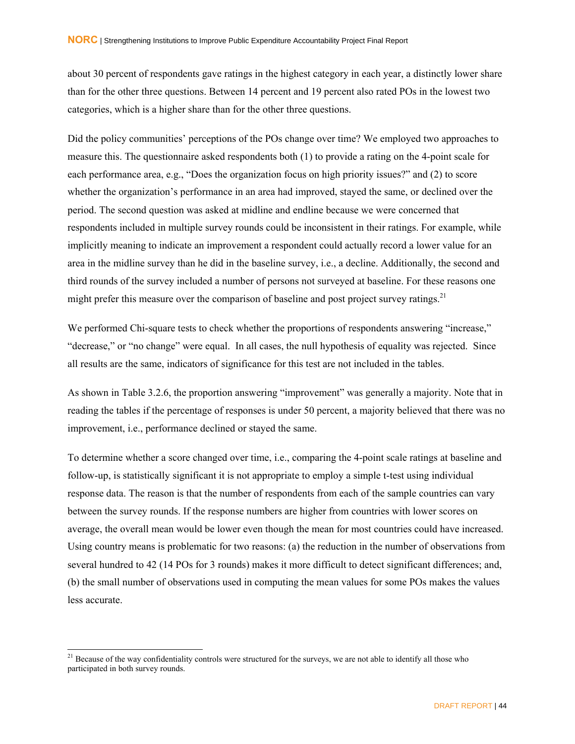about 30 percent of respondents gave ratings in the highest category in each year, a distinctly lower share than for the other three questions. Between 14 percent and 19 percent also rated POs in the lowest two categories, which is a higher share than for the other three questions.

Did the policy communities' perceptions of the POs change over time? We employed two approaches to measure this. The questionnaire asked respondents both (1) to provide a rating on the 4-point scale for each performance area, e.g., "Does the organization focus on high priority issues?" and (2) to score whether the organization's performance in an area had improved, stayed the same, or declined over the period. The second question was asked at midline and endline because we were concerned that respondents included in multiple survey rounds could be inconsistent in their ratings. For example, while implicitly meaning to indicate an improvement a respondent could actually record a lower value for an area in the midline survey than he did in the baseline survey, i.e., a decline. Additionally, the second and third rounds of the survey included a number of persons not surveyed at baseline. For these reasons one might prefer this measure over the comparison of baseline and post project survey ratings.<sup>21</sup>

We performed Chi-square tests to check whether the proportions of respondents answering "increase," "decrease," or "no change" were equal. In all cases, the null hypothesis of equality was rejected. Since all results are the same, indicators of significance for this test are not included in the tables.

As shown in Table 3.2.6, the proportion answering "improvement" was generally a majority. Note that in reading the tables if the percentage of responses is under 50 percent, a majority believed that there was no improvement, i.e., performance declined or stayed the same.

To determine whether a score changed over time, i.e., comparing the 4-point scale ratings at baseline and follow-up, is statistically significant it is not appropriate to employ a simple t-test using individual response data. The reason is that the number of respondents from each of the sample countries can vary between the survey rounds. If the response numbers are higher from countries with lower scores on average, the overall mean would be lower even though the mean for most countries could have increased. Using country means is problematic for two reasons: (a) the reduction in the number of observations from several hundred to 42 (14 POs for 3 rounds) makes it more difficult to detect significant differences; and, (b) the small number of observations used in computing the mean values for some POs makes the values less accurate.

1

<sup>&</sup>lt;sup>21</sup> Because of the way confidentiality controls were structured for the surveys, we are not able to identify all those who participated in both survey rounds.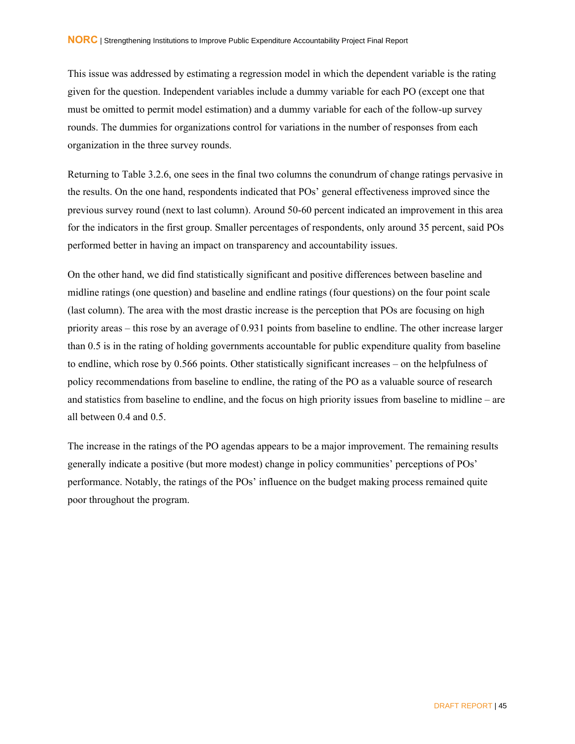This issue was addressed by estimating a regression model in which the dependent variable is the rating given for the question. Independent variables include a dummy variable for each PO (except one that must be omitted to permit model estimation) and a dummy variable for each of the follow-up survey rounds. The dummies for organizations control for variations in the number of responses from each organization in the three survey rounds.

Returning to Table 3.2.6, one sees in the final two columns the conundrum of change ratings pervasive in the results. On the one hand, respondents indicated that POs' general effectiveness improved since the previous survey round (next to last column). Around 50-60 percent indicated an improvement in this area for the indicators in the first group. Smaller percentages of respondents, only around 35 percent, said POs performed better in having an impact on transparency and accountability issues.

On the other hand, we did find statistically significant and positive differences between baseline and midline ratings (one question) and baseline and endline ratings (four questions) on the four point scale (last column). The area with the most drastic increase is the perception that POs are focusing on high priority areas – this rose by an average of 0.931 points from baseline to endline. The other increase larger than 0.5 is in the rating of holding governments accountable for public expenditure quality from baseline to endline, which rose by 0.566 points. Other statistically significant increases – on the helpfulness of policy recommendations from baseline to endline, the rating of the PO as a valuable source of research and statistics from baseline to endline, and the focus on high priority issues from baseline to midline – are all between 0.4 and 0.5.

The increase in the ratings of the PO agendas appears to be a major improvement. The remaining results generally indicate a positive (but more modest) change in policy communities' perceptions of POs' performance. Notably, the ratings of the POs' influence on the budget making process remained quite poor throughout the program.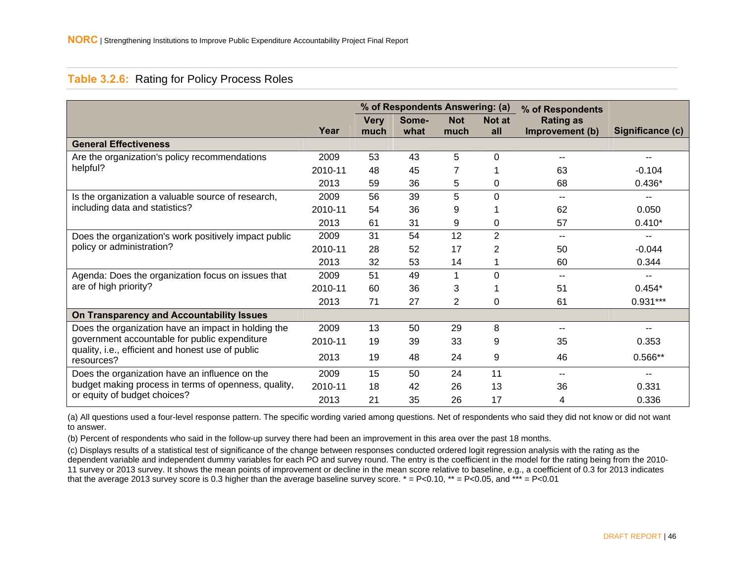## **Table 3.2.6:** Rating for Policy Process Roles

|                                                                 |         |                     | % of Respondents Answering: (a) |                    |                | % of Respondents                    |                  |
|-----------------------------------------------------------------|---------|---------------------|---------------------------------|--------------------|----------------|-------------------------------------|------------------|
|                                                                 | Year    | <b>Very</b><br>much | Some-<br>what                   | <b>Not</b><br>much | Not at<br>all  | <b>Rating as</b><br>Improvement (b) | Significance (c) |
| <b>General Effectiveness</b>                                    |         |                     |                                 |                    |                |                                     |                  |
| Are the organization's policy recommendations                   | 2009    | 53                  | 43                              | 5                  | 0              | $- -$                               |                  |
| helpful?                                                        | 2010-11 | 48                  | 45                              |                    |                | 63                                  | $-0.104$         |
|                                                                 | 2013    | 59                  | 36                              | 5                  | 0              | 68                                  | $0.436*$         |
| Is the organization a valuable source of research,              | 2009    | 56                  | 39                              | 5                  | $\Omega$       | $- -$                               |                  |
| including data and statistics?                                  | 2010-11 | 54                  | 36                              | 9                  |                | 62                                  | 0.050            |
|                                                                 | 2013    | 61                  | 31                              | 9                  | 0              | 57                                  | $0.410*$         |
| Does the organization's work positively impact public           | 2009    | 31                  | 54                              | 12                 | $\overline{2}$ | $-$                                 |                  |
| policy or administration?                                       | 2010-11 | 28                  | 52                              | 17                 | $\overline{2}$ | 50                                  | $-0.044$         |
|                                                                 | 2013    | 32                  | 53                              | 14                 |                | 60                                  | 0.344            |
| Agenda: Does the organization focus on issues that              | 2009    | 51                  | 49                              | $\mathbf 1$        | $\Omega$       | $\overline{\phantom{a}}$            |                  |
| are of high priority?                                           | 2010-11 | 60                  | 36                              | 3                  |                | 51                                  | $0.454*$         |
|                                                                 | 2013    | 71                  | 27                              | $\overline{2}$     | 0              | 61                                  | $0.931***$       |
| On Transparency and Accountability Issues                       |         |                     |                                 |                    |                |                                     |                  |
| Does the organization have an impact in holding the             | 2009    | 13                  | 50                              | 29                 | 8              | --                                  |                  |
| government accountable for public expenditure                   | 2010-11 | 19                  | 39                              | 33                 | 9              | 35                                  | 0.353            |
| quality, i.e., efficient and honest use of public<br>resources? | 2013    | 19                  | 48                              | 24                 | 9              | 46                                  | $0.566**$        |
| Does the organization have an influence on the                  | 2009    | 15                  | 50                              | 24                 | 11             | $- -$                               |                  |
| budget making process in terms of openness, quality,            | 2010-11 | 18                  | 42                              | 26                 | 13             | 36                                  | 0.331            |
| or equity of budget choices?                                    | 2013    | 21                  | 35                              | 26                 | 17             | 4                                   | 0.336            |

(a) All questions used a four-level response pattern. The specific wording varied among questions. Net of respondents who said they did not know or did not want to answer.

(b) Percent of respondents who said in the follow-up survey there had been an improvement in this area over the past 18 months.

(c) Displays results of a statistical test of significance of the change between responses conducted ordered logit regression analysis with the rating as the dependent variable and independent dummy variables for each PO and survey round. The entry is the coefficient in the model for the rating being from the 2010-11 survey or 2013 survey. It shows the mean points of improvement or decline in the mean score relative to baseline, e.g., a coefficient of 0.3 for 2013 indicates that the average 2013 survey score is 0.3 higher than the average baseline survey score.  $* = P < 0.10$ ,  $** = P < 0.05$ , and  $** = P < 0.01$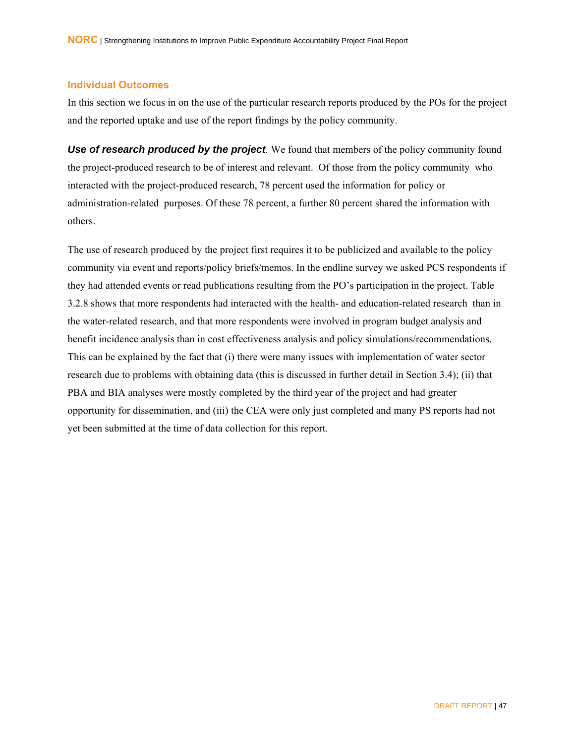#### **Individual Outcomes**

In this section we focus in on the use of the particular research reports produced by the POs for the project and the reported uptake and use of the report findings by the policy community.

**Use of research produced by the project**. We found that members of the policy community found the project-produced research to be of interest and relevant. Of those from the policy community who interacted with the project-produced research, 78 percent used the information for policy or administration-related purposes. Of these 78 percent, a further 80 percent shared the information with others.

The use of research produced by the project first requires it to be publicized and available to the policy community via event and reports/policy briefs/memos. In the endline survey we asked PCS respondents if they had attended events or read publications resulting from the PO's participation in the project. Table 3.2.8 shows that more respondents had interacted with the health- and education-related research than in the water-related research, and that more respondents were involved in program budget analysis and benefit incidence analysis than in cost effectiveness analysis and policy simulations/recommendations. This can be explained by the fact that (i) there were many issues with implementation of water sector research due to problems with obtaining data (this is discussed in further detail in Section 3.4); (ii) that PBA and BIA analyses were mostly completed by the third year of the project and had greater opportunity for dissemination, and (iii) the CEA were only just completed and many PS reports had not yet been submitted at the time of data collection for this report.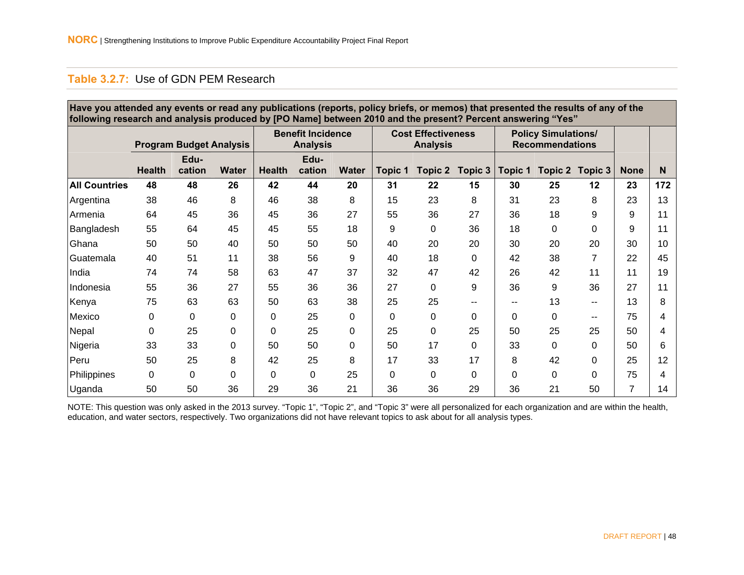#### **Table 3.2.7:** Use of GDN PEM Research

|                      | Have you attended any events or read any publications (reports, policy briefs, or memos) that presented the results of any of the<br>following research and analysis produced by [PO Name] between 2010 and the present? Percent answering "Yes" |                |              |                                             |                |                                              |         |    |                                                      |    |          |       |             |     |
|----------------------|--------------------------------------------------------------------------------------------------------------------------------------------------------------------------------------------------------------------------------------------------|----------------|--------------|---------------------------------------------|----------------|----------------------------------------------|---------|----|------------------------------------------------------|----|----------|-------|-------------|-----|
|                      | <b>Program Budget Analysis</b>                                                                                                                                                                                                                   |                |              | <b>Benefit Incidence</b><br><b>Analysis</b> |                | <b>Cost Effectiveness</b><br><b>Analysis</b> |         |    | <b>Policy Simulations/</b><br><b>Recommendations</b> |    |          |       |             |     |
|                      | <b>Health</b>                                                                                                                                                                                                                                    | Edu-<br>cation | <b>Water</b> | <b>Health</b>                               | Edu-<br>cation | <b>Water</b>                                 | Topic 1 |    | Topic 2 Topic 3   Topic 1 Topic 2 Topic 3            |    |          |       | <b>None</b> | N.  |
| <b>All Countries</b> | 48                                                                                                                                                                                                                                               | 48             | 26           | 42                                          | 44             | 20                                           | 31      | 22 | 15                                                   | 30 | 25       | 12    | 23          | 172 |
| Argentina            | 38                                                                                                                                                                                                                                               | 46             | 8            | 46                                          | 38             | 8                                            | 15      | 23 | 8                                                    | 31 | 23       | 8     | 23          | 13  |
| Armenia              | 64                                                                                                                                                                                                                                               | 45             | 36           | 45                                          | 36             | 27                                           | 55      | 36 | 27                                                   | 36 | 18       | 9     | 9           | 11  |
| Bangladesh           | 55                                                                                                                                                                                                                                               | 64             | 45           | 45                                          | 55             | 18                                           | 9       | 0  | 36                                                   | 18 | 0        | 0     | 9           | 11  |
| Ghana                | 50                                                                                                                                                                                                                                               | 50             | 40           | 50                                          | 50             | 50                                           | 40      | 20 | 20                                                   | 30 | 20       | 20    | 30          | 10  |
| Guatemala            | 40                                                                                                                                                                                                                                               | 51             | 11           | 38                                          | 56             | 9                                            | 40      | 18 | 0                                                    | 42 | 38       | 7     | 22          | 45  |
| India                | 74                                                                                                                                                                                                                                               | 74             | 58           | 63                                          | 47             | 37                                           | 32      | 47 | 42                                                   | 26 | 42       | 11    | 11          | 19  |
| Indonesia            | 55                                                                                                                                                                                                                                               | 36             | 27           | 55                                          | 36             | 36                                           | 27      | 0  | 9                                                    | 36 | 9        | 36    | 27          | 11  |
| Kenya                | 75                                                                                                                                                                                                                                               | 63             | 63           | 50                                          | 63             | 38                                           | 25      | 25 | --                                                   | ۰. | 13       | --    | 13          | 8   |
| Mexico               | 0                                                                                                                                                                                                                                                | 0              | 0            | 0                                           | 25             | 0                                            | 0       | 0  | 0                                                    | 0  | 0        | $- -$ | 75          |     |
| Nepal                | 0                                                                                                                                                                                                                                                | 25             | 0            | 0                                           | 25             | 0                                            | 25      | 0  | 25                                                   | 50 | 25       | 25    | 50          | 4   |
| Nigeria              | 33                                                                                                                                                                                                                                               | 33             | 0            | 50                                          | 50             | 0                                            | 50      | 17 | 0                                                    | 33 | $\Omega$ | 0     | 50          | 6   |
| Peru                 | 50                                                                                                                                                                                                                                               | 25             | 8            | 42                                          | 25             | 8                                            | 17      | 33 | 17                                                   | 8  | 42       | 0     | 25          | 12  |
| Philippines          | $\Omega$                                                                                                                                                                                                                                         | $\Omega$       | $\Omega$     | 0                                           | $\Omega$       | 25                                           | 0       | 0  | 0                                                    | 0  | 0        | 0     | 75          | 4   |
| Uganda               | 50                                                                                                                                                                                                                                               | 50             | 36           | 29                                          | 36             | 21                                           | 36      | 36 | 29                                                   | 36 | 21       | 50    | 7           | 14  |

NOTE: This question was only asked in the 2013 survey. "Topic 1", "Topic 2", and "Topic 3" were all personalized for each organization and are within the health, education, and water sectors, respectively. Two organizations did not have relevant topics to ask about for all analysis types.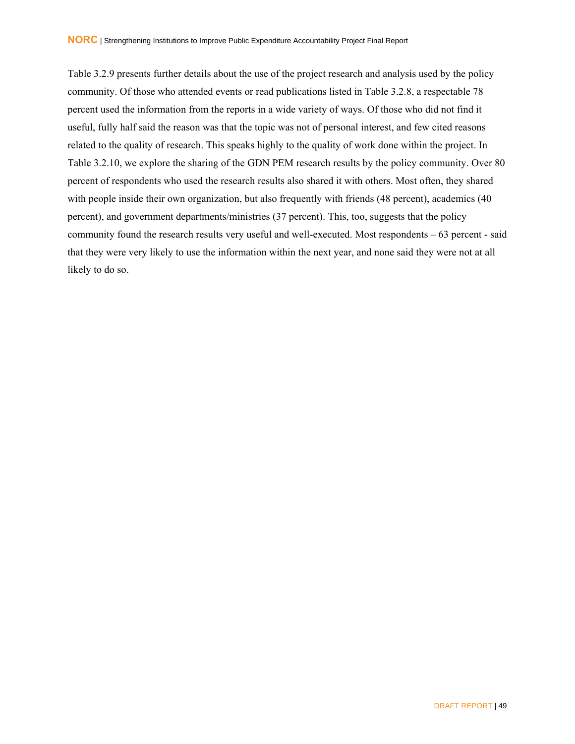Table 3.2.9 presents further details about the use of the project research and analysis used by the policy community. Of those who attended events or read publications listed in Table 3.2.8, a respectable 78 percent used the information from the reports in a wide variety of ways. Of those who did not find it useful, fully half said the reason was that the topic was not of personal interest, and few cited reasons related to the quality of research. This speaks highly to the quality of work done within the project. In Table 3.2.10, we explore the sharing of the GDN PEM research results by the policy community. Over 80 percent of respondents who used the research results also shared it with others. Most often, they shared with people inside their own organization, but also frequently with friends (48 percent), academics (40 percent), and government departments/ministries (37 percent). This, too, suggests that the policy community found the research results very useful and well-executed. Most respondents – 63 percent - said that they were very likely to use the information within the next year, and none said they were not at all likely to do so.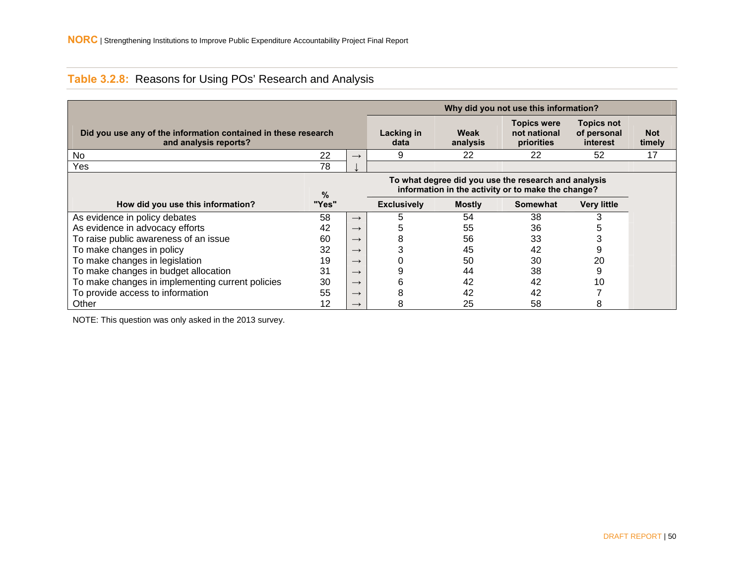|                                                                                         |       | Why did you not use this information? |                                                                                                            |                  |                                                  |                                              |                      |
|-----------------------------------------------------------------------------------------|-------|---------------------------------------|------------------------------------------------------------------------------------------------------------|------------------|--------------------------------------------------|----------------------------------------------|----------------------|
| Did you use any of the information contained in these research<br>and analysis reports? |       |                                       | Lacking in<br>data                                                                                         | Weak<br>analysis | <b>Topics were</b><br>not national<br>priorities | <b>Topics not</b><br>of personal<br>interest | <b>Not</b><br>timely |
| No                                                                                      | 22    | $\rightarrow$                         | 9                                                                                                          | 22               | 22                                               | 52                                           | 17                   |
| Yes                                                                                     | 78    |                                       |                                                                                                            |                  |                                                  |                                              |                      |
|                                                                                         | $\%$  |                                       | To what degree did you use the research and analysis<br>information in the activity or to make the change? |                  |                                                  |                                              |                      |
| How did you use this information?                                                       | "Yes" |                                       | <b>Exclusively</b>                                                                                         | <b>Mostly</b>    | Somewhat                                         | <b>Very little</b>                           |                      |
| As evidence in policy debates                                                           | 58    | $\rightarrow$                         | 5                                                                                                          | 54               | 38                                               |                                              |                      |
| As evidence in advocacy efforts                                                         | 42    | $\rightarrow$                         | 5                                                                                                          | 55               | 36                                               |                                              |                      |
| To raise public awareness of an issue                                                   | 60    | $\longrightarrow$                     | 8                                                                                                          | 56               | 33                                               |                                              |                      |
| To make changes in policy                                                               | 32    | $\longrightarrow$                     | 3                                                                                                          | 45               | 42                                               | 9                                            |                      |
| To make changes in legislation                                                          | 19    | $\rightarrow$                         |                                                                                                            | 50               | 30                                               | 20                                           |                      |
| To make changes in budget allocation                                                    | 31    | $\rightarrow$                         | 9                                                                                                          | 44               | 38                                               | 9                                            |                      |
| To make changes in implementing current policies                                        | 30    | $\longrightarrow$                     | 6                                                                                                          | 42               | 42                                               | 10                                           |                      |
| To provide access to information                                                        | 55    | $\longrightarrow$                     | 8                                                                                                          | 42               | 42                                               |                                              |                      |
| Other                                                                                   | 12    | $\rightarrow$                         | 8                                                                                                          | 25               | 58                                               |                                              |                      |

## **Table 3.2.8:** Reasons for Using POs' Research and Analysis

NOTE: This question was only asked in the 2013 survey.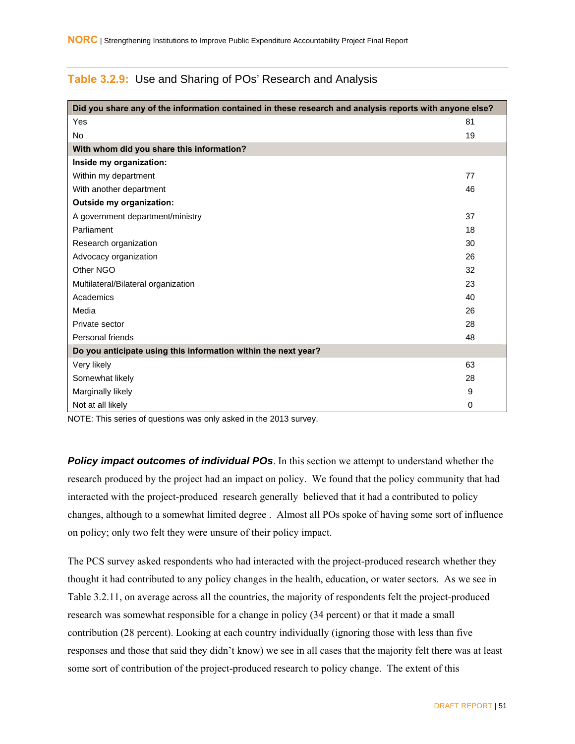## **Table 3.2.9:** Use and Sharing of POs' Research and Analysis

| Did you share any of the information contained in these research and analysis reports with anyone else? |    |  |  |
|---------------------------------------------------------------------------------------------------------|----|--|--|
| Yes                                                                                                     | 81 |  |  |
| <b>No</b>                                                                                               | 19 |  |  |
| With whom did you share this information?                                                               |    |  |  |
| Inside my organization:                                                                                 |    |  |  |
| Within my department                                                                                    | 77 |  |  |
| With another department                                                                                 | 46 |  |  |
| Outside my organization:                                                                                |    |  |  |
| A government department/ministry                                                                        | 37 |  |  |
| Parliament                                                                                              | 18 |  |  |
| Research organization                                                                                   | 30 |  |  |
| Advocacy organization                                                                                   | 26 |  |  |
| Other NGO                                                                                               | 32 |  |  |
| Multilateral/Bilateral organization                                                                     | 23 |  |  |
| Academics                                                                                               | 40 |  |  |
| Media                                                                                                   | 26 |  |  |
| Private sector                                                                                          | 28 |  |  |
| Personal friends                                                                                        | 48 |  |  |
| Do you anticipate using this information within the next year?                                          |    |  |  |
| Very likely                                                                                             | 63 |  |  |
| Somewhat likely                                                                                         | 28 |  |  |
| Marginally likely                                                                                       | 9  |  |  |
| Not at all likely                                                                                       | 0  |  |  |

NOTE: This series of questions was only asked in the 2013 survey.

**Policy impact outcomes of individual POs.** In this section we attempt to understand whether the research produced by the project had an impact on policy. We found that the policy community that had interacted with the project-produced research generally believed that it had a contributed to policy changes, although to a somewhat limited degree . Almost all POs spoke of having some sort of influence on policy; only two felt they were unsure of their policy impact.

The PCS survey asked respondents who had interacted with the project-produced research whether they thought it had contributed to any policy changes in the health, education, or water sectors. As we see in Table 3.2.11, on average across all the countries, the majority of respondents felt the project-produced research was somewhat responsible for a change in policy (34 percent) or that it made a small contribution (28 percent). Looking at each country individually (ignoring those with less than five responses and those that said they didn't know) we see in all cases that the majority felt there was at least some sort of contribution of the project-produced research to policy change. The extent of this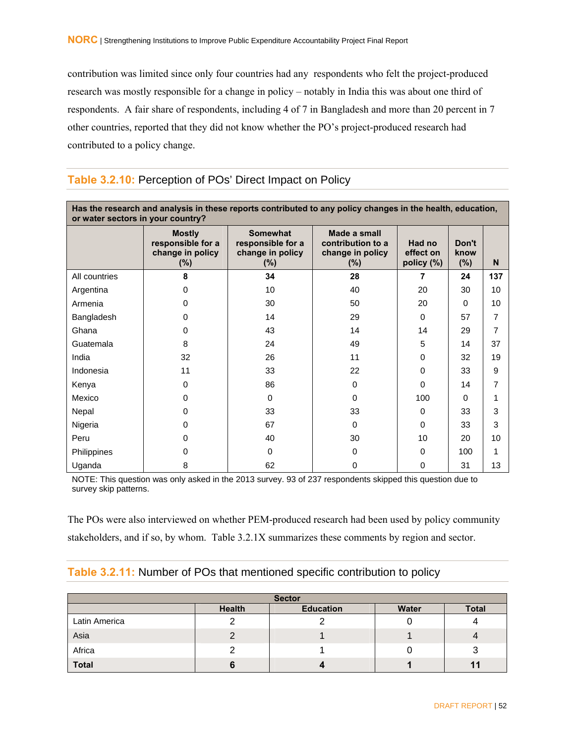contribution was limited since only four countries had any respondents who felt the project-produced research was mostly responsible for a change in policy – notably in India this was about one third of respondents. A fair share of respondents, including 4 of 7 in Bangladesh and more than 20 percent in 7 other countries, reported that they did not know whether the PO's project-produced research had contributed to a policy change.

| Has the research and analysis in these reports contributed to any policy changes in the health, education,<br>or water sectors in your country? |                                                                  |                                                                    |                                                                 |                                   |                      |     |  |
|-------------------------------------------------------------------------------------------------------------------------------------------------|------------------------------------------------------------------|--------------------------------------------------------------------|-----------------------------------------------------------------|-----------------------------------|----------------------|-----|--|
|                                                                                                                                                 | <b>Mostly</b><br>responsible for a<br>change in policy<br>$(\%)$ | <b>Somewhat</b><br>responsible for a<br>change in policy<br>$(\%)$ | Made a small<br>contribution to a<br>change in policy<br>$(\%)$ | Had no<br>effect on<br>policy (%) | Don't<br>know<br>(%) | N   |  |
| All countries                                                                                                                                   | 8                                                                | 34                                                                 | 28                                                              | 7                                 | 24                   | 137 |  |
| Argentina                                                                                                                                       | 0                                                                | 10                                                                 | 40                                                              | 20                                | 30                   | 10  |  |
| Armenia                                                                                                                                         | 0                                                                | 30                                                                 | 50                                                              | 20                                | $\Omega$             | 10  |  |
| Bangladesh                                                                                                                                      | 0                                                                | 14                                                                 | 29                                                              | 0                                 | 57                   | 7   |  |
| Ghana                                                                                                                                           | 0                                                                | 43                                                                 | 14                                                              | 14                                | 29                   |     |  |
| Guatemala                                                                                                                                       | 8                                                                | 24                                                                 | 49                                                              | 5                                 | 14                   | 37  |  |
| India                                                                                                                                           | 32                                                               | 26                                                                 | 11                                                              | 0                                 | 32                   | 19  |  |
| Indonesia                                                                                                                                       | 11                                                               | 33                                                                 | 22                                                              | 0                                 | 33                   | 9   |  |
| Kenya                                                                                                                                           | 0                                                                | 86                                                                 | $\Omega$                                                        | 0                                 | 14                   |     |  |
| Mexico                                                                                                                                          | 0                                                                | $\Omega$                                                           | 0                                                               | 100                               | $\Omega$             |     |  |
| Nepal                                                                                                                                           | 0                                                                | 33                                                                 | 33                                                              | 0                                 | 33                   | 3   |  |
| Nigeria                                                                                                                                         | 0                                                                | 67                                                                 | $\Omega$                                                        | 0                                 | 33                   | 3   |  |
| Peru                                                                                                                                            | 0                                                                | 40                                                                 | 30                                                              | 10                                | 20                   | 10  |  |
| Philippines                                                                                                                                     | 0                                                                | 0                                                                  | 0                                                               | 0                                 | 100                  |     |  |
| Uganda                                                                                                                                          | 8                                                                | 62                                                                 | 0                                                               | 0                                 | 31                   | 13  |  |

## **Table 3.2.10:** Perception of POs' Direct Impact on Policy

NOTE: This question was only asked in the 2013 survey. 93 of 237 respondents skipped this question due to survey skip patterns.

The POs were also interviewed on whether PEM-produced research had been used by policy community stakeholders, and if so, by whom. Table 3.2.1X summarizes these comments by region and sector.

#### **Table 3.2.11:** Number of POs that mentioned specific contribution to policy

| <b>Sector</b> |               |                  |              |              |  |  |
|---------------|---------------|------------------|--------------|--------------|--|--|
|               | <b>Health</b> | <b>Education</b> | <b>Water</b> | <b>Total</b> |  |  |
| Latin America |               |                  |              |              |  |  |
| Asia          |               |                  |              |              |  |  |
| Africa        |               |                  | U            | J.           |  |  |
| <b>Total</b>  | О             |                  |              |              |  |  |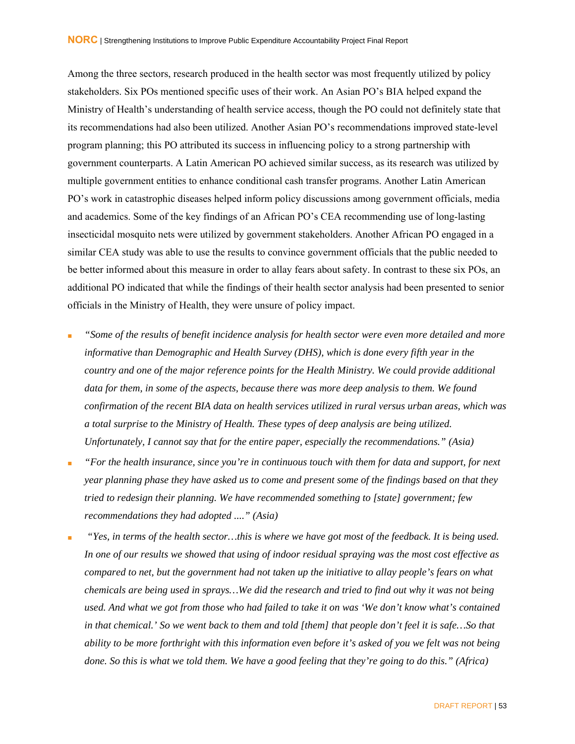Among the three sectors, research produced in the health sector was most frequently utilized by policy stakeholders. Six POs mentioned specific uses of their work. An Asian PO's BIA helped expand the Ministry of Health's understanding of health service access, though the PO could not definitely state that its recommendations had also been utilized. Another Asian PO's recommendations improved state-level program planning; this PO attributed its success in influencing policy to a strong partnership with government counterparts. A Latin American PO achieved similar success, as its research was utilized by multiple government entities to enhance conditional cash transfer programs. Another Latin American PO's work in catastrophic diseases helped inform policy discussions among government officials, media and academics. Some of the key findings of an African PO's CEA recommending use of long-lasting insecticidal mosquito nets were utilized by government stakeholders. Another African PO engaged in a similar CEA study was able to use the results to convince government officials that the public needed to be better informed about this measure in order to allay fears about safety. In contrast to these six POs, an additional PO indicated that while the findings of their health sector analysis had been presented to senior officials in the Ministry of Health, they were unsure of policy impact.

- *"Some of the results of benefit incidence analysis for health sector were even more detailed and more informative than Demographic and Health Survey (DHS), which is done every fifth year in the country and one of the major reference points for the Health Ministry. We could provide additional*  data for them, in some of the aspects, because there was more deep analysis to them. We found *confirmation of the recent BIA data on health services utilized in rural versus urban areas, which was a total surprise to the Ministry of Health. These types of deep analysis are being utilized. Unfortunately, I cannot say that for the entire paper, especially the recommendations." (Asia)*
- *"For the health insurance, since you're in continuous touch with them for data and support, for next year planning phase they have asked us to come and present some of the findings based on that they tried to redesign their planning. We have recommended something to [state] government; few recommendations they had adopted ...." (Asia)*
- ■ *"Yes, in terms of the health sector…this is where we have got most of the feedback. It is being used. In one of our results we showed that using of indoor residual spraying was the most cost effective as compared to net, but the government had not taken up the initiative to allay people's fears on what chemicals are being used in sprays…We did the research and tried to find out why it was not being used. And what we got from those who had failed to take it on was 'We don't know what's contained in that chemical.' So we went back to them and told [them] that people don't feel it is safe…So that ability to be more forthright with this information even before it's asked of you we felt was not being done. So this is what we told them. We have a good feeling that they're going to do this." (Africa)*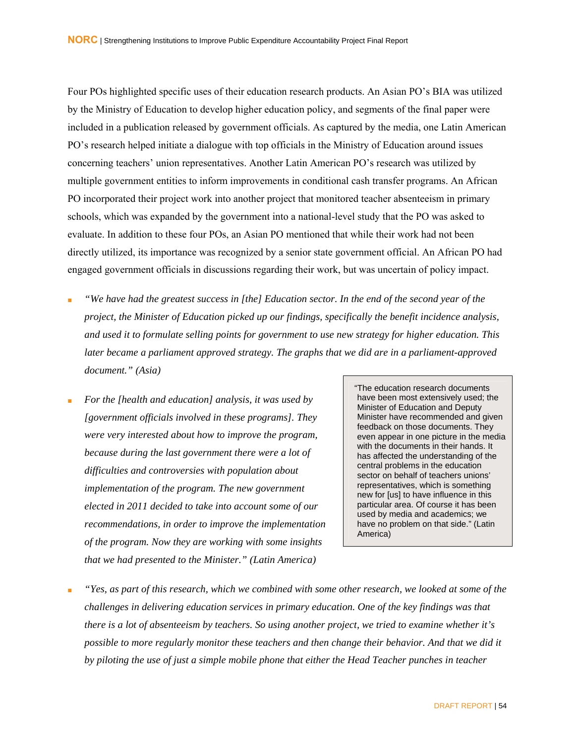Four POs highlighted specific uses of their education research products. An Asian PO's BIA was utilized by the Ministry of Education to develop higher education policy, and segments of the final paper were included in a publication released by government officials. As captured by the media, one Latin American PO's research helped initiate a dialogue with top officials in the Ministry of Education around issues concerning teachers' union representatives. Another Latin American PO's research was utilized by multiple government entities to inform improvements in conditional cash transfer programs. An African PO incorporated their project work into another project that monitored teacher absenteeism in primary schools, which was expanded by the government into a national-level study that the PO was asked to evaluate. In addition to these four POs, an Asian PO mentioned that while their work had not been directly utilized, its importance was recognized by a senior state government official. An African PO had engaged government officials in discussions regarding their work, but was uncertain of policy impact.

- *"We have had the greatest success in [the] Education sector. In the end of the second year of the project, the Minister of Education picked up our findings, specifically the benefit incidence analysis, and used it to formulate selling points for government to use new strategy for higher education. This later became a parliament approved strategy. The graphs that we did are in a parliament-approved document." (Asia)*
- *For the [health and education] analysis, it was used by [government officials involved in these programs]. They were very interested about how to improve the program, because during the last government there were a lot of difficulties and controversies with population about implementation of the program. The new government elected in 2011 decided to take into account some of our recommendations, in order to improve the implementation of the program. Now they are working with some insights that we had presented to the Minister." (Latin America)*

 "The education research documents have been most extensively used; the Minister of Education and Deputy Minister have recommended and given feedback on those documents. They even appear in one picture in the media with the documents in their hands. It has affected the understanding of the central problems in the education sector on behalf of teachers unions' representatives, which is something new for [us] to have influence in this particular area. Of course it has been used by media and academics; we have no problem on that side." (Latin America)

■ *"Yes, as part of this research, which we combined with some other research, we looked at some of the challenges in delivering education services in primary education. One of the key findings was that there is a lot of absenteeism by teachers. So using another project, we tried to examine whether it's possible to more regularly monitor these teachers and then change their behavior. And that we did it by piloting the use of just a simple mobile phone that either the Head Teacher punches in teacher*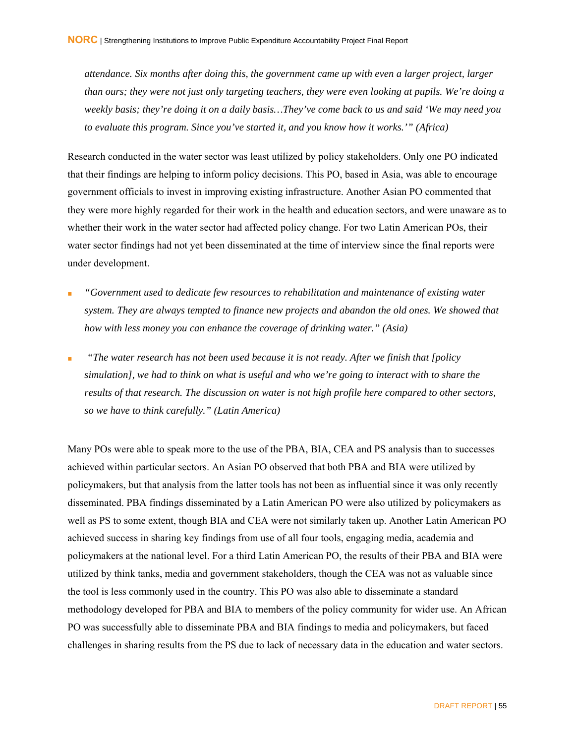*attendance. Six months after doing this, the government came up with even a larger project, larger than ours; they were not just only targeting teachers, they were even looking at pupils. We're doing a weekly basis; they're doing it on a daily basis…They've come back to us and said 'We may need you to evaluate this program. Since you've started it, and you know how it works.'" (Africa)* 

Research conducted in the water sector was least utilized by policy stakeholders. Only one PO indicated that their findings are helping to inform policy decisions. This PO, based in Asia, was able to encourage government officials to invest in improving existing infrastructure. Another Asian PO commented that they were more highly regarded for their work in the health and education sectors, and were unaware as to whether their work in the water sector had affected policy change. For two Latin American POs, their water sector findings had not yet been disseminated at the time of interview since the final reports were under development.

- *"Government used to dedicate few resources to rehabilitation and maintenance of existing water system. They are always tempted to finance new projects and abandon the old ones. We showed that how with less money you can enhance the coverage of drinking water." (Asia)*
- ■ *"The water research has not been used because it is not ready. After we finish that [policy simulation], we had to think on what is useful and who we're going to interact with to share the results of that research. The discussion on water is not high profile here compared to other sectors, so we have to think carefully." (Latin America)*

Many POs were able to speak more to the use of the PBA, BIA, CEA and PS analysis than to successes achieved within particular sectors. An Asian PO observed that both PBA and BIA were utilized by policymakers, but that analysis from the latter tools has not been as influential since it was only recently disseminated. PBA findings disseminated by a Latin American PO were also utilized by policymakers as well as PS to some extent, though BIA and CEA were not similarly taken up. Another Latin American PO achieved success in sharing key findings from use of all four tools, engaging media, academia and policymakers at the national level. For a third Latin American PO, the results of their PBA and BIA were utilized by think tanks, media and government stakeholders, though the CEA was not as valuable since the tool is less commonly used in the country. This PO was also able to disseminate a standard methodology developed for PBA and BIA to members of the policy community for wider use. An African PO was successfully able to disseminate PBA and BIA findings to media and policymakers, but faced challenges in sharing results from the PS due to lack of necessary data in the education and water sectors.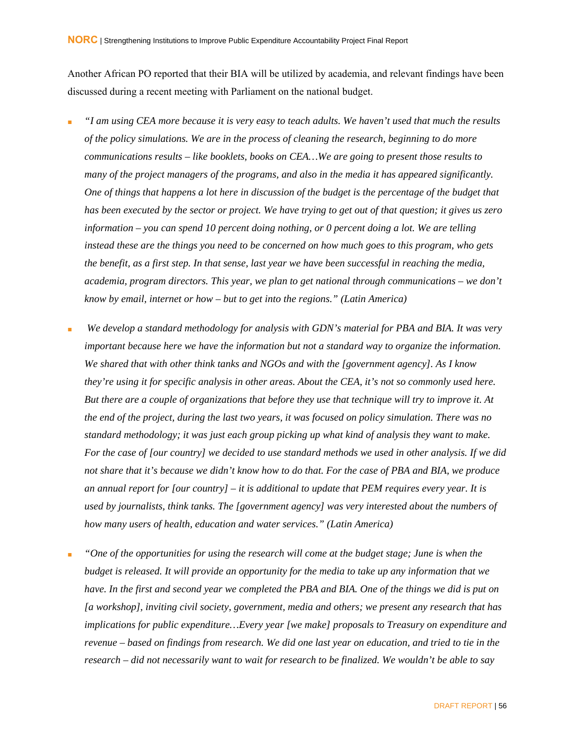Another African PO reported that their BIA will be utilized by academia, and relevant findings have been discussed during a recent meeting with Parliament on the national budget.

- *"I am using CEA more because it is very easy to teach adults. We haven't used that much the results of the policy simulations. We are in the process of cleaning the research, beginning to do more communications results – like booklets, books on CEA…We are going to present those results to many of the project managers of the programs, and also in the media it has appeared significantly. One of things that happens a lot here in discussion of the budget is the percentage of the budget that has been executed by the sector or project. We have trying to get out of that question; it gives us zero information – you can spend 10 percent doing nothing, or 0 percent doing a lot. We are telling instead these are the things you need to be concerned on how much goes to this program, who gets the benefit, as a first step. In that sense, last year we have been successful in reaching the media, academia, program directors. This year, we plan to get national through communications – we don't know by email, internet or how – but to get into the regions." (Latin America)*
- We develop a standard methodology for analysis with GDN's material for PBA and BIA. It was very *important because here we have the information but not a standard way to organize the information. We shared that with other think tanks and NGOs and with the [government agency]. As I know they're using it for specific analysis in other areas. About the CEA, it's not so commonly used here. But there are a couple of organizations that before they use that technique will try to improve it. At the end of the project, during the last two years, it was focused on policy simulation. There was no standard methodology; it was just each group picking up what kind of analysis they want to make. For the case of [our country] we decided to use standard methods we used in other analysis. If we did not share that it's because we didn't know how to do that. For the case of PBA and BIA, we produce an annual report for [our country] – it is additional to update that PEM requires every year. It is used by journalists, think tanks. The [government agency] was very interested about the numbers of how many users of health, education and water services." (Latin America)*
- *"One of the opportunities for using the research will come at the budget stage; June is when the budget is released. It will provide an opportunity for the media to take up any information that we have. In the first and second year we completed the PBA and BIA. One of the things we did is put on [a workshop], inviting civil society, government, media and others; we present any research that has implications for public expenditure…Every year [we make] proposals to Treasury on expenditure and revenue – based on findings from research. We did one last year on education, and tried to tie in the research – did not necessarily want to wait for research to be finalized. We wouldn't be able to say*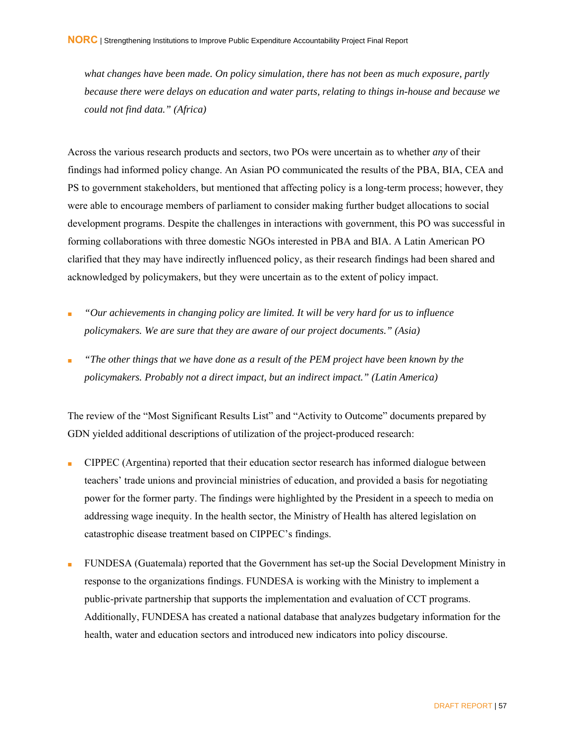*what changes have been made. On policy simulation, there has not been as much exposure, partly because there were delays on education and water parts, relating to things in-house and because we could not find data." (Africa)* 

Across the various research products and sectors, two POs were uncertain as to whether *any* of their findings had informed policy change. An Asian PO communicated the results of the PBA, BIA, CEA and PS to government stakeholders, but mentioned that affecting policy is a long-term process; however, they were able to encourage members of parliament to consider making further budget allocations to social development programs. Despite the challenges in interactions with government, this PO was successful in forming collaborations with three domestic NGOs interested in PBA and BIA. A Latin American PO clarified that they may have indirectly influenced policy, as their research findings had been shared and acknowledged by policymakers, but they were uncertain as to the extent of policy impact.

- *"Our achievements in changing policy are limited. It will be very hard for us to influence policymakers. We are sure that they are aware of our project documents." (Asia)*
- "The other things that we have done as a result of the PEM project have been known by the *policymakers. Probably not a direct impact, but an indirect impact." (Latin America)*

The review of the "Most Significant Results List" and "Activity to Outcome" documents prepared by GDN yielded additional descriptions of utilization of the project-produced research:

- CIPPEC (Argentina) reported that their education sector research has informed dialogue between teachers' trade unions and provincial ministries of education, and provided a basis for negotiating power for the former party. The findings were highlighted by the President in a speech to media on addressing wage inequity. In the health sector, the Ministry of Health has altered legislation on catastrophic disease treatment based on CIPPEC's findings.
- FUNDESA (Guatemala) reported that the Government has set-up the Social Development Ministry in response to the organizations findings. FUNDESA is working with the Ministry to implement a public-private partnership that supports the implementation and evaluation of CCT programs. Additionally, FUNDESA has created a national database that analyzes budgetary information for the health, water and education sectors and introduced new indicators into policy discourse.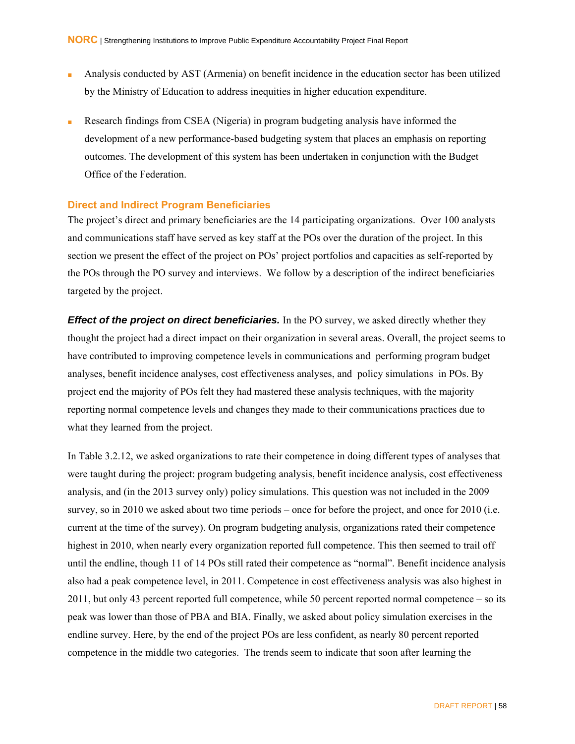- Analysis conducted by AST (Armenia) on benefit incidence in the education sector has been utilized by the Ministry of Education to address inequities in higher education expenditure.
- Research findings from CSEA (Nigeria) in program budgeting analysis have informed the development of a new performance-based budgeting system that places an emphasis on reporting outcomes. The development of this system has been undertaken in conjunction with the Budget Office of the Federation.

#### **Direct and Indirect Program Beneficiaries**

The project's direct and primary beneficiaries are the 14 participating organizations. Over 100 analysts and communications staff have served as key staff at the POs over the duration of the project. In this section we present the effect of the project on POs' project portfolios and capacities as self-reported by the POs through the PO survey and interviews. We follow by a description of the indirect beneficiaries targeted by the project.

*Effect of the project on direct beneficiaries.* In the PO survey, we asked directly whether they thought the project had a direct impact on their organization in several areas. Overall, the project seems to have contributed to improving competence levels in communications and performing program budget analyses, benefit incidence analyses, cost effectiveness analyses, and policy simulations in POs. By project end the majority of POs felt they had mastered these analysis techniques, with the majority reporting normal competence levels and changes they made to their communications practices due to what they learned from the project.

In Table 3.2.12, we asked organizations to rate their competence in doing different types of analyses that were taught during the project: program budgeting analysis, benefit incidence analysis, cost effectiveness analysis, and (in the 2013 survey only) policy simulations. This question was not included in the 2009 survey, so in 2010 we asked about two time periods – once for before the project, and once for 2010 (i.e. current at the time of the survey). On program budgeting analysis, organizations rated their competence highest in 2010, when nearly every organization reported full competence. This then seemed to trail off until the endline, though 11 of 14 POs still rated their competence as "normal". Benefit incidence analysis also had a peak competence level, in 2011. Competence in cost effectiveness analysis was also highest in 2011, but only 43 percent reported full competence, while 50 percent reported normal competence – so its peak was lower than those of PBA and BIA. Finally, we asked about policy simulation exercises in the endline survey. Here, by the end of the project POs are less confident, as nearly 80 percent reported competence in the middle two categories. The trends seem to indicate that soon after learning the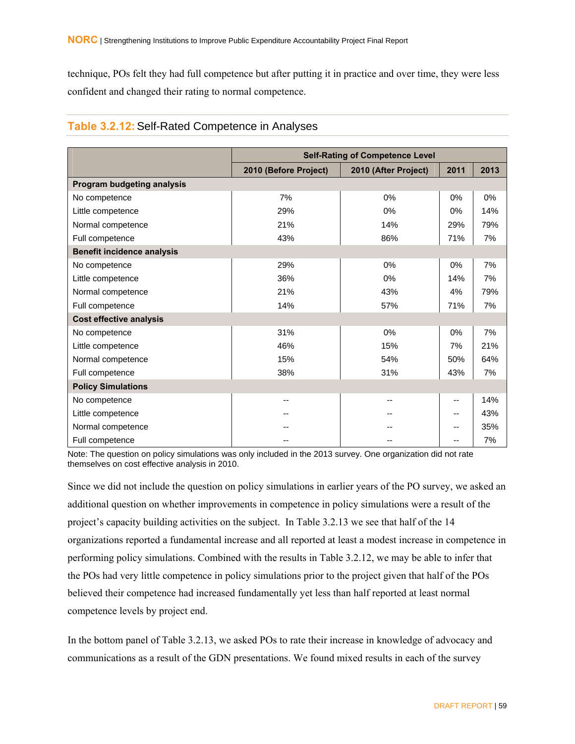technique, POs felt they had full competence but after putting it in practice and over time, they were less confident and changed their rating to normal competence.

|                                   | <b>Self-Rating of Competence Level</b> |                      |       |      |
|-----------------------------------|----------------------------------------|----------------------|-------|------|
|                                   | 2010 (Before Project)                  | 2010 (After Project) | 2011  | 2013 |
| Program budgeting analysis        |                                        |                      |       |      |
| No competence                     | 7%                                     | 0%                   | $0\%$ | 0%   |
| Little competence                 | 29%                                    | 0%                   | 0%    | 14%  |
| Normal competence                 | 21%                                    | 14%                  | 29%   | 79%  |
| Full competence                   | 43%                                    | 86%                  | 71%   | 7%   |
| <b>Benefit incidence analysis</b> |                                        |                      |       |      |
| No competence                     | 29%                                    | 0%                   | 0%    | 7%   |
| Little competence                 | 36%                                    | 0%                   | 14%   | 7%   |
| Normal competence                 | 21%                                    | 43%                  | 4%    | 79%  |
| Full competence                   | 14%                                    | 57%                  | 71%   | 7%   |
| <b>Cost effective analysis</b>    |                                        |                      |       |      |
| No competence                     | 31%                                    | 0%                   | 0%    | 7%   |
| Little competence                 | 46%                                    | 15%                  | 7%    | 21%  |
| Normal competence                 | 15%                                    | 54%                  | 50%   | 64%  |
| Full competence                   | 38%                                    | 31%                  | 43%   | 7%   |
| <b>Policy Simulations</b>         |                                        |                      |       |      |
| No competence                     |                                        |                      |       | 14%  |
| Little competence                 |                                        |                      |       | 43%  |
| Normal competence                 |                                        |                      |       | 35%  |
| Full competence                   |                                        |                      |       | 7%   |

#### **Table 3.2.12:**Self-Rated Competence in Analyses

Note: The question on policy simulations was only included in the 2013 survey. One organization did not rate themselves on cost effective analysis in 2010.

Since we did not include the question on policy simulations in earlier years of the PO survey, we asked an additional question on whether improvements in competence in policy simulations were a result of the project's capacity building activities on the subject. In Table 3.2.13 we see that half of the 14 organizations reported a fundamental increase and all reported at least a modest increase in competence in performing policy simulations. Combined with the results in Table 3.2.12, we may be able to infer that the POs had very little competence in policy simulations prior to the project given that half of the POs believed their competence had increased fundamentally yet less than half reported at least normal competence levels by project end.

In the bottom panel of Table 3.2.13, we asked POs to rate their increase in knowledge of advocacy and communications as a result of the GDN presentations. We found mixed results in each of the survey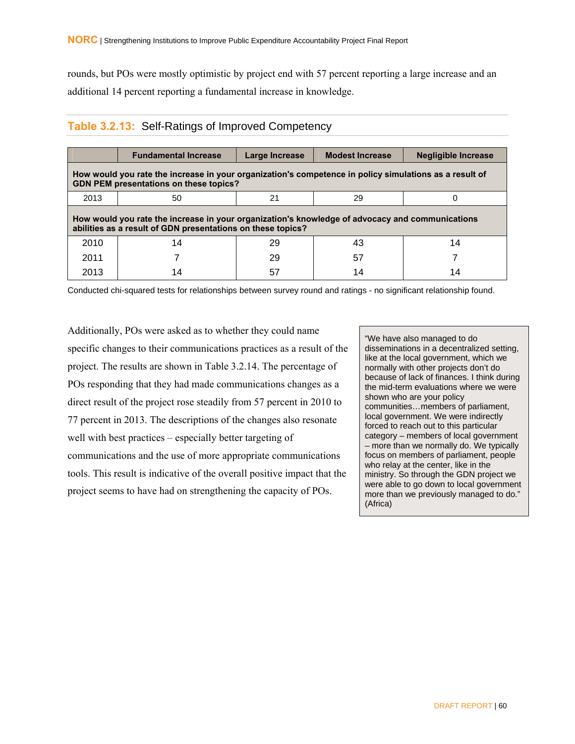rounds, but POs were mostly optimistic by project end with 57 percent reporting a large increase and an additional 14 percent reporting a fundamental increase in knowledge.

## **Table 3.2.13:** Self-Ratings of Improved Competency

|                                                                                                                                                                | <b>Fundamental Increase</b> | Large Increase | <b>Modest Increase</b> | <b>Negligible Increase</b> |  |  |
|----------------------------------------------------------------------------------------------------------------------------------------------------------------|-----------------------------|----------------|------------------------|----------------------------|--|--|
| How would you rate the increase in your organization's competence in policy simulations as a result of<br><b>GDN PEM presentations on these topics?</b>        |                             |                |                        |                            |  |  |
| 2013                                                                                                                                                           | 50                          | 21             | 29                     |                            |  |  |
| How would you rate the increase in your organization's knowledge of advocacy and communications<br>abilities as a result of GDN presentations on these topics? |                             |                |                        |                            |  |  |
| 2010                                                                                                                                                           | 14                          | 29             | 43                     | 14                         |  |  |
| 2011                                                                                                                                                           |                             | 29             | 57                     |                            |  |  |
| 2013                                                                                                                                                           | 14                          | 57             | 14                     | 14                         |  |  |

Conducted chi-squared tests for relationships between survey round and ratings - no significant relationship found.

Additionally, POs were asked as to whether they could name specific changes to their communications practices as a result of the project. The results are shown in Table 3.2.14. The percentage of POs responding that they had made communications changes as a direct result of the project rose steadily from 57 percent in 2010 to 77 percent in 2013. The descriptions of the changes also resonate well with best practices – especially better targeting of communications and the use of more appropriate communications tools. This result is indicative of the overall positive impact that the project seems to have had on strengthening the capacity of POs.

"We have also managed to do disseminations in a decentralized setting, like at the local government, which we normally with other projects don't do because of lack of finances. I think during the mid-term evaluations where we were shown who are your policy communities…members of parliament, local government. We were indirectly forced to reach out to this particular category – members of local government – more than we normally do. We typically focus on members of parliament, people who relay at the center, like in the ministry. So through the GDN project we were able to go down to local government more than we previously managed to do." (Africa)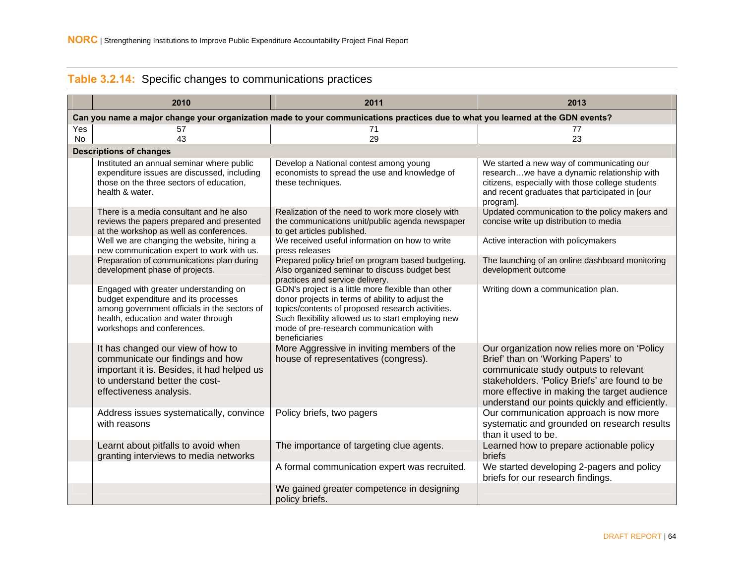|                  | 2010                                                                                                                                                                                               | 2011                                                                                                                                                                                                                                                                         | 2013                                                                                                                                                                                                                                                                          |  |  |  |
|------------------|----------------------------------------------------------------------------------------------------------------------------------------------------------------------------------------------------|------------------------------------------------------------------------------------------------------------------------------------------------------------------------------------------------------------------------------------------------------------------------------|-------------------------------------------------------------------------------------------------------------------------------------------------------------------------------------------------------------------------------------------------------------------------------|--|--|--|
|                  | Can you name a major change your organization made to your communications practices due to what you learned at the GDN events?                                                                     |                                                                                                                                                                                                                                                                              |                                                                                                                                                                                                                                                                               |  |  |  |
| Yes<br><b>No</b> | 57<br>43                                                                                                                                                                                           | 71<br>29                                                                                                                                                                                                                                                                     | 77<br>23                                                                                                                                                                                                                                                                      |  |  |  |
|                  | <b>Descriptions of changes</b>                                                                                                                                                                     |                                                                                                                                                                                                                                                                              |                                                                                                                                                                                                                                                                               |  |  |  |
|                  | Instituted an annual seminar where public<br>expenditure issues are discussed, including<br>those on the three sectors of education,<br>health & water.                                            | Develop a National contest among young<br>economists to spread the use and knowledge of<br>these techniques.                                                                                                                                                                 | We started a new way of communicating our<br>researchwe have a dynamic relationship with<br>citizens, especially with those college students<br>and recent graduates that participated in [our<br>program].                                                                   |  |  |  |
|                  | There is a media consultant and he also<br>reviews the papers prepared and presented<br>at the workshop as well as conferences.                                                                    | Realization of the need to work more closely with<br>the communications unit/public agenda newspaper<br>to get articles published.                                                                                                                                           | Updated communication to the policy makers and<br>concise write up distribution to media                                                                                                                                                                                      |  |  |  |
|                  | Well we are changing the website, hiring a<br>new communication expert to work with us.                                                                                                            | We received useful information on how to write<br>press releases                                                                                                                                                                                                             | Active interaction with policymakers                                                                                                                                                                                                                                          |  |  |  |
|                  | Preparation of communications plan during<br>development phase of projects.                                                                                                                        | Prepared policy brief on program based budgeting.<br>Also organized seminar to discuss budget best<br>practices and service delivery.                                                                                                                                        | The launching of an online dashboard monitoring<br>development outcome                                                                                                                                                                                                        |  |  |  |
|                  | Engaged with greater understanding on<br>budget expenditure and its processes<br>among government officials in the sectors of<br>health, education and water through<br>workshops and conferences. | GDN's project is a little more flexible than other<br>donor projects in terms of ability to adjust the<br>topics/contents of proposed research activities.<br>Such flexibility allowed us to start employing new<br>mode of pre-research communication with<br>beneficiaries | Writing down a communication plan.                                                                                                                                                                                                                                            |  |  |  |
|                  | It has changed our view of how to<br>communicate our findings and how<br>important it is. Besides, it had helped us<br>to understand better the cost-<br>effectiveness analysis.                   | More Aggressive in inviting members of the<br>house of representatives (congress).                                                                                                                                                                                           | Our organization now relies more on 'Policy<br>Brief' than on 'Working Papers' to<br>communicate study outputs to relevant<br>stakeholders. 'Policy Briefs' are found to be<br>more effective in making the target audience<br>understand our points quickly and efficiently. |  |  |  |
|                  | Address issues systematically, convince<br>with reasons                                                                                                                                            | Policy briefs, two pagers                                                                                                                                                                                                                                                    | Our communication approach is now more<br>systematic and grounded on research results<br>than it used to be.                                                                                                                                                                  |  |  |  |
|                  | Learnt about pitfalls to avoid when<br>granting interviews to media networks                                                                                                                       | The importance of targeting clue agents.                                                                                                                                                                                                                                     | Learned how to prepare actionable policy<br>briefs                                                                                                                                                                                                                            |  |  |  |
|                  |                                                                                                                                                                                                    | A formal communication expert was recruited.                                                                                                                                                                                                                                 | We started developing 2-pagers and policy<br>briefs for our research findings.                                                                                                                                                                                                |  |  |  |
|                  |                                                                                                                                                                                                    | We gained greater competence in designing<br>policy briefs.                                                                                                                                                                                                                  |                                                                                                                                                                                                                                                                               |  |  |  |

# **Table 3.2.14:** Specific changes to communications practices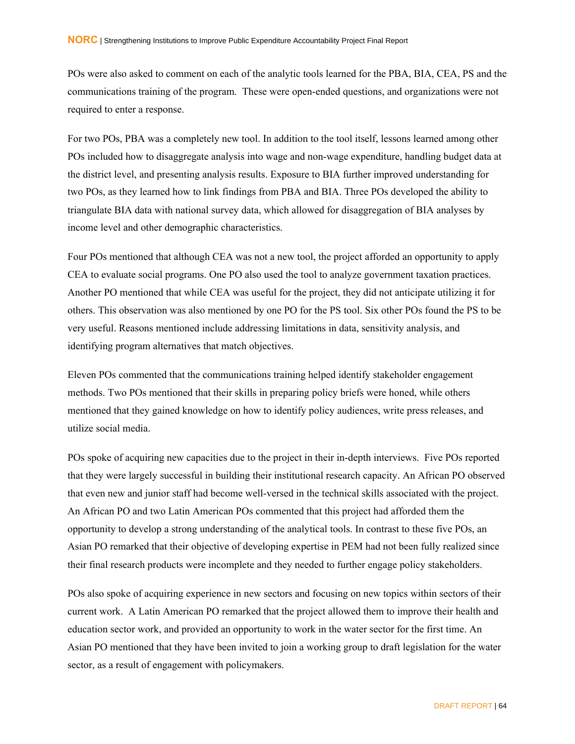POs were also asked to comment on each of the analytic tools learned for the PBA, BIA, CEA, PS and the communications training of the program. These were open-ended questions, and organizations were not required to enter a response.

For two POs, PBA was a completely new tool. In addition to the tool itself, lessons learned among other POs included how to disaggregate analysis into wage and non-wage expenditure, handling budget data at the district level, and presenting analysis results. Exposure to BIA further improved understanding for two POs, as they learned how to link findings from PBA and BIA. Three POs developed the ability to triangulate BIA data with national survey data, which allowed for disaggregation of BIA analyses by income level and other demographic characteristics.

Four POs mentioned that although CEA was not a new tool, the project afforded an opportunity to apply CEA to evaluate social programs. One PO also used the tool to analyze government taxation practices. Another PO mentioned that while CEA was useful for the project, they did not anticipate utilizing it for others. This observation was also mentioned by one PO for the PS tool. Six other POs found the PS to be very useful. Reasons mentioned include addressing limitations in data, sensitivity analysis, and identifying program alternatives that match objectives.

Eleven POs commented that the communications training helped identify stakeholder engagement methods. Two POs mentioned that their skills in preparing policy briefs were honed, while others mentioned that they gained knowledge on how to identify policy audiences, write press releases, and utilize social media.

POs spoke of acquiring new capacities due to the project in their in-depth interviews. Five POs reported that they were largely successful in building their institutional research capacity. An African PO observed that even new and junior staff had become well-versed in the technical skills associated with the project. An African PO and two Latin American POs commented that this project had afforded them the opportunity to develop a strong understanding of the analytical tools. In contrast to these five POs, an Asian PO remarked that their objective of developing expertise in PEM had not been fully realized since their final research products were incomplete and they needed to further engage policy stakeholders.

POs also spoke of acquiring experience in new sectors and focusing on new topics within sectors of their current work. A Latin American PO remarked that the project allowed them to improve their health and education sector work, and provided an opportunity to work in the water sector for the first time. An Asian PO mentioned that they have been invited to join a working group to draft legislation for the water sector, as a result of engagement with policymakers.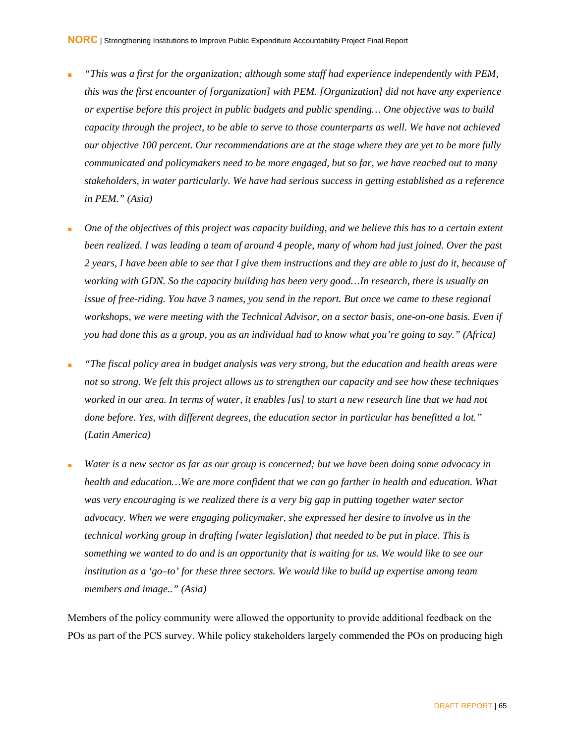- *"This was a first for the organization; although some staff had experience independently with PEM, this was the first encounter of [organization] with PEM. [Organization] did not have any experience or expertise before this project in public budgets and public spending… One objective was to build capacity through the project, to be able to serve to those counterparts as well. We have not achieved our objective 100 percent. Our recommendations are at the stage where they are yet to be more fully communicated and policymakers need to be more engaged, but so far, we have reached out to many stakeholders, in water particularly. We have had serious success in getting established as a reference in PEM." (Asia)*
- One of the objectives of this project was capacity building, and we believe this has to a certain extent *been realized. I was leading a team of around 4 people, many of whom had just joined. Over the past 2 years, I have been able to see that I give them instructions and they are able to just do it, because of working with GDN. So the capacity building has been very good…In research, there is usually an*  issue of free-riding. You have 3 names, you send in the report. But once we came to these regional *workshops, we were meeting with the Technical Advisor, on a sector basis, one-on-one basis. Even if you had done this as a group, you as an individual had to know what you're going to say." (Africa)*
- *"The fiscal policy area in budget analysis was very strong, but the education and health areas were not so strong. We felt this project allows us to strengthen our capacity and see how these techniques worked in our area. In terms of water, it enables [us] to start a new research line that we had not done before. Yes, with different degrees, the education sector in particular has benefitted a lot." (Latin America)*
- Water is a new sector as far as our group is concerned; but we have been doing some advocacy in *health and education…We are more confident that we can go farther in health and education. What was very encouraging is we realized there is a very big gap in putting together water sector advocacy. When we were engaging policymaker, she expressed her desire to involve us in the technical working group in drafting [water legislation] that needed to be put in place. This is something we wanted to do and is an opportunity that is waiting for us. We would like to see our institution as a 'go–to' for these three sectors. We would like to build up expertise among team members and image.." (Asia)*

Members of the policy community were allowed the opportunity to provide additional feedback on the POs as part of the PCS survey. While policy stakeholders largely commended the POs on producing high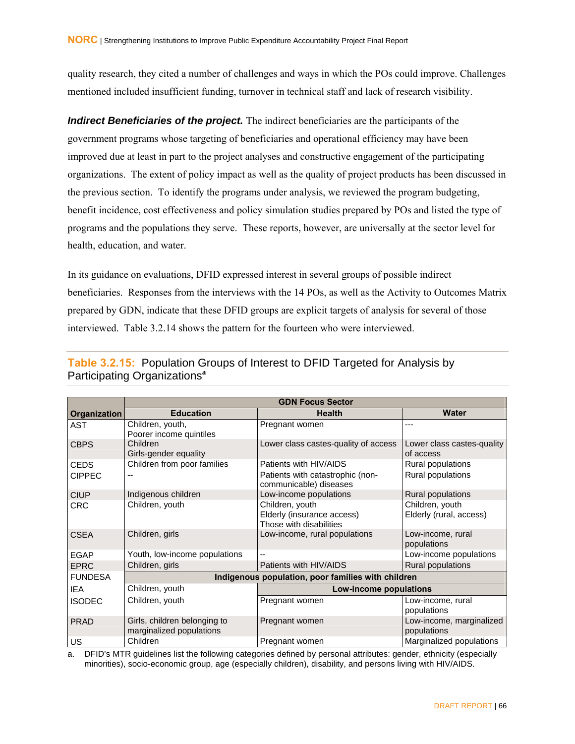quality research, they cited a number of challenges and ways in which the POs could improve. Challenges mentioned included insufficient funding, turnover in technical staff and lack of research visibility.

*Indirect Beneficiaries of the project.* The indirect beneficiaries are the participants of the government programs whose targeting of beneficiaries and operational efficiency may have been improved due at least in part to the project analyses and constructive engagement of the participating organizations. The extent of policy impact as well as the quality of project products has been discussed in the previous section. To identify the programs under analysis, we reviewed the program budgeting, benefit incidence, cost effectiveness and policy simulation studies prepared by POs and listed the type of programs and the populations they serve. These reports, however, are universally at the sector level for health, education, and water.

In its guidance on evaluations, DFID expressed interest in several groups of possible indirect beneficiaries. Responses from the interviews with the 14 POs, as well as the Activity to Outcomes Matrix prepared by GDN, indicate that these DFID groups are explicit targets of analysis for several of those interviewed. Table 3.2.14 shows the pattern for the fourteen who were interviewed.

|                | <b>GDN Focus Sector</b>                                  |                                                                          |                                            |  |  |  |  |
|----------------|----------------------------------------------------------|--------------------------------------------------------------------------|--------------------------------------------|--|--|--|--|
| Organization   | <b>Education</b>                                         | <b>Health</b>                                                            | <b>Water</b>                               |  |  |  |  |
| <b>AST</b>     | Children, youth,<br>Poorer income quintiles              | Pregnant women                                                           |                                            |  |  |  |  |
| <b>CBPS</b>    | Children<br>Girls-gender equality                        | Lower class castes-quality of access                                     | Lower class castes-quality<br>of access    |  |  |  |  |
| <b>CEDS</b>    | Children from poor families                              | Patients with HIV/AIDS                                                   | Rural populations                          |  |  |  |  |
| <b>CIPPEC</b>  |                                                          | Patients with catastrophic (non-<br>communicable) diseases               | Rural populations                          |  |  |  |  |
| <b>CIUP</b>    | Indigenous children                                      | Low-income populations                                                   | Rural populations                          |  |  |  |  |
| <b>CRC</b>     | Children, youth                                          | Children, youth<br>Elderly (insurance access)<br>Those with disabilities | Children, youth<br>Elderly (rural, access) |  |  |  |  |
| <b>CSEA</b>    | Children, girls                                          | Low-income, rural populations                                            | Low-income, rural<br>populations           |  |  |  |  |
| <b>EGAP</b>    | Youth, low-income populations                            | --                                                                       | Low-income populations                     |  |  |  |  |
| <b>EPRC</b>    | Children, girls                                          | Patients with HIV/AIDS                                                   | Rural populations                          |  |  |  |  |
| <b>FUNDESA</b> |                                                          | Indigenous population, poor families with children                       |                                            |  |  |  |  |
| IEA            | Children, youth                                          | Low-income populations                                                   |                                            |  |  |  |  |
| <b>ISODEC</b>  | Children, youth                                          | Pregnant women                                                           | Low-income, rural<br>populations           |  |  |  |  |
| <b>PRAD</b>    | Girls, children belonging to<br>marginalized populations | Pregnant women                                                           | Low-income, marginalized<br>populations    |  |  |  |  |
| US             | Children                                                 | Pregnant women                                                           | Marginalized populations                   |  |  |  |  |

# **Table 3.2.15:** Population Groups of Interest to DFID Targeted for Analysis by Participating Organizations**<sup>a</sup>**

a. DFID's MTR guidelines list the following categories defined by personal attributes: gender, ethnicity (especially minorities), socio-economic group, age (especially children), disability, and persons living with HIV/AIDS.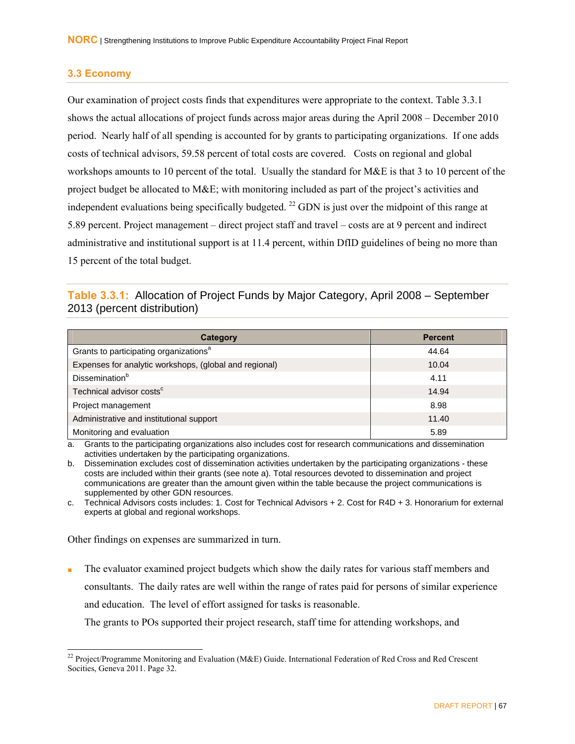#### **3.3 Economy**

Our examination of project costs finds that expenditures were appropriate to the context. Table 3.3.1 shows the actual allocations of project funds across major areas during the April 2008 – December 2010 period. Nearly half of all spending is accounted for by grants to participating organizations. If one adds costs of technical advisors, 59.58 percent of total costs are covered. Costs on regional and global workshops amounts to 10 percent of the total. Usually the standard for M&E is that 3 to 10 percent of the project budget be allocated to M&E; with monitoring included as part of the project's activities and independent evaluations being specifically budgeted.  $^{22}$  GDN is just over the midpoint of this range at 5.89 percent. Project management – direct project staff and travel – costs are at 9 percent and indirect administrative and institutional support is at 11.4 percent, within DfID guidelines of being no more than 15 percent of the total budget.

## **Table 3.3.1:** Allocation of Project Funds by Major Category, April 2008 – September 2013 (percent distribution)

| Category                                               | <b>Percent</b> |
|--------------------------------------------------------|----------------|
| Grants to participating organizations <sup>a</sup>     | 44.64          |
| Expenses for analytic workshops, (global and regional) | 10.04          |
| Dissemination <sup>b</sup>                             | 4.11           |
| Technical advisor costs <sup>c</sup>                   | 14.94          |
| Project management                                     | 8.98           |
| Administrative and institutional support               | 11.40          |
| Monitoring and evaluation                              | 5.89           |

a. Grants to the participating organizations also includes cost for research communications and dissemination activities undertaken by the participating organizations.

b. Dissemination excludes cost of dissemination activities undertaken by the participating organizations - these costs are included within their grants (see note a). Total resources devoted to dissemination and project communications are greater than the amount given within the table because the project communications is supplemented by other GDN resources.

c. Technical Advisors costs includes: 1. Cost for Technical Advisors + 2. Cost for R4D + 3. Honorarium for external experts at global and regional workshops.

Other findings on expenses are summarized in turn.

l

The evaluator examined project budgets which show the daily rates for various staff members and consultants. The daily rates are well within the range of rates paid for persons of similar experience and education. The level of effort assigned for tasks is reasonable.

The grants to POs supported their project research, staff time for attending workshops, and

<sup>&</sup>lt;sup>22</sup> Project/Programme Monitoring and Evaluation (M&E) Guide. International Federation of Red Cross and Red Crescent Socities, Geneva 2011. Page 32.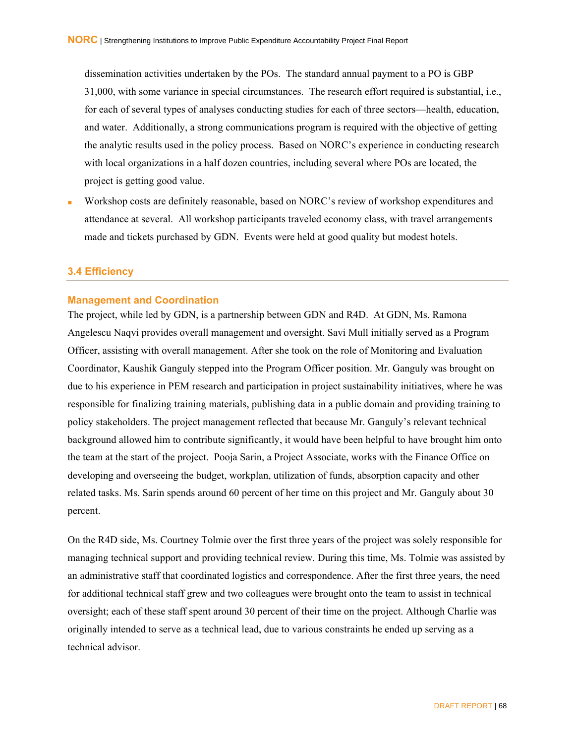dissemination activities undertaken by the POs. The standard annual payment to a PO is GBP 31,000, with some variance in special circumstances. The research effort required is substantial, i.e., for each of several types of analyses conducting studies for each of three sectors—health, education, and water. Additionally, a strong communications program is required with the objective of getting the analytic results used in the policy process. Based on NORC's experience in conducting research with local organizations in a half dozen countries, including several where POs are located, the project is getting good value.

Workshop costs are definitely reasonable, based on NORC's review of workshop expenditures and attendance at several. All workshop participants traveled economy class, with travel arrangements made and tickets purchased by GDN. Events were held at good quality but modest hotels.

#### **3.4 Efficiency**

#### **Management and Coordination**

The project, while led by GDN, is a partnership between GDN and R4D. At GDN, Ms. Ramona Angelescu Naqvi provides overall management and oversight. Savi Mull initially served as a Program Officer, assisting with overall management. After she took on the role of Monitoring and Evaluation Coordinator, Kaushik Ganguly stepped into the Program Officer position. Mr. Ganguly was brought on due to his experience in PEM research and participation in project sustainability initiatives, where he was responsible for finalizing training materials, publishing data in a public domain and providing training to policy stakeholders. The project management reflected that because Mr. Ganguly's relevant technical background allowed him to contribute significantly, it would have been helpful to have brought him onto the team at the start of the project. Pooja Sarin, a Project Associate, works with the Finance Office on developing and overseeing the budget, workplan, utilization of funds, absorption capacity and other related tasks. Ms. Sarin spends around 60 percent of her time on this project and Mr. Ganguly about 30 percent.

On the R4D side, Ms. Courtney Tolmie over the first three years of the project was solely responsible for managing technical support and providing technical review. During this time, Ms. Tolmie was assisted by an administrative staff that coordinated logistics and correspondence. After the first three years, the need for additional technical staff grew and two colleagues were brought onto the team to assist in technical oversight; each of these staff spent around 30 percent of their time on the project. Although Charlie was originally intended to serve as a technical lead, due to various constraints he ended up serving as a technical advisor.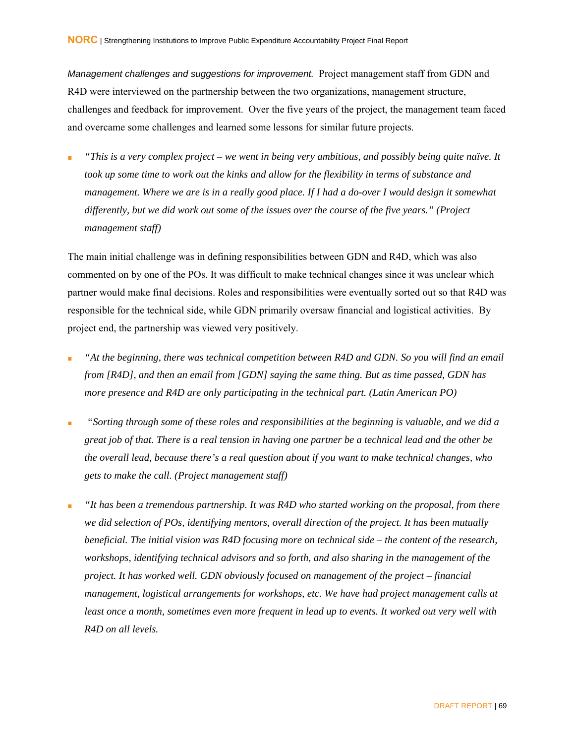*Management challenges and suggestions for improvement.* Project management staff from GDN and R4D were interviewed on the partnership between the two organizations, management structure, challenges and feedback for improvement. Over the five years of the project, the management team faced and overcame some challenges and learned some lessons for similar future projects.

■ *"This is a very complex project – we went in being very ambitious, and possibly being quite naïve. It took up some time to work out the kinks and allow for the flexibility in terms of substance and management. Where we are is in a really good place. If I had a do-over I would design it somewhat differently, but we did work out some of the issues over the course of the five years." (Project management staff)* 

The main initial challenge was in defining responsibilities between GDN and R4D, which was also commented on by one of the POs. It was difficult to make technical changes since it was unclear which partner would make final decisions. Roles and responsibilities were eventually sorted out so that R4D was responsible for the technical side, while GDN primarily oversaw financial and logistical activities. By project end, the partnership was viewed very positively.

- *"At the beginning, there was technical competition between R4D and GDN. So you will find an email from [R4D], and then an email from [GDN] saying the same thing. But as time passed, GDN has more presence and R4D are only participating in the technical part. (Latin American PO)*
- ■ *"Sorting through some of these roles and responsibilities at the beginning is valuable, and we did a great job of that. There is a real tension in having one partner be a technical lead and the other be the overall lead, because there's a real question about if you want to make technical changes, who gets to make the call. (Project management staff)*
- *"It has been a tremendous partnership. It was R4D who started working on the proposal, from there we did selection of POs, identifying mentors, overall direction of the project. It has been mutually beneficial. The initial vision was R4D focusing more on technical side – the content of the research, workshops, identifying technical advisors and so forth, and also sharing in the management of the project. It has worked well. GDN obviously focused on management of the project – financial management, logistical arrangements for workshops, etc. We have had project management calls at*  least once a month, sometimes even more frequent in lead up to events. It worked out very well with *R4D on all levels.*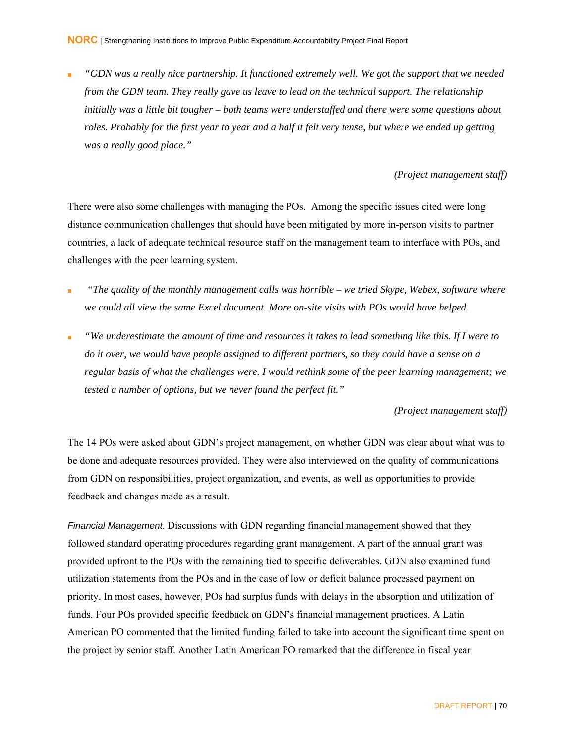■ *"GDN was a really nice partnership. It functioned extremely well. We got the support that we needed from the GDN team. They really gave us leave to lead on the technical support. The relationship initially was a little bit tougher – both teams were understaffed and there were some questions about roles. Probably for the first year to year and a half it felt very tense, but where we ended up getting was a really good place."* 

#### *(Project management staff)*

There were also some challenges with managing the POs. Among the specific issues cited were long distance communication challenges that should have been mitigated by more in-person visits to partner countries, a lack of adequate technical resource staff on the management team to interface with POs, and challenges with the peer learning system.

- ■ *"The quality of the monthly management calls was horrible we tried Skype, Webex, software where we could all view the same Excel document. More on-site visits with POs would have helped.*
- *"We underestimate the amount of time and resources it takes to lead something like this. If I were to do it over, we would have people assigned to different partners, so they could have a sense on a regular basis of what the challenges were. I would rethink some of the peer learning management; we tested a number of options, but we never found the perfect fit."*

 *(Project management staff)* 

The 14 POs were asked about GDN's project management, on whether GDN was clear about what was to be done and adequate resources provided. They were also interviewed on the quality of communications from GDN on responsibilities, project organization, and events, as well as opportunities to provide feedback and changes made as a result.

*Financial Management.* Discussions with GDN regarding financial management showed that they followed standard operating procedures regarding grant management. A part of the annual grant was provided upfront to the POs with the remaining tied to specific deliverables. GDN also examined fund utilization statements from the POs and in the case of low or deficit balance processed payment on priority. In most cases, however, POs had surplus funds with delays in the absorption and utilization of funds. Four POs provided specific feedback on GDN's financial management practices. A Latin American PO commented that the limited funding failed to take into account the significant time spent on the project by senior staff. Another Latin American PO remarked that the difference in fiscal year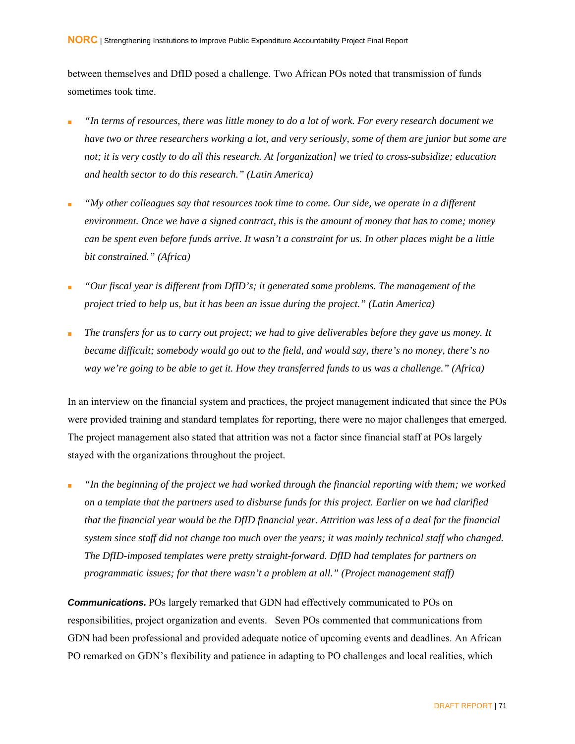between themselves and DfID posed a challenge. Two African POs noted that transmission of funds sometimes took time.

- *"In terms of resources, there was little money to do a lot of work. For every research document we have two or three researchers working a lot, and very seriously, some of them are junior but some are not; it is very costly to do all this research. At [organization] we tried to cross-subsidize; education and health sector to do this research." (Latin America)*
- "My other colleagues say that resources took time to come. Our side, we operate in a different *environment. Once we have a signed contract, this is the amount of money that has to come; money can be spent even before funds arrive. It wasn't a constraint for us. In other places might be a little bit constrained." (Africa)*
- *"Our fiscal year is different from DfID's; it generated some problems. The management of the project tried to help us, but it has been an issue during the project." (Latin America)*
- The transfers for us to carry out project; we had to give deliverables before they gave us money. It *became difficult; somebody would go out to the field, and would say, there's no money, there's no way we're going to be able to get it. How they transferred funds to us was a challenge." (Africa)*

In an interview on the financial system and practices, the project management indicated that since the POs were provided training and standard templates for reporting, there were no major challenges that emerged. The project management also stated that attrition was not a factor since financial staff at POs largely stayed with the organizations throughout the project.

■ *"In the beginning of the project we had worked through the financial reporting with them; we worked on a template that the partners used to disburse funds for this project. Earlier on we had clarified that the financial year would be the DfID financial year. Attrition was less of a deal for the financial system since staff did not change too much over the years; it was mainly technical staff who changed. The DfID-imposed templates were pretty straight-forward. DfID had templates for partners on programmatic issues; for that there wasn't a problem at all." (Project management staff)* 

**Communications.** POs largely remarked that GDN had effectively communicated to POs on responsibilities, project organization and events. Seven POs commented that communications from GDN had been professional and provided adequate notice of upcoming events and deadlines. An African PO remarked on GDN's flexibility and patience in adapting to PO challenges and local realities, which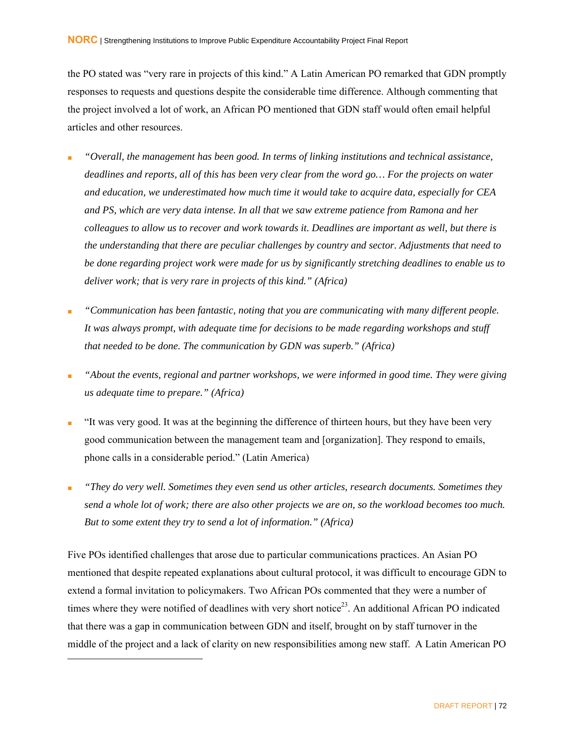the PO stated was "very rare in projects of this kind." A Latin American PO remarked that GDN promptly responses to requests and questions despite the considerable time difference. Although commenting that the project involved a lot of work, an African PO mentioned that GDN staff would often email helpful articles and other resources.

- *"Overall, the management has been good. In terms of linking institutions and technical assistance, deadlines and reports, all of this has been very clear from the word go… For the projects on water and education, we underestimated how much time it would take to acquire data, especially for CEA and PS, which are very data intense. In all that we saw extreme patience from Ramona and her colleagues to allow us to recover and work towards it. Deadlines are important as well, but there is the understanding that there are peculiar challenges by country and sector. Adjustments that need to be done regarding project work were made for us by significantly stretching deadlines to enable us to deliver work; that is very rare in projects of this kind." (Africa)*
- *"Communication has been fantastic, noting that you are communicating with many different people. It was always prompt, with adequate time for decisions to be made regarding workshops and stuff that needed to be done. The communication by GDN was superb." (Africa)*
- *"About the events, regional and partner workshops, we were informed in good time. They were giving us adequate time to prepare." (Africa)*
- "It was very good. It was at the beginning the difference of thirteen hours, but they have been very good communication between the management team and [organization]. They respond to emails, phone calls in a considerable period." (Latin America)
- *"They do very well. Sometimes they even send us other articles, research documents. Sometimes they send a whole lot of work; there are also other projects we are on, so the workload becomes too much. But to some extent they try to send a lot of information." (Africa)*

Five POs identified challenges that arose due to particular communications practices. An Asian PO mentioned that despite repeated explanations about cultural protocol, it was difficult to encourage GDN to extend a formal invitation to policymakers. Two African POs commented that they were a number of times where they were notified of deadlines with very short notice<sup>23</sup>. An additional African PO indicated that there was a gap in communication between GDN and itself, brought on by staff turnover in the middle of the project and a lack of clarity on new responsibilities among new staff. A Latin American PO

1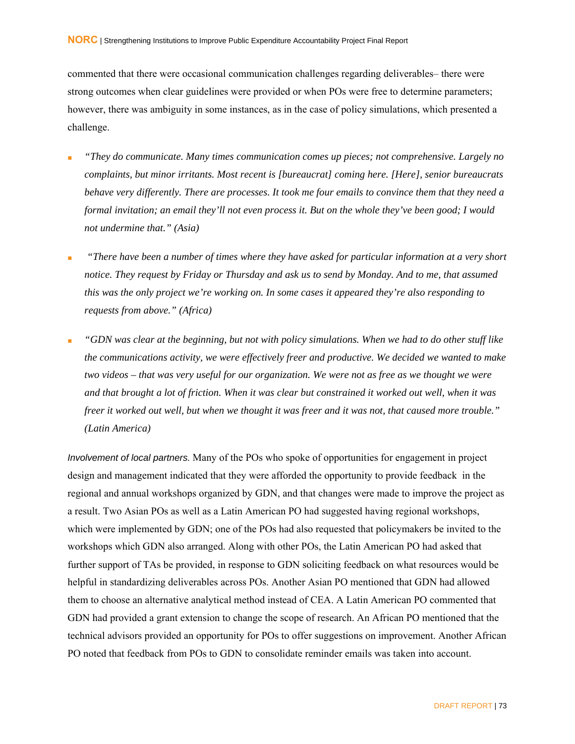commented that there were occasional communication challenges regarding deliverables– there were strong outcomes when clear guidelines were provided or when POs were free to determine parameters; however, there was ambiguity in some instances, as in the case of policy simulations, which presented a challenge.

- *"They do communicate. Many times communication comes up pieces; not comprehensive. Largely no complaints, but minor irritants. Most recent is [bureaucrat] coming here. [Here], senior bureaucrats behave very differently. There are processes. It took me four emails to convince them that they need a formal invitation; an email they'll not even process it. But on the whole they've been good; I would not undermine that." (Asia)*
- ■ *"There have been a number of times where they have asked for particular information at a very short*  notice. They request by Friday or Thursday and ask us to send by Monday. And to me, that assumed *this was the only project we're working on. In some cases it appeared they're also responding to requests from above." (Africa)*
- *"GDN was clear at the beginning, but not with policy simulations. When we had to do other stuff like the communications activity, we were effectively freer and productive. We decided we wanted to make two videos – that was very useful for our organization. We were not as free as we thought we were and that brought a lot of friction. When it was clear but constrained it worked out well, when it was freer it worked out well, but when we thought it was freer and it was not, that caused more trouble." (Latin America)*

*Involvement of local partners.* Many of the POs who spoke of opportunities for engagement in project design and management indicated that they were afforded the opportunity to provide feedback in the regional and annual workshops organized by GDN, and that changes were made to improve the project as a result. Two Asian POs as well as a Latin American PO had suggested having regional workshops, which were implemented by GDN; one of the POs had also requested that policymakers be invited to the workshops which GDN also arranged. Along with other POs, the Latin American PO had asked that further support of TAs be provided, in response to GDN soliciting feedback on what resources would be helpful in standardizing deliverables across POs. Another Asian PO mentioned that GDN had allowed them to choose an alternative analytical method instead of CEA. A Latin American PO commented that GDN had provided a grant extension to change the scope of research. An African PO mentioned that the technical advisors provided an opportunity for POs to offer suggestions on improvement. Another African PO noted that feedback from POs to GDN to consolidate reminder emails was taken into account.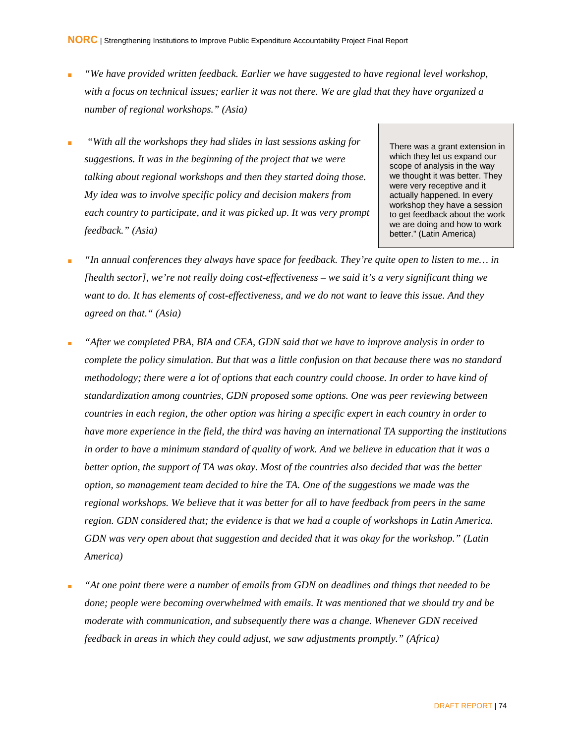- *"We have provided written feedback. Earlier we have suggested to have regional level workshop, with a focus on technical issues; earlier it was not there. We are glad that they have organized a number of regional workshops." (Asia)*
- ■ *"With all the workshops they had slides in last sessions asking for suggestions. It was in the beginning of the project that we were talking about regional workshops and then they started doing those. My idea was to involve specific policy and decision makers from each country to participate, and it was picked up. It was very prompt feedback." (Asia)*

There was a grant extension in which they let us expand our scope of analysis in the way we thought it was better. They were very receptive and it actually happened. In every workshop they have a session to get feedback about the work we are doing and how to work better." (Latin America)

- "In annual conferences they always have space for feedback. They're quite open to listen to me... in *[health sector], we're not really doing cost-effectiveness – we said it's a very significant thing we want to do. It has elements of cost-effectiveness, and we do not want to leave this issue. And they agreed on that." (Asia)*
- *"After we completed PBA, BIA and CEA, GDN said that we have to improve analysis in order to complete the policy simulation. But that was a little confusion on that because there was no standard methodology; there were a lot of options that each country could choose. In order to have kind of standardization among countries, GDN proposed some options. One was peer reviewing between countries in each region, the other option was hiring a specific expert in each country in order to have more experience in the field, the third was having an international TA supporting the institutions in order to have a minimum standard of quality of work. And we believe in education that it was a better option, the support of TA was okay. Most of the countries also decided that was the better option, so management team decided to hire the TA. One of the suggestions we made was the regional workshops. We believe that it was better for all to have feedback from peers in the same region. GDN considered that; the evidence is that we had a couple of workshops in Latin America. GDN was very open about that suggestion and decided that it was okay for the workshop." (Latin America)*
- "At one point there were a number of emails from GDN on deadlines and things that needed to be *done; people were becoming overwhelmed with emails. It was mentioned that we should try and be moderate with communication, and subsequently there was a change. Whenever GDN received feedback in areas in which they could adjust, we saw adjustments promptly." (Africa)*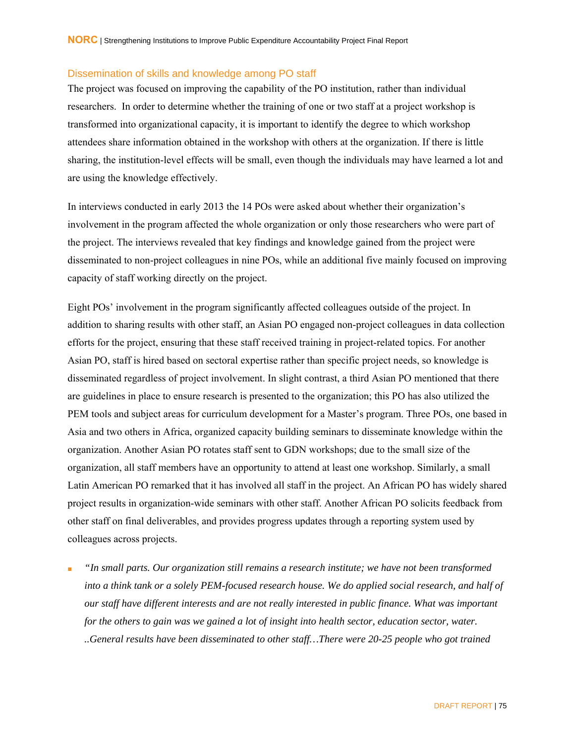### Dissemination of skills and knowledge among PO staff

The project was focused on improving the capability of the PO institution, rather than individual researchers. In order to determine whether the training of one or two staff at a project workshop is transformed into organizational capacity, it is important to identify the degree to which workshop attendees share information obtained in the workshop with others at the organization. If there is little sharing, the institution-level effects will be small, even though the individuals may have learned a lot and are using the knowledge effectively.

In interviews conducted in early 2013 the 14 POs were asked about whether their organization's involvement in the program affected the whole organization or only those researchers who were part of the project. The interviews revealed that key findings and knowledge gained from the project were disseminated to non-project colleagues in nine POs, while an additional five mainly focused on improving capacity of staff working directly on the project.

Eight POs' involvement in the program significantly affected colleagues outside of the project. In addition to sharing results with other staff, an Asian PO engaged non-project colleagues in data collection efforts for the project, ensuring that these staff received training in project-related topics. For another Asian PO, staff is hired based on sectoral expertise rather than specific project needs, so knowledge is disseminated regardless of project involvement. In slight contrast, a third Asian PO mentioned that there are guidelines in place to ensure research is presented to the organization; this PO has also utilized the PEM tools and subject areas for curriculum development for a Master's program. Three POs, one based in Asia and two others in Africa, organized capacity building seminars to disseminate knowledge within the organization. Another Asian PO rotates staff sent to GDN workshops; due to the small size of the organization, all staff members have an opportunity to attend at least one workshop. Similarly, a small Latin American PO remarked that it has involved all staff in the project. An African PO has widely shared project results in organization-wide seminars with other staff. Another African PO solicits feedback from other staff on final deliverables, and provides progress updates through a reporting system used by colleagues across projects.

■ *"In small parts. Our organization still remains a research institute; we have not been transformed into a think tank or a solely PEM-focused research house. We do applied social research, and half of*  our staff have different interests and are not really interested in public finance. What was important *for the others to gain was we gained a lot of insight into health sector, education sector, water. ..General results have been disseminated to other staff…There were 20-25 people who got trained*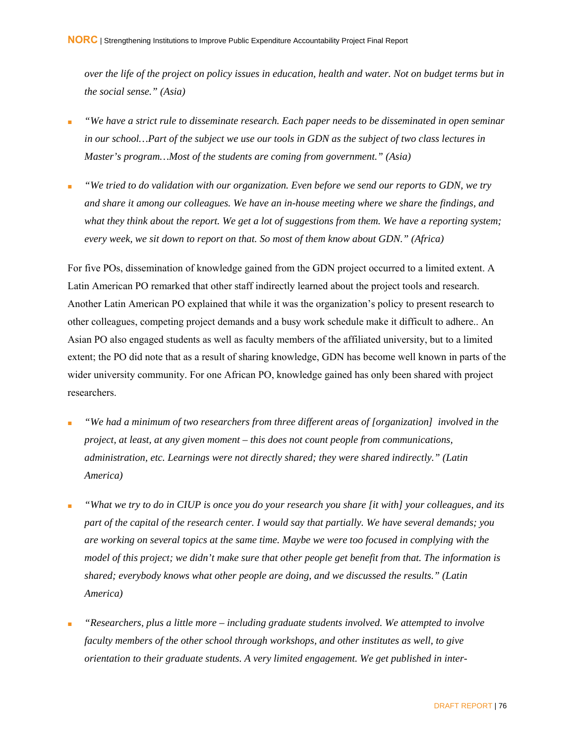*over the life of the project on policy issues in education, health and water. Not on budget terms but in the social sense." (Asia)* 

- *"We have a strict rule to disseminate research. Each paper needs to be disseminated in open seminar in our school…Part of the subject we use our tools in GDN as the subject of two class lectures in Master's program…Most of the students are coming from government." (Asia)*
- *"We tried to do validation with our organization. Even before we send our reports to GDN, we try and share it among our colleagues. We have an in-house meeting where we share the findings, and what they think about the report. We get a lot of suggestions from them. We have a reporting system; every week, we sit down to report on that. So most of them know about GDN." (Africa)*

For five POs, dissemination of knowledge gained from the GDN project occurred to a limited extent. A Latin American PO remarked that other staff indirectly learned about the project tools and research. Another Latin American PO explained that while it was the organization's policy to present research to other colleagues, competing project demands and a busy work schedule make it difficult to adhere.. An Asian PO also engaged students as well as faculty members of the affiliated university, but to a limited extent; the PO did note that as a result of sharing knowledge, GDN has become well known in parts of the wider university community. For one African PO, knowledge gained has only been shared with project researchers.

- *"We had a minimum of two researchers from three different areas of [organization] involved in the project, at least, at any given moment – this does not count people from communications, administration, etc. Learnings were not directly shared; they were shared indirectly." (Latin America)*
- *"What we try to do in CIUP is once you do your research you share [it with] your colleagues, and its part of the capital of the research center. I would say that partially. We have several demands; you are working on several topics at the same time. Maybe we were too focused in complying with the model of this project; we didn't make sure that other people get benefit from that. The information is shared; everybody knows what other people are doing, and we discussed the results." (Latin America)*
- *"Researchers, plus a little more including graduate students involved. We attempted to involve faculty members of the other school through workshops, and other institutes as well, to give orientation to their graduate students. A very limited engagement. We get published in inter-*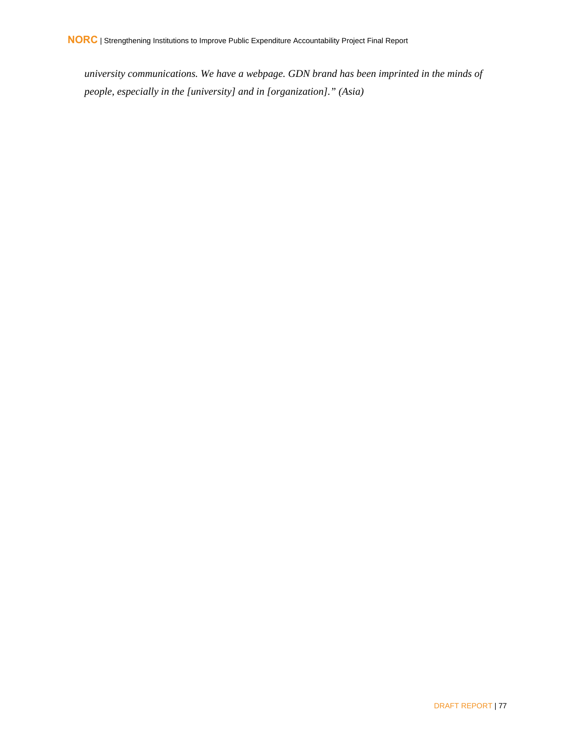*university communications. We have a webpage. GDN brand has been imprinted in the minds of people, especially in the [university] and in [organization]." (Asia)*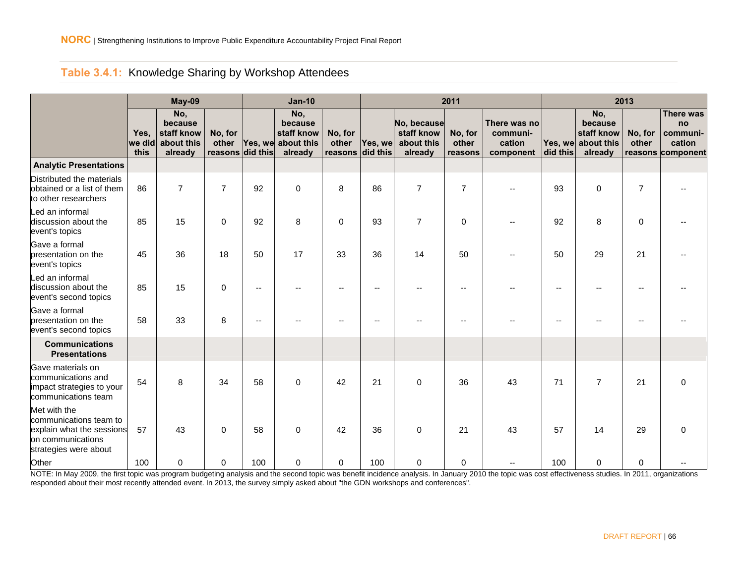|                                                                                                                   | May-09                  |                                                       |                                      |         | <b>Jan-10</b>                                         |                             | 2011                |                                                    |                             |                                                 | 2013                     |                                                       |                  |                                                            |
|-------------------------------------------------------------------------------------------------------------------|-------------------------|-------------------------------------------------------|--------------------------------------|---------|-------------------------------------------------------|-----------------------------|---------------------|----------------------------------------------------|-----------------------------|-------------------------------------------------|--------------------------|-------------------------------------------------------|------------------|------------------------------------------------------------|
|                                                                                                                   | Yes.<br>lwe did<br>this | No,<br>because<br>staff know<br>about this<br>already | No, for<br>other<br>reasons did this | Yes, we | No,<br>because<br>staff know<br>about this<br>already | No, for<br>other<br>reasons | Yes, we<br>did this | No, because<br>staff know<br>about this<br>already | No, for<br>other<br>reasons | There was no<br>communi-<br>cation<br>component | Yes, we<br>did this      | No,<br>because<br>staff know<br>about this<br>already | No, for<br>other | There was<br>no<br>communi-<br>cation<br>reasons component |
| <b>Analytic Presentations</b>                                                                                     |                         |                                                       |                                      |         |                                                       |                             |                     |                                                    |                             |                                                 |                          |                                                       |                  |                                                            |
| Distributed the materials<br>obtained or a list of them<br>to other researchers                                   | 86                      | $\overline{7}$                                        | $\overline{7}$                       | 92      | $\mathbf 0$                                           | 8                           | 86                  | $\overline{7}$                                     | $\overline{7}$              | $-$                                             | 93                       | $\mathbf 0$                                           | $\overline{7}$   |                                                            |
| Led an informal<br>discussion about the<br>event's topics                                                         | 85                      | 15                                                    | 0                                    | 92      | 8                                                     | $\,0\,$                     | 93                  | $\overline{7}$                                     | $\mathbf 0$                 | --                                              | 92                       | 8                                                     | 0                |                                                            |
| Gave a formal<br>presentation on the<br>event's topics                                                            | 45                      | 36                                                    | 18                                   | 50      | 17                                                    | 33                          | 36                  | 14                                                 | 50                          | --                                              | 50                       | 29                                                    | 21               |                                                            |
| Led an informal<br>discussion about the<br>event's second topics                                                  | 85                      | 15                                                    | 0                                    | ۰.      |                                                       | --                          |                     |                                                    | --                          |                                                 | $\overline{\phantom{a}}$ |                                                       | --               |                                                            |
| Gave a formal<br>presentation on the<br>event's second topics                                                     | 58                      | 33                                                    | 8                                    | --      |                                                       |                             |                     |                                                    |                             |                                                 |                          |                                                       |                  |                                                            |
| <b>Communications</b><br><b>Presentations</b>                                                                     |                         |                                                       |                                      |         |                                                       |                             |                     |                                                    |                             |                                                 |                          |                                                       |                  |                                                            |
| Gave materials on<br>communications and<br>impact strategies to your<br>communications team                       | 54                      | 8                                                     | 34                                   | 58      | 0                                                     | 42                          | 21                  | $\mathbf 0$                                        | 36                          | 43                                              | 71                       | $\overline{7}$                                        | 21               | 0                                                          |
| Met with the<br>communications team to<br>explain what the sessions<br>on communications<br>strategies were about | 57                      | 43                                                    | 0                                    | 58      | 0                                                     | 42                          | 36                  | $\Omega$                                           | 21                          | 43                                              | 57                       | 14                                                    | 29               | 0                                                          |
| Other                                                                                                             | 100                     | $\mathbf 0$                                           | 0                                    | 100     | 0                                                     | 0                           | 100                 | 0                                                  | $\mathbf 0$                 | --                                              | 100                      | $\pmb{0}$                                             | 0                |                                                            |

**Table 3.4.1:** Knowledge Sharing by Workshop Attendees

NOTE: In May 2009, the first topic was program budgeting analysis and the second topic was benefit incidence analysis. In January 2010 the topic was cost effectiveness studies. In 2011, organizations responded about their most recently attended event. In 2013, the survey simply asked about "the GDN workshops and conferences".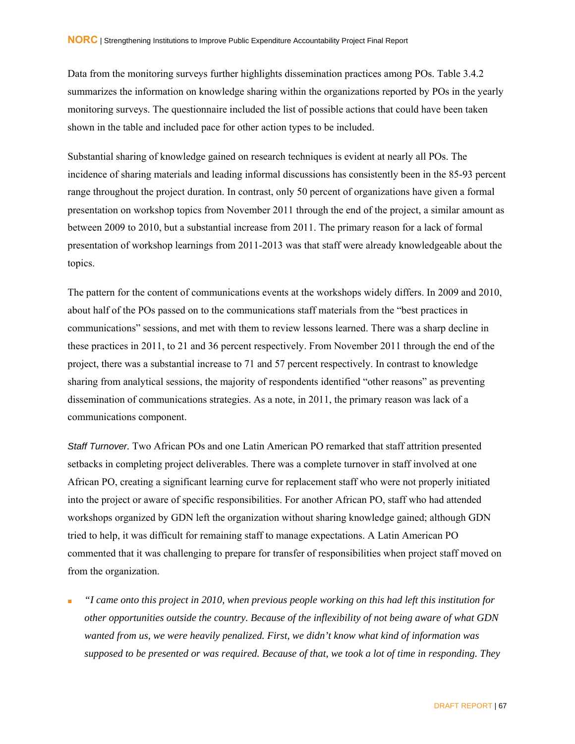Data from the monitoring surveys further highlights dissemination practices among POs. Table 3.4.2 summarizes the information on knowledge sharing within the organizations reported by POs in the yearly monitoring surveys. The questionnaire included the list of possible actions that could have been taken shown in the table and included pace for other action types to be included.

Substantial sharing of knowledge gained on research techniques is evident at nearly all POs. The incidence of sharing materials and leading informal discussions has consistently been in the 85-93 percent range throughout the project duration. In contrast, only 50 percent of organizations have given a formal presentation on workshop topics from November 2011 through the end of the project, a similar amount as between 2009 to 2010, but a substantial increase from 2011. The primary reason for a lack of formal presentation of workshop learnings from 2011-2013 was that staff were already knowledgeable about the topics.

The pattern for the content of communications events at the workshops widely differs. In 2009 and 2010, about half of the POs passed on to the communications staff materials from the "best practices in communications" sessions, and met with them to review lessons learned. There was a sharp decline in these practices in 2011, to 21 and 36 percent respectively. From November 2011 through the end of the project, there was a substantial increase to 71 and 57 percent respectively. In contrast to knowledge sharing from analytical sessions, the majority of respondents identified "other reasons" as preventing dissemination of communications strategies. As a note, in 2011, the primary reason was lack of a communications component.

*Staff Turnover.* Two African POs and one Latin American PO remarked that staff attrition presented setbacks in completing project deliverables. There was a complete turnover in staff involved at one African PO, creating a significant learning curve for replacement staff who were not properly initiated into the project or aware of specific responsibilities. For another African PO, staff who had attended workshops organized by GDN left the organization without sharing knowledge gained; although GDN tried to help, it was difficult for remaining staff to manage expectations. A Latin American PO commented that it was challenging to prepare for transfer of responsibilities when project staff moved on from the organization.

■ *"I came onto this project in 2010, when previous people working on this had left this institution for other opportunities outside the country. Because of the inflexibility of not being aware of what GDN wanted from us, we were heavily penalized. First, we didn't know what kind of information was supposed to be presented or was required. Because of that, we took a lot of time in responding. They*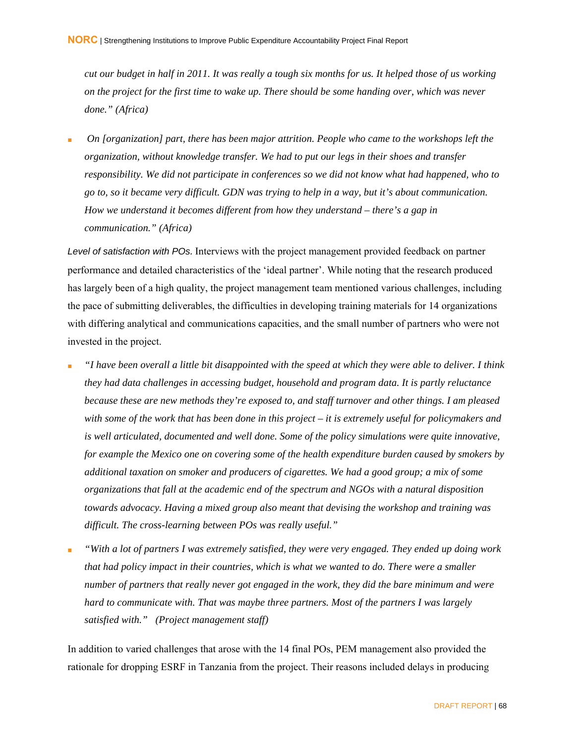*cut our budget in half in 2011. It was really a tough six months for us. It helped those of us working on the project for the first time to wake up. There should be some handing over, which was never done." (Africa)* 

*On [organization] part, there has been major attrition. People who came to the workshops left the organization, without knowledge transfer. We had to put our legs in their shoes and transfer responsibility. We did not participate in conferences so we did not know what had happened, who to go to, so it became very difficult. GDN was trying to help in a way, but it's about communication. How we understand it becomes different from how they understand – there's a gap in communication." (Africa)*

*Level of satisfaction with POs.* Interviews with the project management provided feedback on partner performance and detailed characteristics of the 'ideal partner'. While noting that the research produced has largely been of a high quality, the project management team mentioned various challenges, including the pace of submitting deliverables, the difficulties in developing training materials for 14 organizations with differing analytical and communications capacities, and the small number of partners who were not invested in the project.

- *"I have been overall a little bit disappointed with the speed at which they were able to deliver. I think they had data challenges in accessing budget, household and program data. It is partly reluctance because these are new methods they're exposed to, and staff turnover and other things. I am pleased with some of the work that has been done in this project – it is extremely useful for policymakers and is well articulated, documented and well done. Some of the policy simulations were quite innovative, for example the Mexico one on covering some of the health expenditure burden caused by smokers by additional taxation on smoker and producers of cigarettes. We had a good group; a mix of some organizations that fall at the academic end of the spectrum and NGOs with a natural disposition towards advocacy. Having a mixed group also meant that devising the workshop and training was difficult. The cross-learning between POs was really useful."*
- *"With a lot of partners I was extremely satisfied, they were very engaged. They ended up doing work that had policy impact in their countries, which is what we wanted to do. There were a smaller number of partners that really never got engaged in the work, they did the bare minimum and were hard to communicate with. That was maybe three partners. Most of the partners I was largely satisfied with." (Project management staff)*

In addition to varied challenges that arose with the 14 final POs, PEM management also provided the rationale for dropping ESRF in Tanzania from the project. Their reasons included delays in producing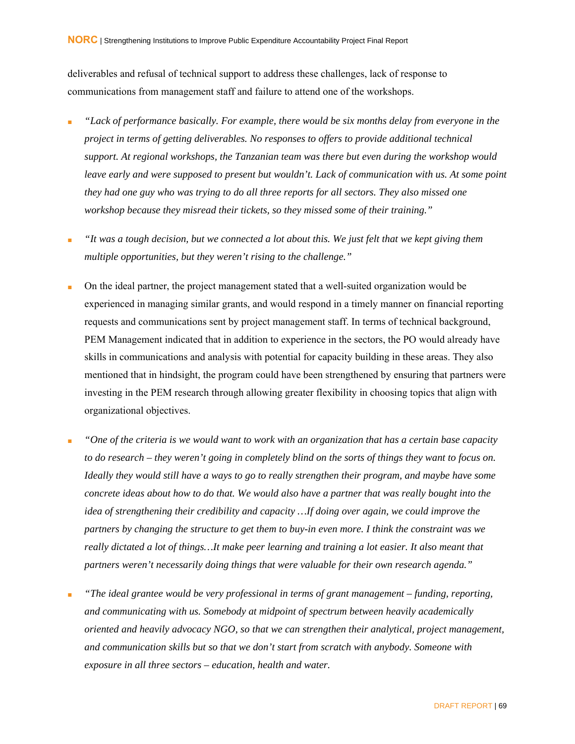deliverables and refusal of technical support to address these challenges, lack of response to communications from management staff and failure to attend one of the workshops.

- *"Lack of performance basically. For example, there would be six months delay from everyone in the project in terms of getting deliverables. No responses to offers to provide additional technical support. At regional workshops, the Tanzanian team was there but even during the workshop would*  leave early and were supposed to present but wouldn't. Lack of communication with us. At some point *they had one guy who was trying to do all three reports for all sectors. They also missed one workshop because they misread their tickets, so they missed some of their training."*
- *"It was a tough decision, but we connected a lot about this. We just felt that we kept giving them multiple opportunities, but they weren't rising to the challenge."*
- On the ideal partner, the project management stated that a well-suited organization would be experienced in managing similar grants, and would respond in a timely manner on financial reporting requests and communications sent by project management staff. In terms of technical background, PEM Management indicated that in addition to experience in the sectors, the PO would already have skills in communications and analysis with potential for capacity building in these areas. They also mentioned that in hindsight, the program could have been strengthened by ensuring that partners were investing in the PEM research through allowing greater flexibility in choosing topics that align with organizational objectives.
- *"One of the criteria is we would want to work with an organization that has a certain base capacity to do research – they weren't going in completely blind on the sorts of things they want to focus on. Ideally they would still have a ways to go to really strengthen their program, and maybe have some concrete ideas about how to do that. We would also have a partner that was really bought into the idea of strengthening their credibility and capacity …If doing over again, we could improve the partners by changing the structure to get them to buy-in even more. I think the constraint was we really dictated a lot of things…It make peer learning and training a lot easier. It also meant that partners weren't necessarily doing things that were valuable for their own research agenda."*
- *"The ideal grantee would be very professional in terms of grant management funding, reporting, and communicating with us. Somebody at midpoint of spectrum between heavily academically oriented and heavily advocacy NGO, so that we can strengthen their analytical, project management, and communication skills but so that we don't start from scratch with anybody. Someone with exposure in all three sectors – education, health and water.*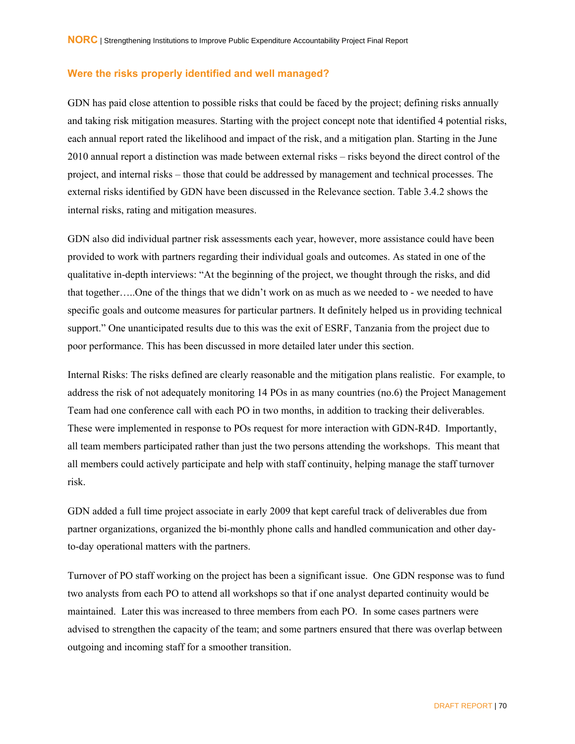#### **Were the risks properly identified and well managed?**

GDN has paid close attention to possible risks that could be faced by the project; defining risks annually and taking risk mitigation measures. Starting with the project concept note that identified 4 potential risks, each annual report rated the likelihood and impact of the risk, and a mitigation plan. Starting in the June 2010 annual report a distinction was made between external risks – risks beyond the direct control of the project, and internal risks – those that could be addressed by management and technical processes. The external risks identified by GDN have been discussed in the Relevance section. Table 3.4.2 shows the internal risks, rating and mitigation measures.

GDN also did individual partner risk assessments each year, however, more assistance could have been provided to work with partners regarding their individual goals and outcomes. As stated in one of the qualitative in-depth interviews: "At the beginning of the project, we thought through the risks, and did that together…..One of the things that we didn't work on as much as we needed to - we needed to have specific goals and outcome measures for particular partners. It definitely helped us in providing technical support." One unanticipated results due to this was the exit of ESRF, Tanzania from the project due to poor performance. This has been discussed in more detailed later under this section.

Internal Risks: The risks defined are clearly reasonable and the mitigation plans realistic. For example, to address the risk of not adequately monitoring 14 POs in as many countries (no.6) the Project Management Team had one conference call with each PO in two months, in addition to tracking their deliverables. These were implemented in response to POs request for more interaction with GDN-R4D. Importantly, all team members participated rather than just the two persons attending the workshops. This meant that all members could actively participate and help with staff continuity, helping manage the staff turnover risk.

GDN added a full time project associate in early 2009 that kept careful track of deliverables due from partner organizations, organized the bi-monthly phone calls and handled communication and other dayto-day operational matters with the partners.

Turnover of PO staff working on the project has been a significant issue. One GDN response was to fund two analysts from each PO to attend all workshops so that if one analyst departed continuity would be maintained. Later this was increased to three members from each PO. In some cases partners were advised to strengthen the capacity of the team; and some partners ensured that there was overlap between outgoing and incoming staff for a smoother transition.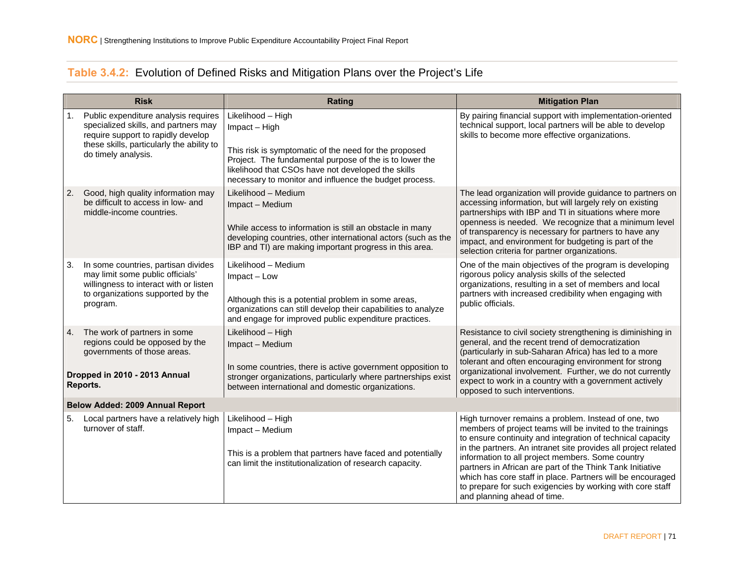# **Table 3.4.2:** Evolution of Defined Risks and Mitigation Plans over the Project's Life

|    | <b>Risk</b>                                                                                                                                                                            | <b>Rating</b>                                                                                                                                                                                                                                                          | <b>Mitigation Plan</b>                                                                                                                                                                                                                                                                                                                                                                                                                                                                                                       |
|----|----------------------------------------------------------------------------------------------------------------------------------------------------------------------------------------|------------------------------------------------------------------------------------------------------------------------------------------------------------------------------------------------------------------------------------------------------------------------|------------------------------------------------------------------------------------------------------------------------------------------------------------------------------------------------------------------------------------------------------------------------------------------------------------------------------------------------------------------------------------------------------------------------------------------------------------------------------------------------------------------------------|
| 1. | Public expenditure analysis requires<br>specialized skills, and partners may<br>require support to rapidly develop<br>these skills, particularly the ability to<br>do timely analysis. | Likelihood - High<br>Impact - High<br>This risk is symptomatic of the need for the proposed<br>Project. The fundamental purpose of the is to lower the<br>likelihood that CSOs have not developed the skills<br>necessary to monitor and influence the budget process. | By pairing financial support with implementation-oriented<br>technical support, local partners will be able to develop<br>skills to become more effective organizations.                                                                                                                                                                                                                                                                                                                                                     |
| 2. | Good, high quality information may<br>be difficult to access in low- and<br>middle-income countries.                                                                                   | Likelihood - Medium<br>Impact - Medium<br>While access to information is still an obstacle in many<br>developing countries, other international actors (such as the<br>IBP and TI) are making important progress in this area.                                         | The lead organization will provide guidance to partners on<br>accessing information, but will largely rely on existing<br>partnerships with IBP and TI in situations where more<br>openness is needed. We recognize that a minimum level<br>of transparency is necessary for partners to have any<br>impact, and environment for budgeting is part of the<br>selection criteria for partner organizations.                                                                                                                   |
| 3. | In some countries, partisan divides<br>may limit some public officials'<br>willingness to interact with or listen<br>to organizations supported by the<br>program.                     | Likelihood - Medium<br>Impact - Low<br>Although this is a potential problem in some areas,<br>organizations can still develop their capabilities to analyze<br>and engage for improved public expenditure practices.                                                   | One of the main objectives of the program is developing<br>rigorous policy analysis skills of the selected<br>organizations, resulting in a set of members and local<br>partners with increased credibility when engaging with<br>public officials.                                                                                                                                                                                                                                                                          |
| 4. | The work of partners in some<br>regions could be opposed by the<br>governments of those areas.<br>Dropped in 2010 - 2013 Annual<br>Reports.                                            | Likelihood - High<br>Impact - Medium<br>In some countries, there is active government opposition to<br>stronger organizations, particularly where partnerships exist<br>between international and domestic organizations.                                              | Resistance to civil society strengthening is diminishing in<br>general, and the recent trend of democratization<br>(particularly in sub-Saharan Africa) has led to a more<br>tolerant and often encouraging environment for strong<br>organizational involvement. Further, we do not currently<br>expect to work in a country with a government actively<br>opposed to such interventions.                                                                                                                                   |
|    | <b>Below Added: 2009 Annual Report</b>                                                                                                                                                 |                                                                                                                                                                                                                                                                        |                                                                                                                                                                                                                                                                                                                                                                                                                                                                                                                              |
| 5. | Local partners have a relatively high<br>turnover of staff.                                                                                                                            | Likelihood - High<br>Impact - Medium<br>This is a problem that partners have faced and potentially<br>can limit the institutionalization of research capacity.                                                                                                         | High turnover remains a problem. Instead of one, two<br>members of project teams will be invited to the trainings<br>to ensure continuity and integration of technical capacity<br>in the partners. An intranet site provides all project related<br>information to all project members. Some country<br>partners in African are part of the Think Tank Initiative<br>which has core staff in place. Partners will be encouraged<br>to prepare for such exigencies by working with core staff<br>and planning ahead of time. |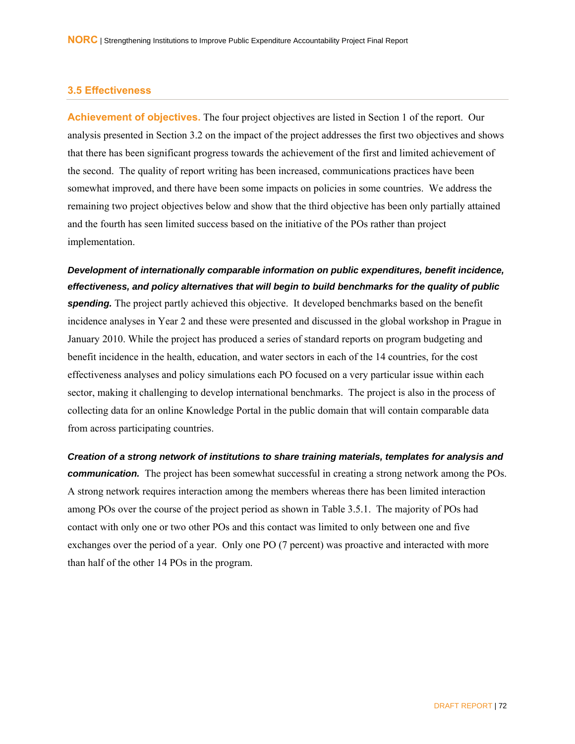### **3.5 Effectiveness**

**Achievement of objectives.** The four project objectives are listed in Section 1 of the report. Our analysis presented in Section 3.2 on the impact of the project addresses the first two objectives and shows that there has been significant progress towards the achievement of the first and limited achievement of the second. The quality of report writing has been increased, communications practices have been somewhat improved, and there have been some impacts on policies in some countries. We address the remaining two project objectives below and show that the third objective has been only partially attained and the fourth has seen limited success based on the initiative of the POs rather than project implementation.

*Development of internationally comparable information on public expenditures, benefit incidence, effectiveness, and policy alternatives that will begin to build benchmarks for the quality of public*  **spending.** The project partly achieved this objective. It developed benchmarks based on the benefit incidence analyses in Year 2 and these were presented and discussed in the global workshop in Prague in January 2010. While the project has produced a series of standard reports on program budgeting and benefit incidence in the health, education, and water sectors in each of the 14 countries, for the cost effectiveness analyses and policy simulations each PO focused on a very particular issue within each sector, making it challenging to develop international benchmarks. The project is also in the process of collecting data for an online Knowledge Portal in the public domain that will contain comparable data from across participating countries.

*Creation of a strong network of institutions to share training materials, templates for analysis and communication.* The project has been somewhat successful in creating a strong network among the POs. A strong network requires interaction among the members whereas there has been limited interaction among POs over the course of the project period as shown in Table 3.5.1. The majority of POs had contact with only one or two other POs and this contact was limited to only between one and five exchanges over the period of a year. Only one PO (7 percent) was proactive and interacted with more than half of the other 14 POs in the program.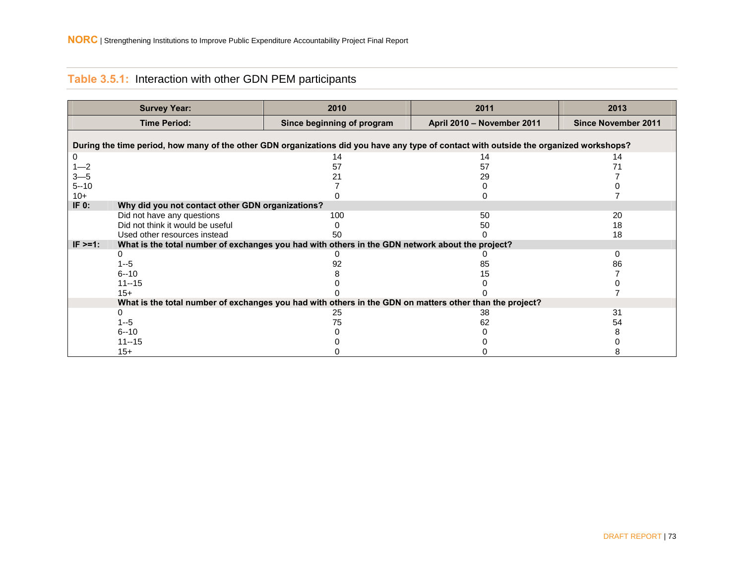|             | <b>Survey Year:</b>                                                                                                                    | 2010                                                                                                    | 2011                       | 2013                       |  |  |  |  |  |
|-------------|----------------------------------------------------------------------------------------------------------------------------------------|---------------------------------------------------------------------------------------------------------|----------------------------|----------------------------|--|--|--|--|--|
|             | <b>Time Period:</b>                                                                                                                    | Since beginning of program                                                                              | April 2010 - November 2011 | <b>Since November 2011</b> |  |  |  |  |  |
|             |                                                                                                                                        |                                                                                                         |                            |                            |  |  |  |  |  |
|             | During the time period, how many of the other GDN organizations did you have any type of contact with outside the organized workshops? |                                                                                                         |                            |                            |  |  |  |  |  |
| U           |                                                                                                                                        |                                                                                                         |                            | 14                         |  |  |  |  |  |
| $1 - 2$     |                                                                                                                                        | 57                                                                                                      | 57                         |                            |  |  |  |  |  |
| $3 - 5$     |                                                                                                                                        |                                                                                                         | 29                         |                            |  |  |  |  |  |
| $5 - 10$    |                                                                                                                                        |                                                                                                         |                            |                            |  |  |  |  |  |
| $10+$       |                                                                                                                                        |                                                                                                         |                            |                            |  |  |  |  |  |
| IF 0:       | Why did you not contact other GDN organizations?                                                                                       |                                                                                                         |                            |                            |  |  |  |  |  |
|             | Did not have any questions                                                                                                             | 100                                                                                                     | 50                         | 20                         |  |  |  |  |  |
|             | Did not think it would be useful                                                                                                       |                                                                                                         | 50                         | 18                         |  |  |  |  |  |
|             | Used other resources instead                                                                                                           | 50                                                                                                      |                            | 18                         |  |  |  |  |  |
| $IF > = 1:$ |                                                                                                                                        | What is the total number of exchanges you had with others in the GDN network about the project?         |                            |                            |  |  |  |  |  |
|             |                                                                                                                                        |                                                                                                         |                            | $\Omega$                   |  |  |  |  |  |
|             | $1 - 5$                                                                                                                                | 92                                                                                                      | 85                         | 86                         |  |  |  |  |  |
|             | $6 - 10$                                                                                                                               |                                                                                                         | 15                         |                            |  |  |  |  |  |
|             | $11 - 15$                                                                                                                              |                                                                                                         |                            |                            |  |  |  |  |  |
|             | $15+$                                                                                                                                  |                                                                                                         |                            |                            |  |  |  |  |  |
|             |                                                                                                                                        | What is the total number of exchanges you had with others in the GDN on matters other than the project? |                            |                            |  |  |  |  |  |
|             |                                                                                                                                        | 25                                                                                                      | 38                         | 31                         |  |  |  |  |  |
|             | $1 - 5$                                                                                                                                | 75                                                                                                      | 62                         | 54                         |  |  |  |  |  |
|             | $6 - 10$                                                                                                                               |                                                                                                         |                            |                            |  |  |  |  |  |
|             | $11 - 15$                                                                                                                              |                                                                                                         |                            |                            |  |  |  |  |  |
|             | $15+$                                                                                                                                  |                                                                                                         |                            |                            |  |  |  |  |  |

# **Table 3.5.1:** Interaction with other GDN PEM participants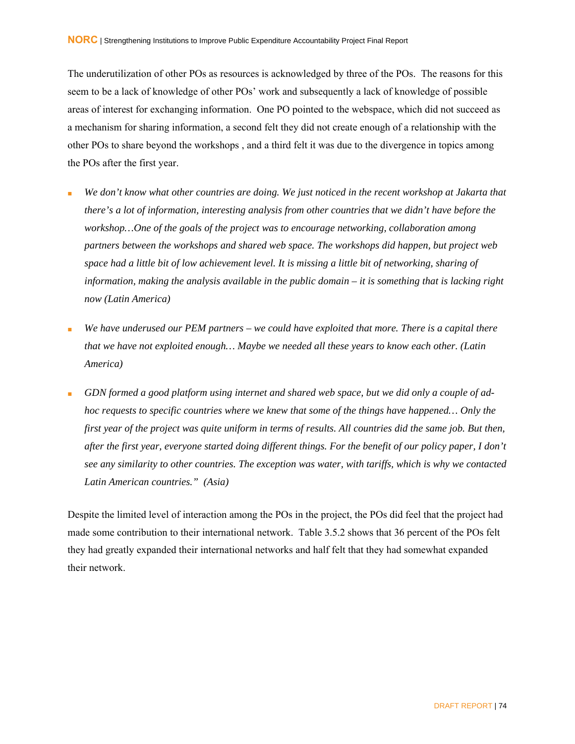The underutilization of other POs as resources is acknowledged by three of the POs. The reasons for this seem to be a lack of knowledge of other POs' work and subsequently a lack of knowledge of possible areas of interest for exchanging information. One PO pointed to the webspace, which did not succeed as a mechanism for sharing information, a second felt they did not create enough of a relationship with the other POs to share beyond the workshops , and a third felt it was due to the divergence in topics among the POs after the first year.

- We don't know what other countries are doing. We just noticed in the recent workshop at Jakarta that *there's a lot of information, interesting analysis from other countries that we didn't have before the workshop…One of the goals of the project was to encourage networking, collaboration among partners between the workshops and shared web space. The workshops did happen, but project web space had a little bit of low achievement level. It is missing a little bit of networking, sharing of information, making the analysis available in the public domain – it is something that is lacking right now (Latin America)*
- *We have underused our PEM partners we could have exploited that more. There is a capital there that we have not exploited enough… Maybe we needed all these years to know each other. (Latin America)*
- GDN formed a good platform using internet and shared web space, but we did only a couple of ad*hoc requests to specific countries where we knew that some of the things have happened… Only the first year of the project was quite uniform in terms of results. All countries did the same job. But then, after the first year, everyone started doing different things. For the benefit of our policy paper, I don't see any similarity to other countries. The exception was water, with tariffs, which is why we contacted Latin American countries." (Asia)*

Despite the limited level of interaction among the POs in the project, the POs did feel that the project had made some contribution to their international network. Table 3.5.2 shows that 36 percent of the POs felt they had greatly expanded their international networks and half felt that they had somewhat expanded their network.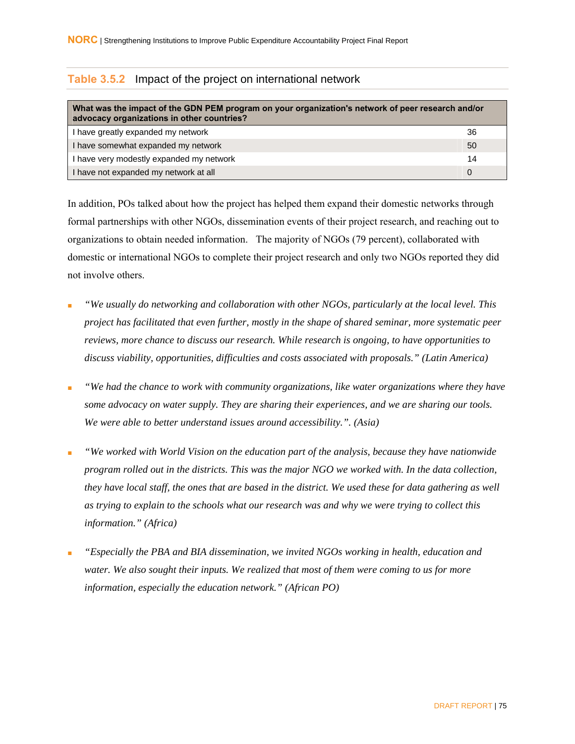## **Table 3.5.2** Impact of the project on international network

| What was the impact of the GDN PEM program on your organization's network of peer research and/or<br>advocacy organizations in other countries? |    |  |  |  |  |
|-------------------------------------------------------------------------------------------------------------------------------------------------|----|--|--|--|--|
| I have greatly expanded my network                                                                                                              | 36 |  |  |  |  |
| I have somewhat expanded my network                                                                                                             | 50 |  |  |  |  |
| I have very modestly expanded my network                                                                                                        | 14 |  |  |  |  |
| I have not expanded my network at all                                                                                                           | 0  |  |  |  |  |

In addition, POs talked about how the project has helped them expand their domestic networks through formal partnerships with other NGOs, dissemination events of their project research, and reaching out to organizations to obtain needed information. The majority of NGOs (79 percent), collaborated with domestic or international NGOs to complete their project research and only two NGOs reported they did not involve others.

- *"We usually do networking and collaboration with other NGOs, particularly at the local level. This project has facilitated that even further, mostly in the shape of shared seminar, more systematic peer reviews, more chance to discuss our research. While research is ongoing, to have opportunities to discuss viability, opportunities, difficulties and costs associated with proposals." (Latin America)*
- *"We had the chance to work with community organizations, like water organizations where they have some advocacy on water supply. They are sharing their experiences, and we are sharing our tools. We were able to better understand issues around accessibility.". (Asia)*
- *"We worked with World Vision on the education part of the analysis, because they have nationwide program rolled out in the districts. This was the major NGO we worked with. In the data collection, they have local staff, the ones that are based in the district. We used these for data gathering as well as trying to explain to the schools what our research was and why we were trying to collect this information." (Africa)*
- *"Especially the PBA and BIA dissemination, we invited NGOs working in health, education and water. We also sought their inputs. We realized that most of them were coming to us for more information, especially the education network." (African PO)*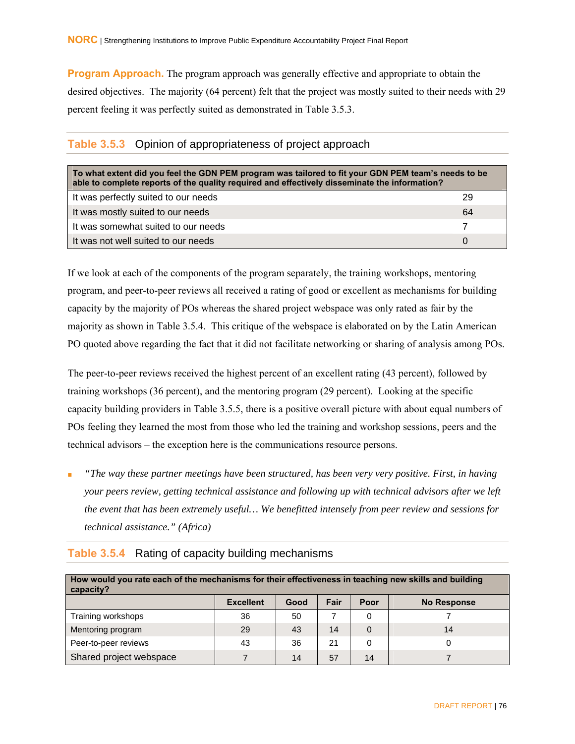**Program Approach.** The program approach was generally effective and appropriate to obtain the desired objectives. The majority (64 percent) felt that the project was mostly suited to their needs with 29 percent feeling it was perfectly suited as demonstrated in Table 3.5.3.

## **Table 3.5.3** Opinion of appropriateness of project approach

| To what extent did you feel the GDN PEM program was tailored to fit your GDN PEM team's needs to be<br>able to complete reports of the quality required and effectively disseminate the information? |    |  |  |  |
|------------------------------------------------------------------------------------------------------------------------------------------------------------------------------------------------------|----|--|--|--|
| It was perfectly suited to our needs                                                                                                                                                                 | 29 |  |  |  |
| It was mostly suited to our needs                                                                                                                                                                    | 64 |  |  |  |
| It was somewhat suited to our needs                                                                                                                                                                  |    |  |  |  |
| It was not well suited to our needs                                                                                                                                                                  | 0  |  |  |  |

If we look at each of the components of the program separately, the training workshops, mentoring program, and peer-to-peer reviews all received a rating of good or excellent as mechanisms for building capacity by the majority of POs whereas the shared project webspace was only rated as fair by the majority as shown in Table 3.5.4. This critique of the webspace is elaborated on by the Latin American PO quoted above regarding the fact that it did not facilitate networking or sharing of analysis among POs.

The peer-to-peer reviews received the highest percent of an excellent rating (43 percent), followed by training workshops (36 percent), and the mentoring program (29 percent). Looking at the specific capacity building providers in Table 3.5.5, there is a positive overall picture with about equal numbers of POs feeling they learned the most from those who led the training and workshop sessions, peers and the technical advisors – the exception here is the communications resource persons.

■ *"The way these partner meetings have been structured, has been very very positive. First, in having your peers review, getting technical assistance and following up with technical advisors after we left the event that has been extremely useful… We benefitted intensely from peer review and sessions for technical assistance." (Africa)* 

| How would you rate each of the mechanisms for their effectiveness in teaching new skills and building<br>capacity? |                  |      |      |      |                    |  |
|--------------------------------------------------------------------------------------------------------------------|------------------|------|------|------|--------------------|--|
|                                                                                                                    | <b>Excellent</b> | Good | Fair | Poor | <b>No Response</b> |  |
| Training workshops                                                                                                 | 36               | 50   |      |      |                    |  |
| Mentoring program                                                                                                  | 29               | 43   | 14   |      | 14                 |  |
| Peer-to-peer reviews                                                                                               | 43               | 36   | 21   | 0    |                    |  |
| Shared project webspace                                                                                            |                  | 14   | 57   | 14   |                    |  |

## **Table 3.5.4** Rating of capacity building mechanisms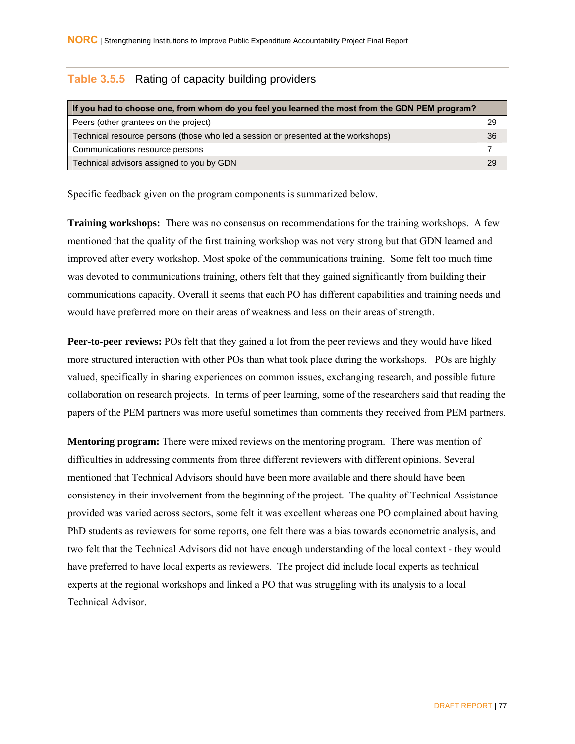# **Table 3.5.5** Rating of capacity building providers

| If you had to choose one, from whom do you feel you learned the most from the GDN PEM program? |    |  |  |  |
|------------------------------------------------------------------------------------------------|----|--|--|--|
| Peers (other grantees on the project)                                                          | 29 |  |  |  |
| Technical resource persons (those who led a session or presented at the workshops)             | 36 |  |  |  |
| Communications resource persons                                                                |    |  |  |  |
| Technical advisors assigned to you by GDN                                                      | 29 |  |  |  |

Specific feedback given on the program components is summarized below.

**Training workshops:** There was no consensus on recommendations for the training workshops. A few mentioned that the quality of the first training workshop was not very strong but that GDN learned and improved after every workshop. Most spoke of the communications training. Some felt too much time was devoted to communications training, others felt that they gained significantly from building their communications capacity. Overall it seems that each PO has different capabilities and training needs and would have preferred more on their areas of weakness and less on their areas of strength.

**Peer-to-peer reviews:** POs felt that they gained a lot from the peer reviews and they would have liked more structured interaction with other POs than what took place during the workshops. POs are highly valued, specifically in sharing experiences on common issues, exchanging research, and possible future collaboration on research projects. In terms of peer learning, some of the researchers said that reading the papers of the PEM partners was more useful sometimes than comments they received from PEM partners.

**Mentoring program:** There were mixed reviews on the mentoring program. There was mention of difficulties in addressing comments from three different reviewers with different opinions. Several mentioned that Technical Advisors should have been more available and there should have been consistency in their involvement from the beginning of the project. The quality of Technical Assistance provided was varied across sectors, some felt it was excellent whereas one PO complained about having PhD students as reviewers for some reports, one felt there was a bias towards econometric analysis, and two felt that the Technical Advisors did not have enough understanding of the local context - they would have preferred to have local experts as reviewers. The project did include local experts as technical experts at the regional workshops and linked a PO that was struggling with its analysis to a local Technical Advisor.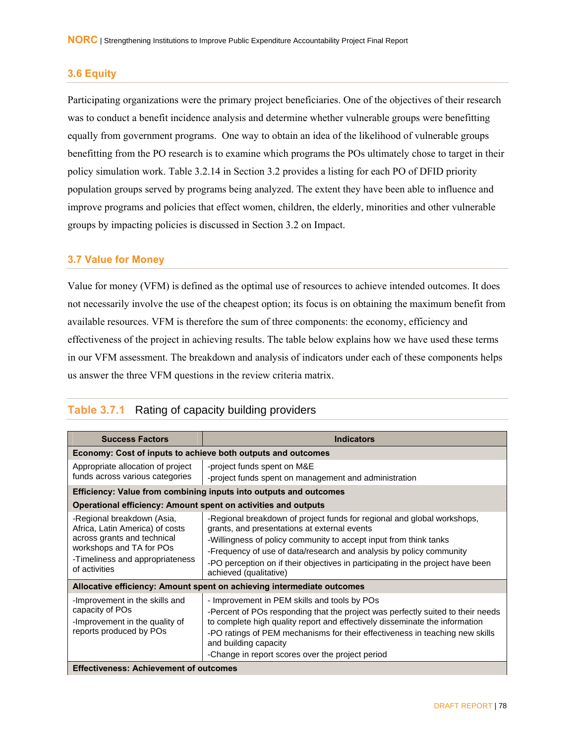### **3.6 Equity**

Participating organizations were the primary project beneficiaries. One of the objectives of their research was to conduct a benefit incidence analysis and determine whether vulnerable groups were benefitting equally from government programs. One way to obtain an idea of the likelihood of vulnerable groups benefitting from the PO research is to examine which programs the POs ultimately chose to target in their policy simulation work. Table 3.2.14 in Section 3.2 provides a listing for each PO of DFID priority population groups served by programs being analyzed. The extent they have been able to influence and improve programs and policies that effect women, children, the elderly, minorities and other vulnerable groups by impacting policies is discussed in Section 3.2 on Impact.

#### **3.7 Value for Money**

Value for money (VFM) is defined as the optimal use of resources to achieve intended outcomes. It does not necessarily involve the use of the cheapest option; its focus is on obtaining the maximum benefit from available resources. VFM is therefore the sum of three components: the economy, efficiency and effectiveness of the project in achieving results. The table below explains how we have used these terms in our VFM assessment. The breakdown and analysis of indicators under each of these components helps us answer the three VFM questions in the review criteria matrix.

## **Table 3.7.1** Rating of capacity building providers

| <b>Success Factors</b>                                                                                                                                                       | <b>Indicators</b>                                                                                                                                                                                                                                                                                                                                                                |  |  |  |  |  |
|------------------------------------------------------------------------------------------------------------------------------------------------------------------------------|----------------------------------------------------------------------------------------------------------------------------------------------------------------------------------------------------------------------------------------------------------------------------------------------------------------------------------------------------------------------------------|--|--|--|--|--|
| Economy: Cost of inputs to achieve both outputs and outcomes                                                                                                                 |                                                                                                                                                                                                                                                                                                                                                                                  |  |  |  |  |  |
| Appropriate allocation of project<br>funds across various categories                                                                                                         | -project funds spent on M&E<br>-project funds spent on management and administration                                                                                                                                                                                                                                                                                             |  |  |  |  |  |
|                                                                                                                                                                              | Efficiency: Value from combining inputs into outputs and outcomes                                                                                                                                                                                                                                                                                                                |  |  |  |  |  |
| Operational efficiency: Amount spent on activities and outputs                                                                                                               |                                                                                                                                                                                                                                                                                                                                                                                  |  |  |  |  |  |
| -Regional breakdown (Asia,<br>Africa, Latin America) of costs<br>across grants and technical<br>workshops and TA for POs<br>-Timeliness and appropriateness<br>of activities | -Regional breakdown of project funds for regional and global workshops,<br>grants, and presentations at external events<br>-Willingness of policy community to accept input from think tanks<br>-Frequency of use of data/research and analysis by policy community<br>-PO perception on if their objectives in participating in the project have been<br>achieved (qualitative) |  |  |  |  |  |
|                                                                                                                                                                              | Allocative efficiency: Amount spent on achieving intermediate outcomes                                                                                                                                                                                                                                                                                                           |  |  |  |  |  |
| -Improvement in the skills and<br>capacity of POs<br>-Improvement in the quality of<br>reports produced by POs                                                               | - Improvement in PEM skills and tools by POs<br>-Percent of POs responding that the project was perfectly suited to their needs<br>to complete high quality report and effectively disseminate the information<br>-PO ratings of PEM mechanisms for their effectiveness in teaching new skills<br>and building capacity<br>-Change in report scores over the project period      |  |  |  |  |  |
| <b>Effectiveness: Achievement of outcomes</b>                                                                                                                                |                                                                                                                                                                                                                                                                                                                                                                                  |  |  |  |  |  |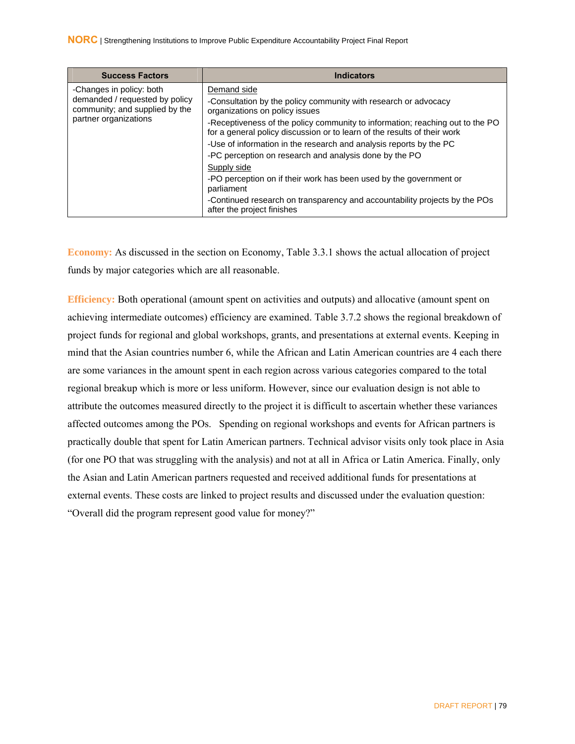| <b>Success Factors</b>                                                                                                | <b>Indicators</b>                                                                                                                                                                                                                                                                                                                                                                                                                                                                                                                                                                                                            |
|-----------------------------------------------------------------------------------------------------------------------|------------------------------------------------------------------------------------------------------------------------------------------------------------------------------------------------------------------------------------------------------------------------------------------------------------------------------------------------------------------------------------------------------------------------------------------------------------------------------------------------------------------------------------------------------------------------------------------------------------------------------|
| -Changes in policy: both<br>demanded / requested by policy<br>community; and supplied by the<br>partner organizations | Demand side<br>-Consultation by the policy community with research or advocacy<br>organizations on policy issues<br>-Receptiveness of the policy community to information; reaching out to the PO<br>for a general policy discussion or to learn of the results of their work<br>-Use of information in the research and analysis reports by the PC<br>-PC perception on research and analysis done by the PO<br>Supply side<br>-PO perception on if their work has been used by the government or<br>parliament<br>-Continued research on transparency and accountability projects by the POs<br>after the project finishes |

**Economy:** As discussed in the section on Economy, Table 3.3.1 shows the actual allocation of project funds by major categories which are all reasonable.

**Efficiency:** Both operational (amount spent on activities and outputs) and allocative (amount spent on achieving intermediate outcomes) efficiency are examined. Table 3.7.2 shows the regional breakdown of project funds for regional and global workshops, grants, and presentations at external events. Keeping in mind that the Asian countries number 6, while the African and Latin American countries are 4 each there are some variances in the amount spent in each region across various categories compared to the total regional breakup which is more or less uniform. However, since our evaluation design is not able to attribute the outcomes measured directly to the project it is difficult to ascertain whether these variances affected outcomes among the POs. Spending on regional workshops and events for African partners is practically double that spent for Latin American partners. Technical advisor visits only took place in Asia (for one PO that was struggling with the analysis) and not at all in Africa or Latin America. Finally, only the Asian and Latin American partners requested and received additional funds for presentations at external events. These costs are linked to project results and discussed under the evaluation question: "Overall did the program represent good value for money?"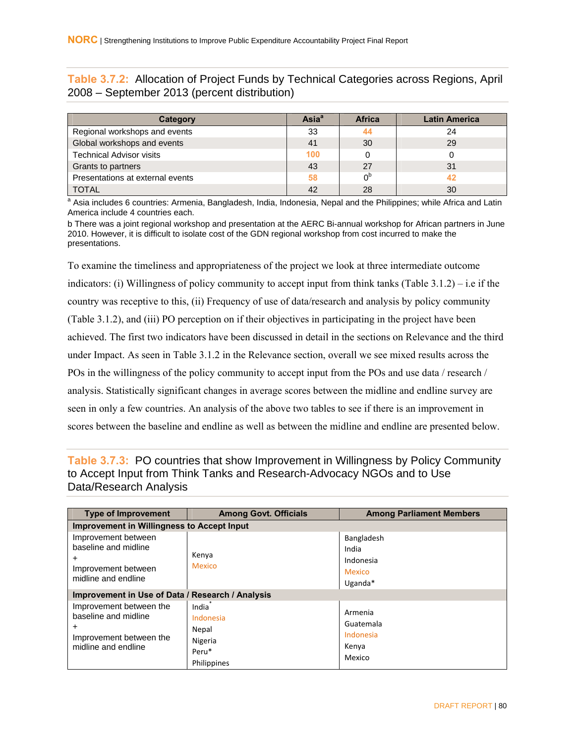**Table 3.7.2:** Allocation of Project Funds by Technical Categories across Regions, April 2008 – September 2013 (percent distribution)

| Category                         | <b>Asia</b> <sup>"</sup> | <b>Africa</b>  | <b>Latin America</b> |
|----------------------------------|--------------------------|----------------|----------------------|
| Regional workshops and events    | 33                       |                | 24                   |
| Global workshops and events      | 41                       | 30             | 29                   |
| <b>Technical Advisor visits</b>  | 100                      |                |                      |
| Grants to partners               | 43                       | 27             | 31                   |
| Presentations at external events | 58                       | U <sub>p</sub> |                      |
| <b>TOTAL</b>                     | 42                       | 28             | 30                   |

<sup>a</sup> Asia includes 6 countries: Armenia, Bangladesh, India, Indonesia, Nepal and the Philippines; while Africa and Latin America include 4 countries each.

b There was a joint regional workshop and presentation at the AERC Bi-annual workshop for African partners in June 2010. However, it is difficult to isolate cost of the GDN regional workshop from cost incurred to make the presentations.

To examine the timeliness and appropriateness of the project we look at three intermediate outcome indicators: (i) Willingness of policy community to accept input from think tanks (Table  $3.1.2$ ) – i.e if the country was receptive to this, (ii) Frequency of use of data/research and analysis by policy community (Table 3.1.2), and (iii) PO perception on if their objectives in participating in the project have been achieved. The first two indicators have been discussed in detail in the sections on Relevance and the third under Impact. As seen in Table 3.1.2 in the Relevance section, overall we see mixed results across the POs in the willingness of the policy community to accept input from the POs and use data / research / analysis. Statistically significant changes in average scores between the midline and endline survey are seen in only a few countries. An analysis of the above two tables to see if there is an improvement in scores between the baseline and endline as well as between the midline and endline are presented below.

| <b>Table 3.7.3: PO countries that show Improvement in Willingness by Policy Community</b> |
|-------------------------------------------------------------------------------------------|
| to Accept Input from Think Tanks and Research-Advocacy NGOs and to Use                    |
| Data/Research Analysis                                                                    |

| <b>Type of Improvement</b>                                                                             | <b>Among Govt. Officials</b>                                                | <b>Among Parliament Members</b>                              |  |  |  |
|--------------------------------------------------------------------------------------------------------|-----------------------------------------------------------------------------|--------------------------------------------------------------|--|--|--|
| <b>Improvement in Willingness to Accept Input</b>                                                      |                                                                             |                                                              |  |  |  |
| Improvement between<br>baseline and midline<br>+<br>Improvement between<br>midline and endline         | Kenya<br><b>Mexico</b>                                                      | Bangladesh<br>India<br>Indonesia<br><b>Mexico</b><br>Uganda* |  |  |  |
| Improvement in Use of Data / Research / Analysis                                                       |                                                                             |                                                              |  |  |  |
| Improvement between the<br>baseline and midline<br>٠<br>Improvement between the<br>midline and endline | India <sup>1</sup><br>Indonesia<br>Nepal<br>Nigeria<br>Peru*<br>Philippines | Armenia<br>Guatemala<br>Indonesia<br>Kenya<br>Mexico         |  |  |  |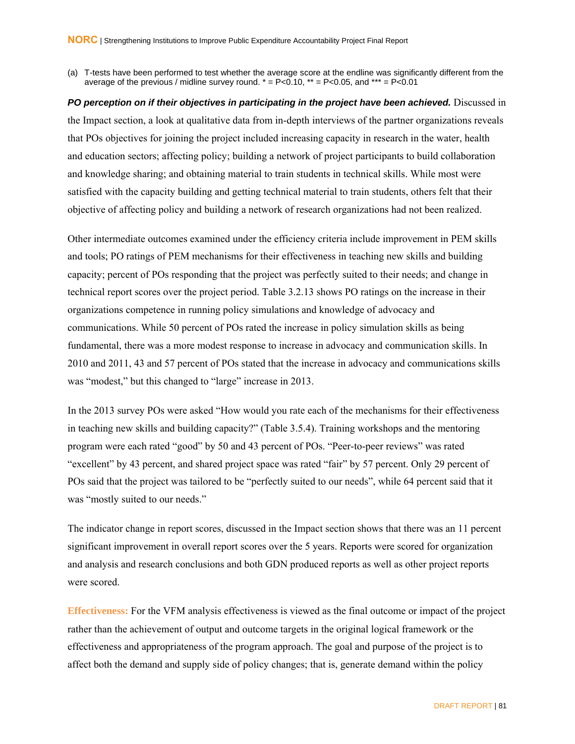(a) T-tests have been performed to test whether the average score at the endline was significantly different from the average of the previous / midline survey round.  $* = P < 0.10$ ,  $* = P < 0.05$ , and  $* * = P < 0.01$ 

*PO perception on if their objectives in participating in the project have been achieved.* Discussed in the Impact section, a look at qualitative data from in-depth interviews of the partner organizations reveals that POs objectives for joining the project included increasing capacity in research in the water, health and education sectors; affecting policy; building a network of project participants to build collaboration and knowledge sharing; and obtaining material to train students in technical skills. While most were satisfied with the capacity building and getting technical material to train students, others felt that their objective of affecting policy and building a network of research organizations had not been realized.

Other intermediate outcomes examined under the efficiency criteria include improvement in PEM skills and tools; PO ratings of PEM mechanisms for their effectiveness in teaching new skills and building capacity; percent of POs responding that the project was perfectly suited to their needs; and change in technical report scores over the project period. Table 3.2.13 shows PO ratings on the increase in their organizations competence in running policy simulations and knowledge of advocacy and communications. While 50 percent of POs rated the increase in policy simulation skills as being fundamental, there was a more modest response to increase in advocacy and communication skills. In 2010 and 2011, 43 and 57 percent of POs stated that the increase in advocacy and communications skills was "modest," but this changed to "large" increase in 2013.

In the 2013 survey POs were asked "How would you rate each of the mechanisms for their effectiveness in teaching new skills and building capacity?" (Table 3.5.4). Training workshops and the mentoring program were each rated "good" by 50 and 43 percent of POs. "Peer-to-peer reviews" was rated "excellent" by 43 percent, and shared project space was rated "fair" by 57 percent. Only 29 percent of POs said that the project was tailored to be "perfectly suited to our needs", while 64 percent said that it was "mostly suited to our needs."

The indicator change in report scores, discussed in the Impact section shows that there was an 11 percent significant improvement in overall report scores over the 5 years. Reports were scored for organization and analysis and research conclusions and both GDN produced reports as well as other project reports were scored.

**Effectiveness:** For the VFM analysis effectiveness is viewed as the final outcome or impact of the project rather than the achievement of output and outcome targets in the original logical framework or the effectiveness and appropriateness of the program approach. The goal and purpose of the project is to affect both the demand and supply side of policy changes; that is, generate demand within the policy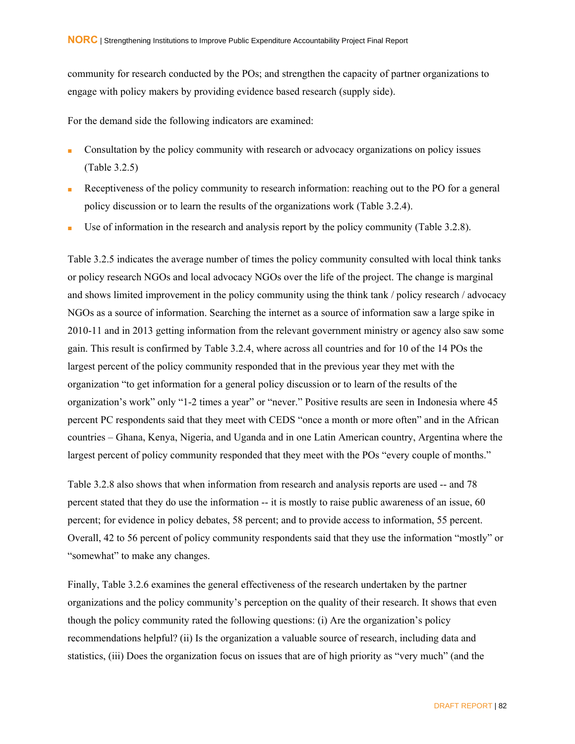community for research conducted by the POs; and strengthen the capacity of partner organizations to engage with policy makers by providing evidence based research (supply side).

For the demand side the following indicators are examined:

- Consultation by the policy community with research or advocacy organizations on policy issues (Table 3.2.5)
- Receptiveness of the policy community to research information: reaching out to the PO for a general policy discussion or to learn the results of the organizations work (Table 3.2.4).
- Use of information in the research and analysis report by the policy community (Table 3.2.8).

Table 3.2.5 indicates the average number of times the policy community consulted with local think tanks or policy research NGOs and local advocacy NGOs over the life of the project. The change is marginal and shows limited improvement in the policy community using the think tank / policy research / advocacy NGOs as a source of information. Searching the internet as a source of information saw a large spike in 2010-11 and in 2013 getting information from the relevant government ministry or agency also saw some gain. This result is confirmed by Table 3.2.4, where across all countries and for 10 of the 14 POs the largest percent of the policy community responded that in the previous year they met with the organization "to get information for a general policy discussion or to learn of the results of the organization's work" only "1-2 times a year" or "never." Positive results are seen in Indonesia where 45 percent PC respondents said that they meet with CEDS "once a month or more often" and in the African countries – Ghana, Kenya, Nigeria, and Uganda and in one Latin American country, Argentina where the largest percent of policy community responded that they meet with the POs "every couple of months."

Table 3.2.8 also shows that when information from research and analysis reports are used -- and 78 percent stated that they do use the information -- it is mostly to raise public awareness of an issue, 60 percent; for evidence in policy debates, 58 percent; and to provide access to information, 55 percent. Overall, 42 to 56 percent of policy community respondents said that they use the information "mostly" or "somewhat" to make any changes.

Finally, Table 3.2.6 examines the general effectiveness of the research undertaken by the partner organizations and the policy community's perception on the quality of their research. It shows that even though the policy community rated the following questions: (i) Are the organization's policy recommendations helpful? (ii) Is the organization a valuable source of research, including data and statistics, (iii) Does the organization focus on issues that are of high priority as "very much" (and the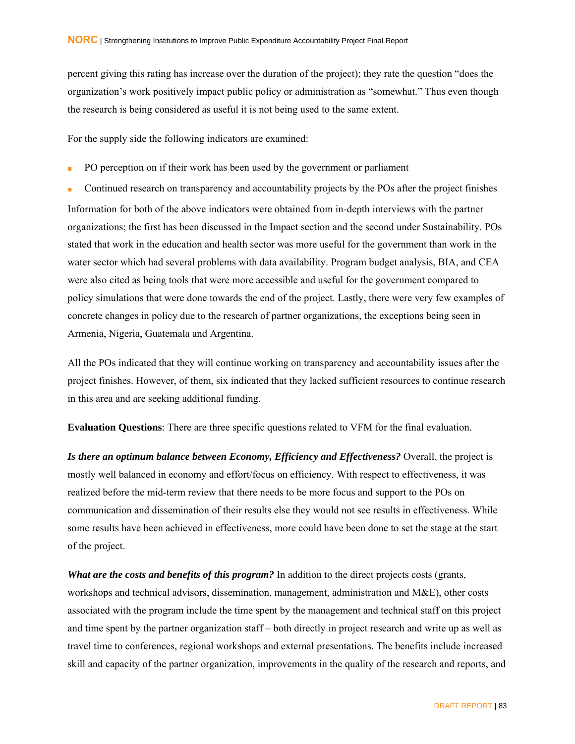percent giving this rating has increase over the duration of the project); they rate the question "does the organization's work positively impact public policy or administration as "somewhat." Thus even though the research is being considered as useful it is not being used to the same extent.

For the supply side the following indicators are examined:

PO perception on if their work has been used by the government or parliament

Continued research on transparency and accountability projects by the POs after the project finishes Information for both of the above indicators were obtained from in-depth interviews with the partner organizations; the first has been discussed in the Impact section and the second under Sustainability. POs stated that work in the education and health sector was more useful for the government than work in the water sector which had several problems with data availability. Program budget analysis, BIA, and CEA were also cited as being tools that were more accessible and useful for the government compared to policy simulations that were done towards the end of the project. Lastly, there were very few examples of concrete changes in policy due to the research of partner organizations, the exceptions being seen in Armenia, Nigeria, Guatemala and Argentina.

All the POs indicated that they will continue working on transparency and accountability issues after the project finishes. However, of them, six indicated that they lacked sufficient resources to continue research in this area and are seeking additional funding.

**Evaluation Questions**: There are three specific questions related to VFM for the final evaluation.

*Is there an optimum balance between Economy, Efficiency and Effectiveness?* Overall, the project is mostly well balanced in economy and effort/focus on efficiency. With respect to effectiveness, it was realized before the mid-term review that there needs to be more focus and support to the POs on communication and dissemination of their results else they would not see results in effectiveness. While some results have been achieved in effectiveness, more could have been done to set the stage at the start of the project.

*What are the costs and benefits of this program?* In addition to the direct projects costs (grants, workshops and technical advisors, dissemination, management, administration and M&E), other costs associated with the program include the time spent by the management and technical staff on this project and time spent by the partner organization staff – both directly in project research and write up as well as travel time to conferences, regional workshops and external presentations. The benefits include increased skill and capacity of the partner organization, improvements in the quality of the research and reports, and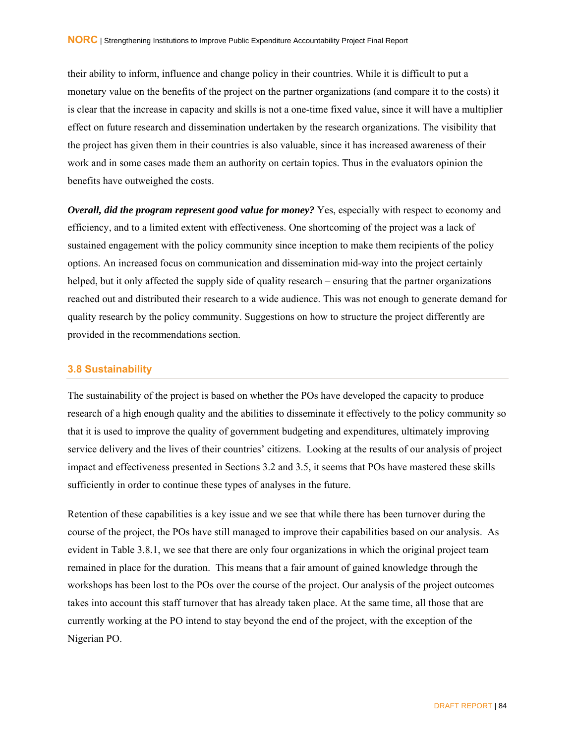their ability to inform, influence and change policy in their countries. While it is difficult to put a monetary value on the benefits of the project on the partner organizations (and compare it to the costs) it is clear that the increase in capacity and skills is not a one-time fixed value, since it will have a multiplier effect on future research and dissemination undertaken by the research organizations. The visibility that the project has given them in their countries is also valuable, since it has increased awareness of their work and in some cases made them an authority on certain topics. Thus in the evaluators opinion the benefits have outweighed the costs.

*Overall, did the program represent good value for money?* Yes, especially with respect to economy and efficiency, and to a limited extent with effectiveness. One shortcoming of the project was a lack of sustained engagement with the policy community since inception to make them recipients of the policy options. An increased focus on communication and dissemination mid-way into the project certainly helped, but it only affected the supply side of quality research – ensuring that the partner organizations reached out and distributed their research to a wide audience. This was not enough to generate demand for quality research by the policy community. Suggestions on how to structure the project differently are provided in the recommendations section.

#### **3.8 Sustainability**

The sustainability of the project is based on whether the POs have developed the capacity to produce research of a high enough quality and the abilities to disseminate it effectively to the policy community so that it is used to improve the quality of government budgeting and expenditures, ultimately improving service delivery and the lives of their countries' citizens. Looking at the results of our analysis of project impact and effectiveness presented in Sections 3.2 and 3.5, it seems that POs have mastered these skills sufficiently in order to continue these types of analyses in the future.

Retention of these capabilities is a key issue and we see that while there has been turnover during the course of the project, the POs have still managed to improve their capabilities based on our analysis. As evident in Table 3.8.1, we see that there are only four organizations in which the original project team remained in place for the duration. This means that a fair amount of gained knowledge through the workshops has been lost to the POs over the course of the project. Our analysis of the project outcomes takes into account this staff turnover that has already taken place. At the same time, all those that are currently working at the PO intend to stay beyond the end of the project, with the exception of the Nigerian PO.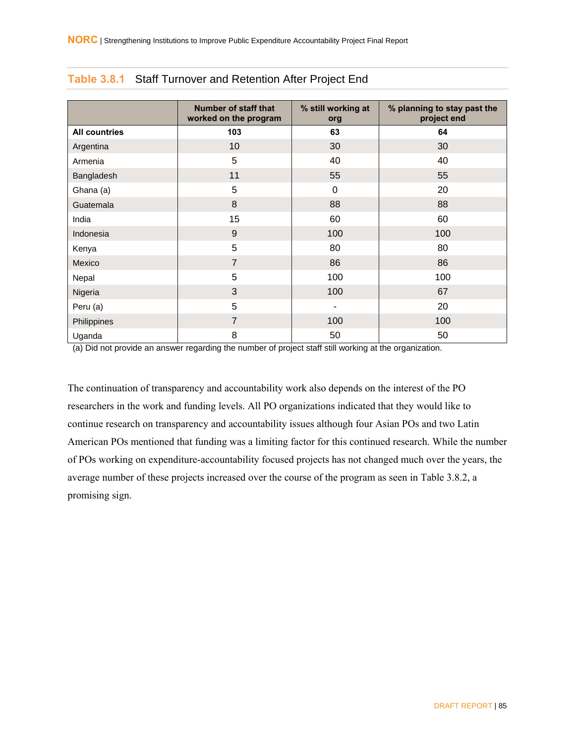|                      | <b>Number of staff that</b><br>worked on the program | % still working at<br>org | % planning to stay past the<br>project end |
|----------------------|------------------------------------------------------|---------------------------|--------------------------------------------|
| <b>All countries</b> | 103                                                  | 63                        | 64                                         |
| Argentina            | 10                                                   | 30                        | 30                                         |
| Armenia              | 5                                                    | 40                        | 40                                         |
| Bangladesh           | 11                                                   | 55                        | 55                                         |
| Ghana (a)            | 5                                                    | 0                         | 20                                         |
| Guatemala            | 8                                                    | 88                        | 88                                         |
| India                | 15                                                   | 60                        | 60                                         |
| Indonesia            | 9                                                    | 100                       | 100                                        |
| Kenya                | 5                                                    | 80                        | 80                                         |
| Mexico               | $\overline{7}$                                       | 86                        | 86                                         |
| Nepal                | 5                                                    | 100                       | 100                                        |
| Nigeria              | 3                                                    | 100                       | 67                                         |
| Peru (a)             | 5                                                    | ٠                         | 20                                         |
| Philippines          | $\overline{7}$                                       | 100                       | 100                                        |
| Uganda               | 8                                                    | 50                        | 50                                         |

## **Table 3.8.1** Staff Turnover and Retention After Project End

(a) Did not provide an answer regarding the number of project staff still working at the organization.

The continuation of transparency and accountability work also depends on the interest of the PO researchers in the work and funding levels. All PO organizations indicated that they would like to continue research on transparency and accountability issues although four Asian POs and two Latin American POs mentioned that funding was a limiting factor for this continued research. While the number of POs working on expenditure-accountability focused projects has not changed much over the years, the average number of these projects increased over the course of the program as seen in Table 3.8.2, a promising sign.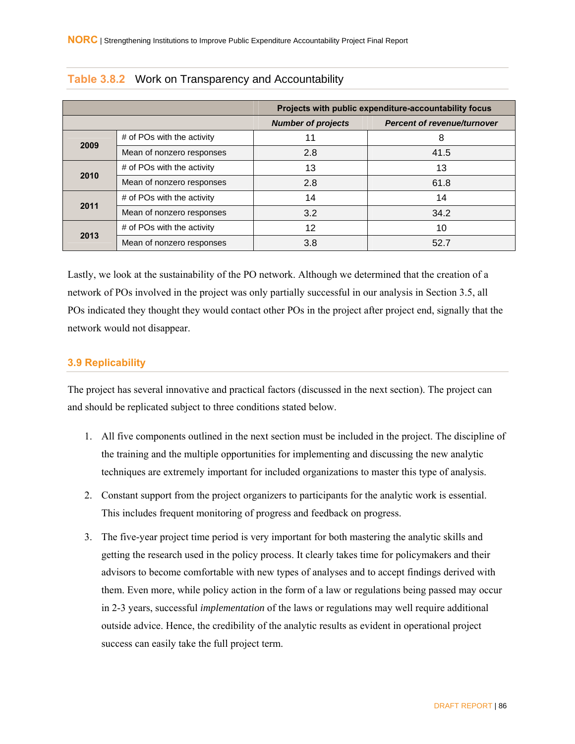|      |                            | Projects with public expenditure-accountability focus |                                    |  |
|------|----------------------------|-------------------------------------------------------|------------------------------------|--|
|      |                            | <b>Number of projects</b>                             | <b>Percent of revenue/turnover</b> |  |
| 2009 | # of POs with the activity | 11                                                    | 8                                  |  |
|      | Mean of nonzero responses  | 2.8                                                   | 41.5                               |  |
| 2010 | # of POs with the activity | 13                                                    | 13                                 |  |
|      | Mean of nonzero responses  | 2.8                                                   | 61.8                               |  |
| 2011 | # of POs with the activity | 14                                                    | 14                                 |  |
|      | Mean of nonzero responses  | 3.2                                                   | 34.2                               |  |
| 2013 | # of POs with the activity | 12                                                    | 10                                 |  |
|      | Mean of nonzero responses  | 3.8                                                   | 52.7                               |  |

## **Table 3.8.2** Work on Transparency and Accountability

Lastly, we look at the sustainability of the PO network. Although we determined that the creation of a network of POs involved in the project was only partially successful in our analysis in Section 3.5, all POs indicated they thought they would contact other POs in the project after project end, signally that the network would not disappear.

## **3.9 Replicability**

The project has several innovative and practical factors (discussed in the next section). The project can and should be replicated subject to three conditions stated below.

- 1. All five components outlined in the next section must be included in the project. The discipline of the training and the multiple opportunities for implementing and discussing the new analytic techniques are extremely important for included organizations to master this type of analysis.
- 2. Constant support from the project organizers to participants for the analytic work is essential. This includes frequent monitoring of progress and feedback on progress.
- 3. The five-year project time period is very important for both mastering the analytic skills and getting the research used in the policy process. It clearly takes time for policymakers and their advisors to become comfortable with new types of analyses and to accept findings derived with them. Even more, while policy action in the form of a law or regulations being passed may occur in 2-3 years, successful *implementation* of the laws or regulations may well require additional outside advice. Hence, the credibility of the analytic results as evident in operational project success can easily take the full project term.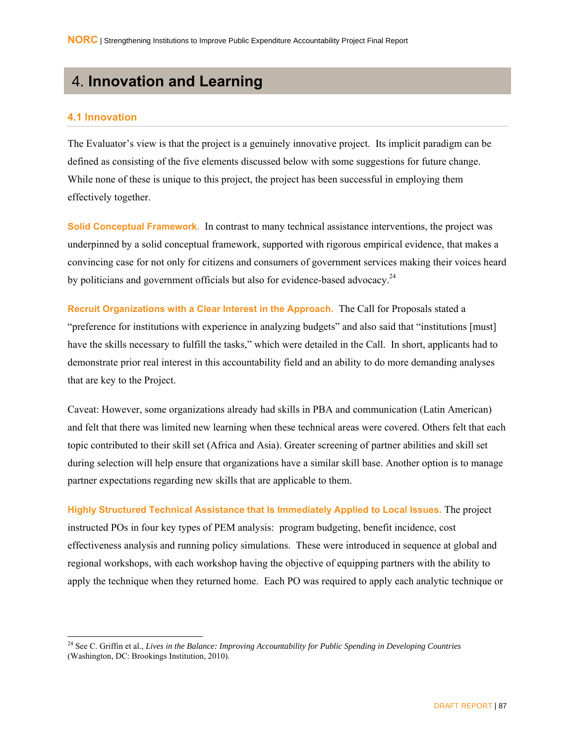# 4. **Innovation and Learning**

### **4.1 Innovation**

l

The Evaluator's view is that the project is a genuinely innovative project. Its implicit paradigm can be defined as consisting of the five elements discussed below with some suggestions for future change. While none of these is unique to this project, the project has been successful in employing them effectively together.

**Solid Conceptual Framework.** In contrast to many technical assistance interventions, the project was underpinned by a solid conceptual framework, supported with rigorous empirical evidence, that makes a convincing case for not only for citizens and consumers of government services making their voices heard by politicians and government officials but also for evidence-based advocacy.<sup>24</sup>

**Recruit Organizations with a Clear Interest in the Approach.** The Call for Proposals stated a "preference for institutions with experience in analyzing budgets" and also said that "institutions [must] have the skills necessary to fulfill the tasks," which were detailed in the Call. In short, applicants had to demonstrate prior real interest in this accountability field and an ability to do more demanding analyses that are key to the Project.

Caveat: However, some organizations already had skills in PBA and communication (Latin American) and felt that there was limited new learning when these technical areas were covered. Others felt that each topic contributed to their skill set (Africa and Asia). Greater screening of partner abilities and skill set during selection will help ensure that organizations have a similar skill base. Another option is to manage partner expectations regarding new skills that are applicable to them.

**Highly Structured Technical Assistance that Is Immediately Applied to Local Issues.** The project instructed POs in four key types of PEM analysis: program budgeting, benefit incidence, cost effectiveness analysis and running policy simulations. These were introduced in sequence at global and regional workshops, with each workshop having the objective of equipping partners with the ability to apply the technique when they returned home. Each PO was required to apply each analytic technique or

<sup>24</sup> See C. Griffin et al., *Lives in the Balance: Improving Accountability for Public Spending in Developing Countries* (Washington, DC: Brookings Institution, 2010).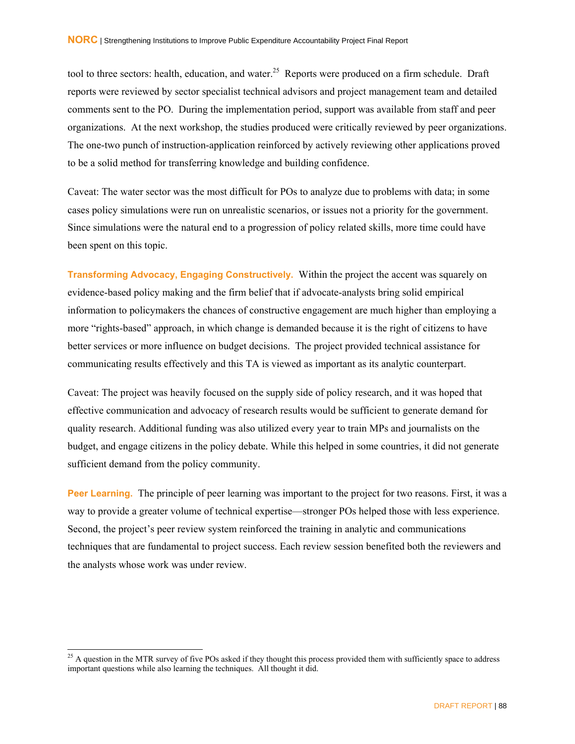tool to three sectors: health, education, and water.<sup>25</sup> Reports were produced on a firm schedule. Draft reports were reviewed by sector specialist technical advisors and project management team and detailed comments sent to the PO. During the implementation period, support was available from staff and peer organizations. At the next workshop, the studies produced were critically reviewed by peer organizations. The one-two punch of instruction-application reinforced by actively reviewing other applications proved to be a solid method for transferring knowledge and building confidence.

Caveat: The water sector was the most difficult for POs to analyze due to problems with data; in some cases policy simulations were run on unrealistic scenarios, or issues not a priority for the government. Since simulations were the natural end to a progression of policy related skills, more time could have been spent on this topic.

**Transforming Advocacy, Engaging Constructively.** Within the project the accent was squarely on evidence-based policy making and the firm belief that if advocate-analysts bring solid empirical information to policymakers the chances of constructive engagement are much higher than employing a more "rights-based" approach, in which change is demanded because it is the right of citizens to have better services or more influence on budget decisions. The project provided technical assistance for communicating results effectively and this TA is viewed as important as its analytic counterpart.

Caveat: The project was heavily focused on the supply side of policy research, and it was hoped that effective communication and advocacy of research results would be sufficient to generate demand for quality research. Additional funding was also utilized every year to train MPs and journalists on the budget, and engage citizens in the policy debate. While this helped in some countries, it did not generate sufficient demand from the policy community.

**Peer Learning.** The principle of peer learning was important to the project for two reasons. First, it was a way to provide a greater volume of technical expertise—stronger POs helped those with less experience. Second, the project's peer review system reinforced the training in analytic and communications techniques that are fundamental to project success. Each review session benefited both the reviewers and the analysts whose work was under review.

1

 $^{25}$  A question in the MTR survey of five POs asked if they thought this process provided them with sufficiently space to address important questions while also learning the techniques. All thought it did.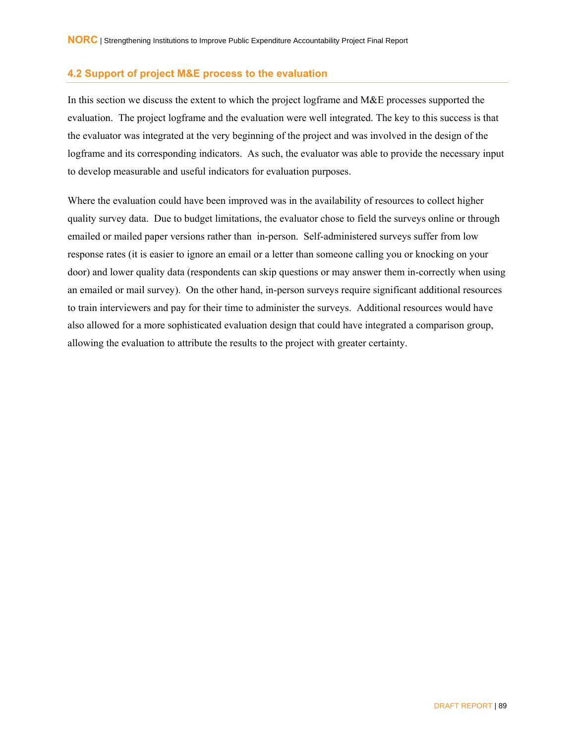## **4.2 Support of project M&E process to the evaluation**

In this section we discuss the extent to which the project logframe and M&E processes supported the evaluation. The project logframe and the evaluation were well integrated. The key to this success is that the evaluator was integrated at the very beginning of the project and was involved in the design of the logframe and its corresponding indicators. As such, the evaluator was able to provide the necessary input to develop measurable and useful indicators for evaluation purposes.

Where the evaluation could have been improved was in the availability of resources to collect higher quality survey data. Due to budget limitations, the evaluator chose to field the surveys online or through emailed or mailed paper versions rather than in-person. Self-administered surveys suffer from low response rates (it is easier to ignore an email or a letter than someone calling you or knocking on your door) and lower quality data (respondents can skip questions or may answer them in-correctly when using an emailed or mail survey). On the other hand, in-person surveys require significant additional resources to train interviewers and pay for their time to administer the surveys. Additional resources would have also allowed for a more sophisticated evaluation design that could have integrated a comparison group, allowing the evaluation to attribute the results to the project with greater certainty.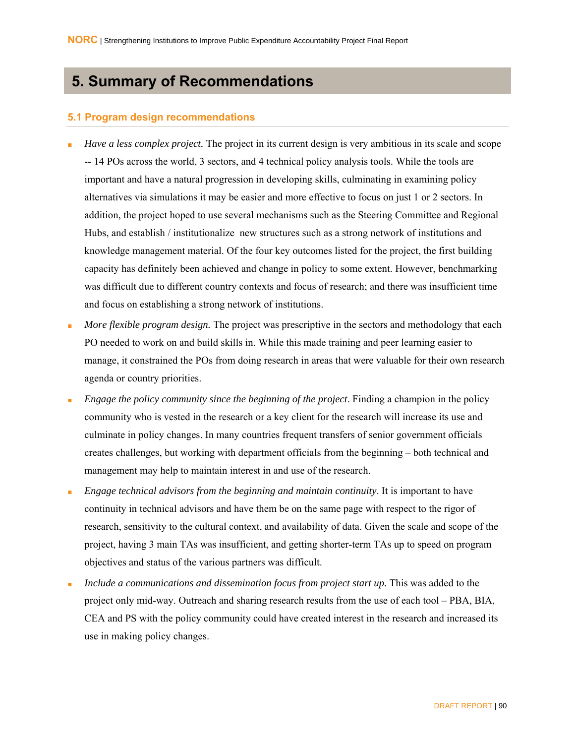## **5. Summary of Recommendations**

## **5.1 Program design recommendations**

- *Have a less complex project.* The project in its current design is very ambitious in its scale and scope -- 14 POs across the world, 3 sectors, and 4 technical policy analysis tools. While the tools are important and have a natural progression in developing skills, culminating in examining policy alternatives via simulations it may be easier and more effective to focus on just 1 or 2 sectors. In addition, the project hoped to use several mechanisms such as the Steering Committee and Regional Hubs, and establish / institutionalize new structures such as a strong network of institutions and knowledge management material. Of the four key outcomes listed for the project, the first building capacity has definitely been achieved and change in policy to some extent. However, benchmarking was difficult due to different country contexts and focus of research; and there was insufficient time and focus on establishing a strong network of institutions.
- *More flexible program design.* The project was prescriptive in the sectors and methodology that each PO needed to work on and build skills in. While this made training and peer learning easier to manage, it constrained the POs from doing research in areas that were valuable for their own research agenda or country priorities.
- *Engage the policy community since the beginning of the project.* Finding a champion in the policy community who is vested in the research or a key client for the research will increase its use and culminate in policy changes. In many countries frequent transfers of senior government officials creates challenges, but working with department officials from the beginning – both technical and management may help to maintain interest in and use of the research.
- *Engage technical advisors from the beginning and maintain continuity*. It is important to have continuity in technical advisors and have them be on the same page with respect to the rigor of research, sensitivity to the cultural context, and availability of data. Given the scale and scope of the project, having 3 main TAs was insufficient, and getting shorter-term TAs up to speed on program objectives and status of the various partners was difficult.
- Include a communications and dissemination focus from project start up. This was added to the project only mid-way. Outreach and sharing research results from the use of each tool – PBA, BIA, CEA and PS with the policy community could have created interest in the research and increased its use in making policy changes.